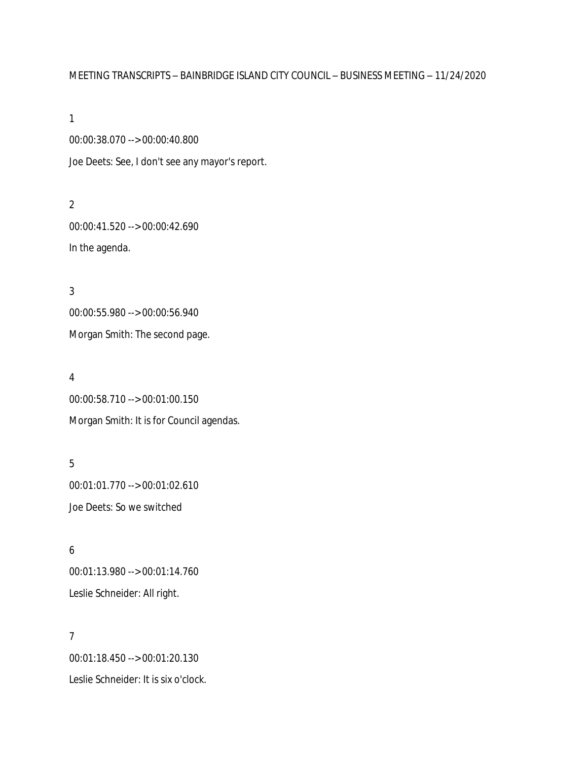# MEETING TRANSCRIPTS – BAINBRIDGE ISLAND CITY COUNCIL – BUSINESS MEETING – 11/24/2020

1

00:00:38.070 --> 00:00:40.800 Joe Deets: See, I don't see any mayor's report.

2

00:00:41.520 --> 00:00:42.690 In the agenda.

3 00:00:55.980 --> 00:00:56.940 Morgan Smith: The second page.

4

00:00:58.710 --> 00:01:00.150 Morgan Smith: It is for Council agendas.

5 00:01:01.770 --> 00:01:02.610 Joe Deets: So we switched

6 00:01:13.980 --> 00:01:14.760 Leslie Schneider: All right.

7 00:01:18.450 --> 00:01:20.130 Leslie Schneider: It is six o'clock.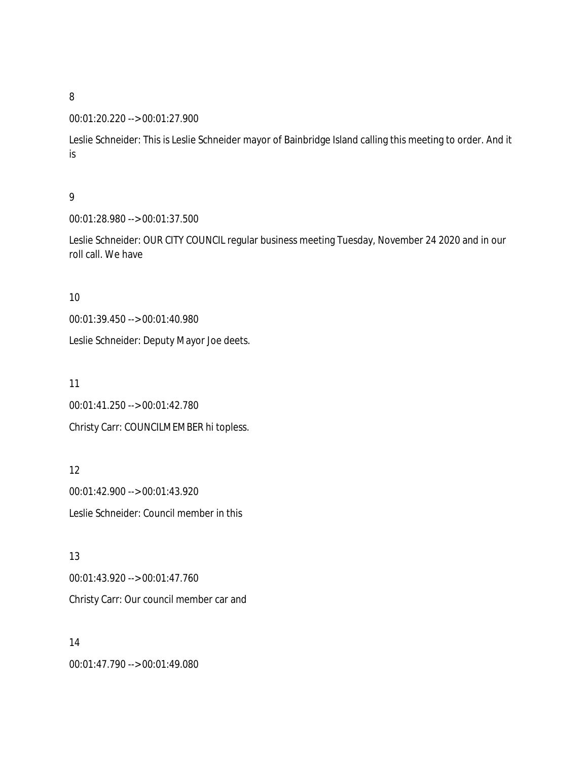#### 00:01:20.220 --> 00:01:27.900

Leslie Schneider: This is Leslie Schneider mayor of Bainbridge Island calling this meeting to order. And it is

## 9

00:01:28.980 --> 00:01:37.500

Leslie Schneider: OUR CITY COUNCIL regular business meeting Tuesday, November 24 2020 and in our roll call. We have

#### 10

00:01:39.450 --> 00:01:40.980

Leslie Schneider: Deputy Mayor Joe deets.

11

00:01:41.250 --> 00:01:42.780 Christy Carr: COUNCILMEMBER hi topless.

12 00:01:42.900 --> 00:01:43.920 Leslie Schneider: Council member in this

13 00:01:43.920 --> 00:01:47.760 Christy Carr: Our council member car and

14 00:01:47.790 --> 00:01:49.080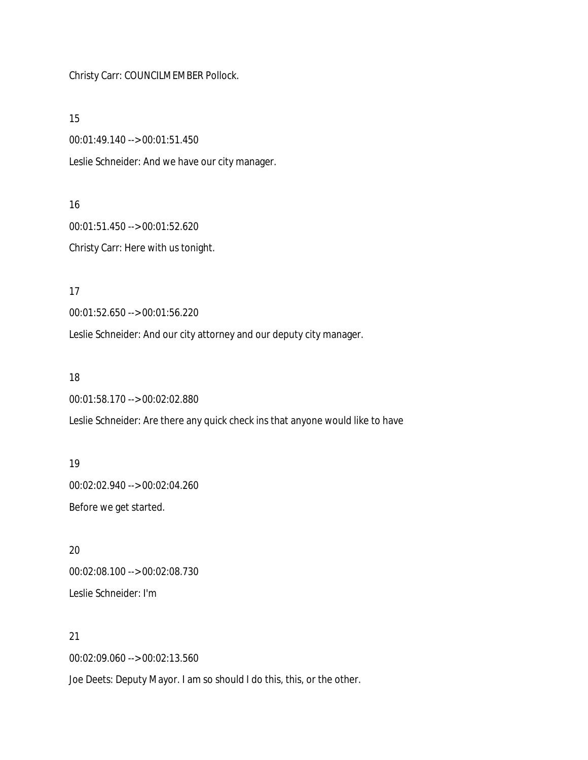Christy Carr: COUNCILMEMBER Pollock.

15

00:01:49.140 --> 00:01:51.450

Leslie Schneider: And we have our city manager.

16

00:01:51.450 --> 00:01:52.620 Christy Carr: Here with us tonight.

17

00:01:52.650 --> 00:01:56.220

Leslie Schneider: And our city attorney and our deputy city manager.

18

00:01:58.170 --> 00:02:02.880

Leslie Schneider: Are there any quick check ins that anyone would like to have

19 00:02:02.940 --> 00:02:04.260 Before we get started.

20 00:02:08.100 --> 00:02:08.730 Leslie Schneider: I'm

21

00:02:09.060 --> 00:02:13.560

Joe Deets: Deputy Mayor. I am so should I do this, this, or the other.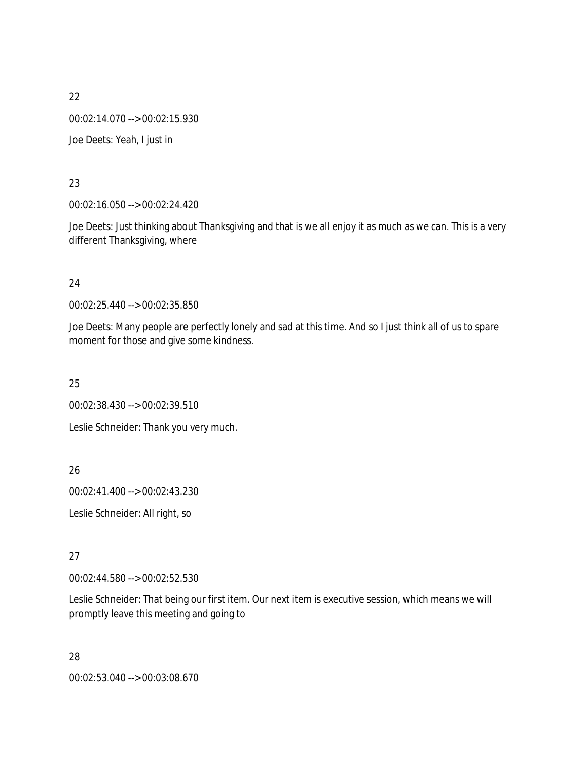00:02:14.070 --> 00:02:15.930

Joe Deets: Yeah, I just in

## 23

00:02:16.050 --> 00:02:24.420

Joe Deets: Just thinking about Thanksgiving and that is we all enjoy it as much as we can. This is a very different Thanksgiving, where

## 24

00:02:25.440 --> 00:02:35.850

Joe Deets: Many people are perfectly lonely and sad at this time. And so I just think all of us to spare moment for those and give some kindness.

25

00:02:38.430 --> 00:02:39.510

Leslie Schneider: Thank you very much.

## 26

00:02:41.400 --> 00:02:43.230

Leslie Schneider: All right, so

## 27

00:02:44.580 --> 00:02:52.530

Leslie Schneider: That being our first item. Our next item is executive session, which means we will promptly leave this meeting and going to

28 00:02:53.040 --> 00:03:08.670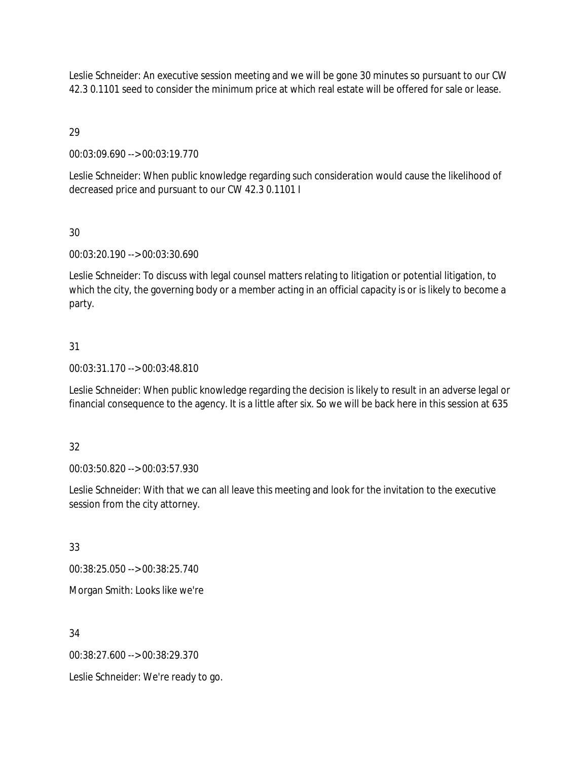Leslie Schneider: An executive session meeting and we will be gone 30 minutes so pursuant to our CW 42.3 0.1101 seed to consider the minimum price at which real estate will be offered for sale or lease.

29

00:03:09.690 --> 00:03:19.770

Leslie Schneider: When public knowledge regarding such consideration would cause the likelihood of decreased price and pursuant to our CW 42.3 0.1101 I

# 30

00:03:20.190 --> 00:03:30.690

Leslie Schneider: To discuss with legal counsel matters relating to litigation or potential litigation, to which the city, the governing body or a member acting in an official capacity is or is likely to become a party.

# 31

00:03:31.170 --> 00:03:48.810

Leslie Schneider: When public knowledge regarding the decision is likely to result in an adverse legal or financial consequence to the agency. It is a little after six. So we will be back here in this session at 635

## 32

00:03:50.820 --> 00:03:57.930

Leslie Schneider: With that we can all leave this meeting and look for the invitation to the executive session from the city attorney.

33

00:38:25.050 --> 00:38:25.740

Morgan Smith: Looks like we're

34

00:38:27.600 --> 00:38:29.370

Leslie Schneider: We're ready to go.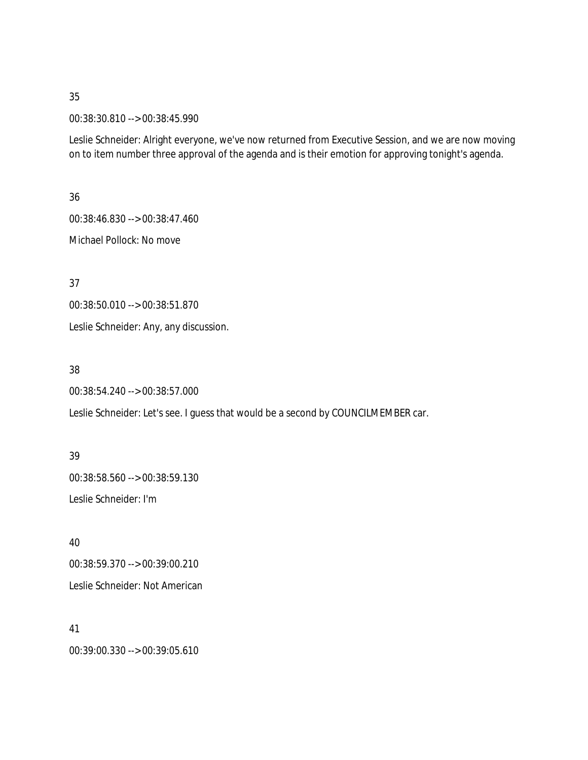00:38:30.810 --> 00:38:45.990

Leslie Schneider: Alright everyone, we've now returned from Executive Session, and we are now moving on to item number three approval of the agenda and is their emotion for approving tonight's agenda.

36

00:38:46.830 --> 00:38:47.460

Michael Pollock: No move

37

00:38:50.010 --> 00:38:51.870

Leslie Schneider: Any, any discussion.

38

00:38:54.240 --> 00:38:57.000

Leslie Schneider: Let's see. I guess that would be a second by COUNCILMEMBER car.

39 00:38:58.560 --> 00:38:59.130 Leslie Schneider: I'm

40 00:38:59.370 --> 00:39:00.210 Leslie Schneider: Not American

41 00:39:00.330 --> 00:39:05.610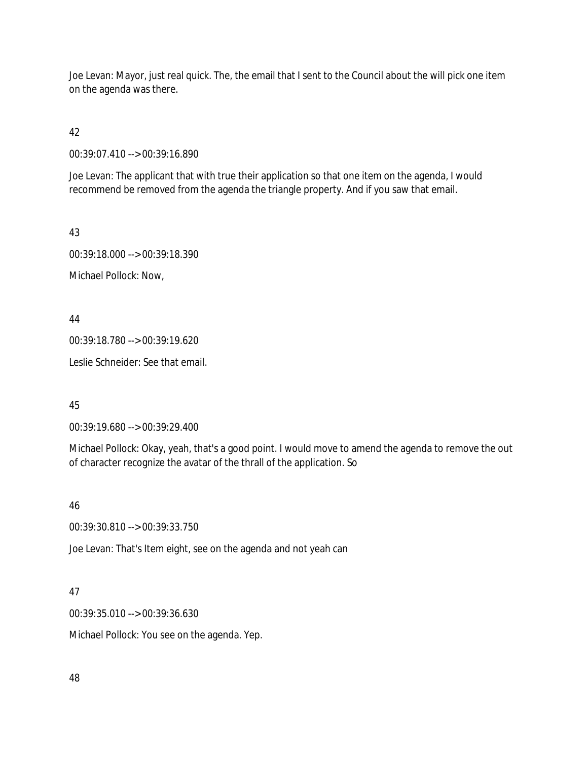Joe Levan: Mayor, just real quick. The, the email that I sent to the Council about the will pick one item on the agenda was there.

42

00:39:07.410 --> 00:39:16.890

Joe Levan: The applicant that with true their application so that one item on the agenda, I would recommend be removed from the agenda the triangle property. And if you saw that email.

43

00:39:18.000 --> 00:39:18.390 Michael Pollock: Now,

44

00:39:18.780 --> 00:39:19.620

Leslie Schneider: See that email.

45

00:39:19.680 --> 00:39:29.400

Michael Pollock: Okay, yeah, that's a good point. I would move to amend the agenda to remove the out of character recognize the avatar of the thrall of the application. So

46

00:39:30.810 --> 00:39:33.750

Joe Levan: That's Item eight, see on the agenda and not yeah can

## 47

00:39:35.010 --> 00:39:36.630

Michael Pollock: You see on the agenda. Yep.

48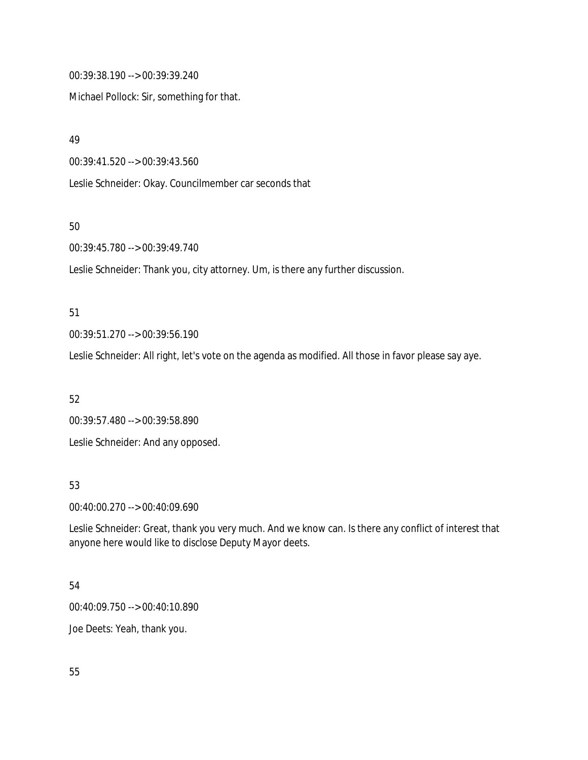00:39:38.190 --> 00:39:39.240

Michael Pollock: Sir, something for that.

49

00:39:41.520 --> 00:39:43.560

Leslie Schneider: Okay. Councilmember car seconds that

50

00:39:45.780 --> 00:39:49.740

Leslie Schneider: Thank you, city attorney. Um, is there any further discussion.

51

00:39:51.270 --> 00:39:56.190

Leslie Schneider: All right, let's vote on the agenda as modified. All those in favor please say aye.

52

00:39:57.480 --> 00:39:58.890 Leslie Schneider: And any opposed.

53

00:40:00.270 --> 00:40:09.690

Leslie Schneider: Great, thank you very much. And we know can. Is there any conflict of interest that anyone here would like to disclose Deputy Mayor deets.

## 54

00:40:09.750 --> 00:40:10.890

Joe Deets: Yeah, thank you.

55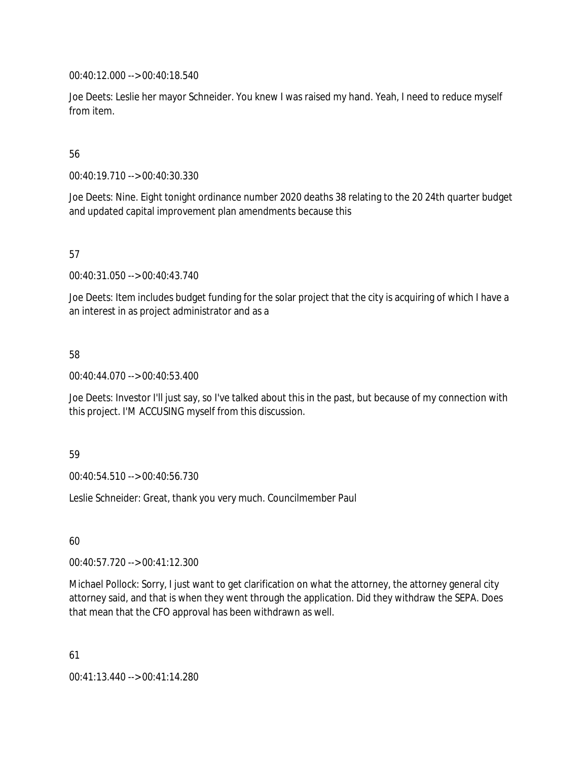00:40:12.000 --> 00:40:18.540

Joe Deets: Leslie her mayor Schneider. You knew I was raised my hand. Yeah, I need to reduce myself from item.

## 56

00:40:19.710 --> 00:40:30.330

Joe Deets: Nine. Eight tonight ordinance number 2020 deaths 38 relating to the 20 24th quarter budget and updated capital improvement plan amendments because this

## 57

00:40:31.050 --> 00:40:43.740

Joe Deets: Item includes budget funding for the solar project that the city is acquiring of which I have a an interest in as project administrator and as a

## 58

00:40:44.070 --> 00:40:53.400

Joe Deets: Investor I'll just say, so I've talked about this in the past, but because of my connection with this project. I'M ACCUSING myself from this discussion.

#### 59

00:40:54.510 --> 00:40:56.730

Leslie Schneider: Great, thank you very much. Councilmember Paul

## 60

00:40:57.720 --> 00:41:12.300

Michael Pollock: Sorry, I just want to get clarification on what the attorney, the attorney general city attorney said, and that is when they went through the application. Did they withdraw the SEPA. Does that mean that the CFO approval has been withdrawn as well.

61

00:41:13.440 --> 00:41:14.280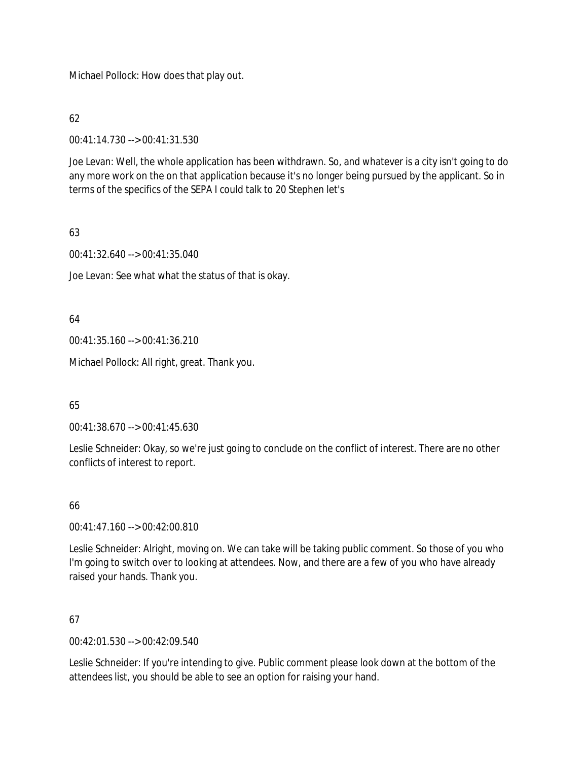Michael Pollock: How does that play out.

62

00:41:14.730 --> 00:41:31.530

Joe Levan: Well, the whole application has been withdrawn. So, and whatever is a city isn't going to do any more work on the on that application because it's no longer being pursued by the applicant. So in terms of the specifics of the SEPA I could talk to 20 Stephen let's

## 63

00:41:32.640 --> 00:41:35.040

Joe Levan: See what what the status of that is okay.

64

00:41:35.160 --> 00:41:36.210

Michael Pollock: All right, great. Thank you.

65

00:41:38.670 --> 00:41:45.630

Leslie Schneider: Okay, so we're just going to conclude on the conflict of interest. There are no other conflicts of interest to report.

## 66

00:41:47.160 --> 00:42:00.810

Leslie Schneider: Alright, moving on. We can take will be taking public comment. So those of you who I'm going to switch over to looking at attendees. Now, and there are a few of you who have already raised your hands. Thank you.

## 67

00:42:01.530 --> 00:42:09.540

Leslie Schneider: If you're intending to give. Public comment please look down at the bottom of the attendees list, you should be able to see an option for raising your hand.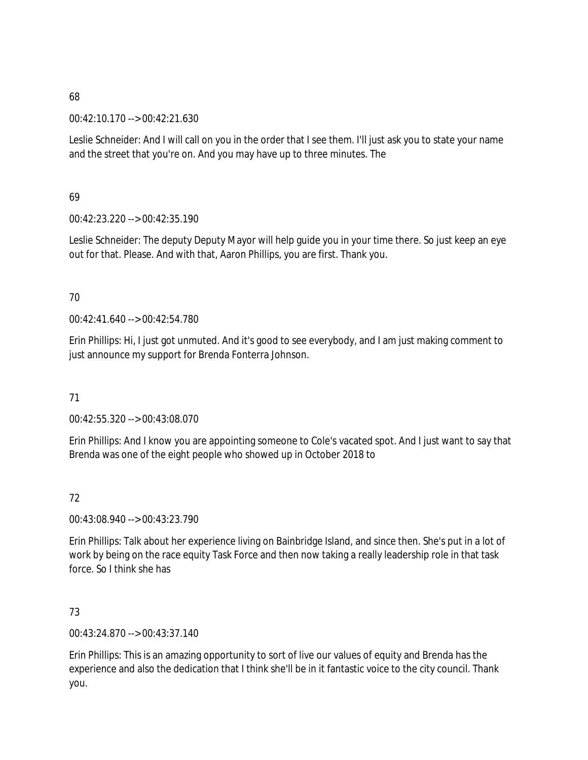00:42:10.170 --> 00:42:21.630

Leslie Schneider: And I will call on you in the order that I see them. I'll just ask you to state your name and the street that you're on. And you may have up to three minutes. The

69

00:42:23.220 --> 00:42:35.190

Leslie Schneider: The deputy Deputy Mayor will help guide you in your time there. So just keep an eye out for that. Please. And with that, Aaron Phillips, you are first. Thank you.

## 70

00:42:41.640 --> 00:42:54.780

Erin Phillips: Hi, I just got unmuted. And it's good to see everybody, and I am just making comment to just announce my support for Brenda Fonterra Johnson.

71

00:42:55.320 --> 00:43:08.070

Erin Phillips: And I know you are appointing someone to Cole's vacated spot. And I just want to say that Brenda was one of the eight people who showed up in October 2018 to

72

00:43:08.940 --> 00:43:23.790

Erin Phillips: Talk about her experience living on Bainbridge Island, and since then. She's put in a lot of work by being on the race equity Task Force and then now taking a really leadership role in that task force. So I think she has

## 73

00:43:24.870 --> 00:43:37.140

Erin Phillips: This is an amazing opportunity to sort of live our values of equity and Brenda has the experience and also the dedication that I think she'll be in it fantastic voice to the city council. Thank you.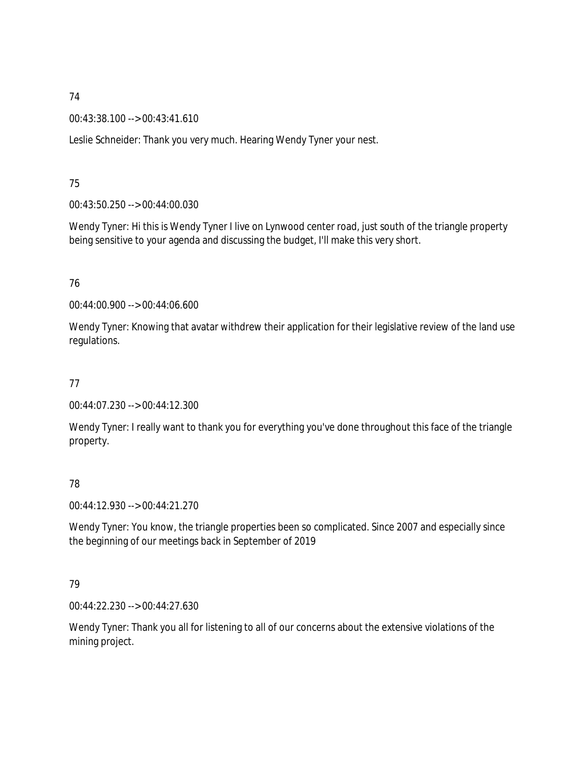00:43:38.100 --> 00:43:41.610

Leslie Schneider: Thank you very much. Hearing Wendy Tyner your nest.

# 75

00:43:50.250 --> 00:44:00.030

Wendy Tyner: Hi this is Wendy Tyner I live on Lynwood center road, just south of the triangle property being sensitive to your agenda and discussing the budget, I'll make this very short.

# 76

00:44:00.900 --> 00:44:06.600

Wendy Tyner: Knowing that avatar withdrew their application for their legislative review of the land use regulations.

# 77

00:44:07.230 --> 00:44:12.300

Wendy Tyner: I really want to thank you for everything you've done throughout this face of the triangle property.

# 78

00:44:12.930 --> 00:44:21.270

Wendy Tyner: You know, the triangle properties been so complicated. Since 2007 and especially since the beginning of our meetings back in September of 2019

## 79

00:44:22.230 --> 00:44:27.630

Wendy Tyner: Thank you all for listening to all of our concerns about the extensive violations of the mining project.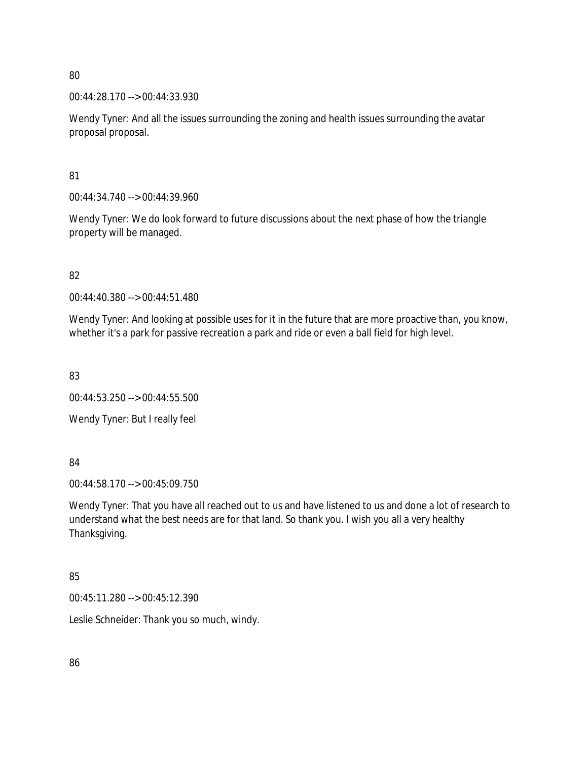00:44:28.170 --> 00:44:33.930

Wendy Tyner: And all the issues surrounding the zoning and health issues surrounding the avatar proposal proposal.

81

00:44:34.740 --> 00:44:39.960

Wendy Tyner: We do look forward to future discussions about the next phase of how the triangle property will be managed.

82

00:44:40.380 --> 00:44:51.480

Wendy Tyner: And looking at possible uses for it in the future that are more proactive than, you know, whether it's a park for passive recreation a park and ride or even a ball field for high level.

83

00:44:53.250 --> 00:44:55.500

Wendy Tyner: But I really feel

84

00:44:58.170 --> 00:45:09.750

Wendy Tyner: That you have all reached out to us and have listened to us and done a lot of research to understand what the best needs are for that land. So thank you. I wish you all a very healthy Thanksgiving.

## 85

00:45:11.280 --> 00:45:12.390

Leslie Schneider: Thank you so much, windy.

86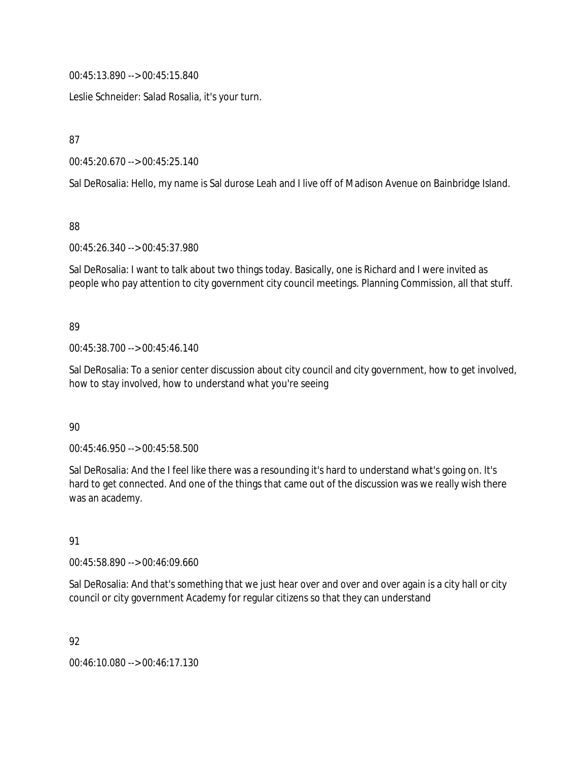00:45:13.890 --> 00:45:15.840

Leslie Schneider: Salad Rosalia, it's your turn.

87

00:45:20.670 --> 00:45:25.140

Sal DeRosalia: Hello, my name is Sal durose Leah and I live off of Madison Avenue on Bainbridge Island.

88

00:45:26.340 --> 00:45:37.980

Sal DeRosalia: I want to talk about two things today. Basically, one is Richard and I were invited as people who pay attention to city government city council meetings. Planning Commission, all that stuff.

#### 89

00:45:38.700 --> 00:45:46.140

Sal DeRosalia: To a senior center discussion about city council and city government, how to get involved, how to stay involved, how to understand what you're seeing

#### 90

00:45:46.950 --> 00:45:58.500

Sal DeRosalia: And the I feel like there was a resounding it's hard to understand what's going on. It's hard to get connected. And one of the things that came out of the discussion was we really wish there was an academy.

#### 91

00:45:58.890 --> 00:46:09.660

Sal DeRosalia: And that's something that we just hear over and over and over again is a city hall or city council or city government Academy for regular citizens so that they can understand

92

00:46:10.080 --> 00:46:17.130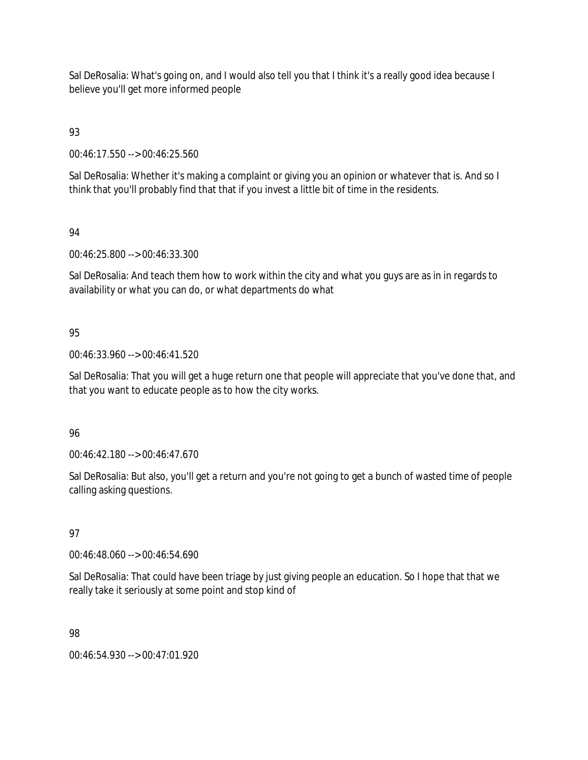Sal DeRosalia: What's going on, and I would also tell you that I think it's a really good idea because I believe you'll get more informed people

93

00:46:17.550 --> 00:46:25.560

Sal DeRosalia: Whether it's making a complaint or giving you an opinion or whatever that is. And so I think that you'll probably find that that if you invest a little bit of time in the residents.

94

00:46:25.800 --> 00:46:33.300

Sal DeRosalia: And teach them how to work within the city and what you guys are as in in regards to availability or what you can do, or what departments do what

# 95

00:46:33.960 --> 00:46:41.520

Sal DeRosalia: That you will get a huge return one that people will appreciate that you've done that, and that you want to educate people as to how the city works.

## 96

00:46:42.180 --> 00:46:47.670

Sal DeRosalia: But also, you'll get a return and you're not going to get a bunch of wasted time of people calling asking questions.

## 97

00:46:48.060 --> 00:46:54.690

Sal DeRosalia: That could have been triage by just giving people an education. So I hope that that we really take it seriously at some point and stop kind of

## 98

00:46:54.930 --> 00:47:01.920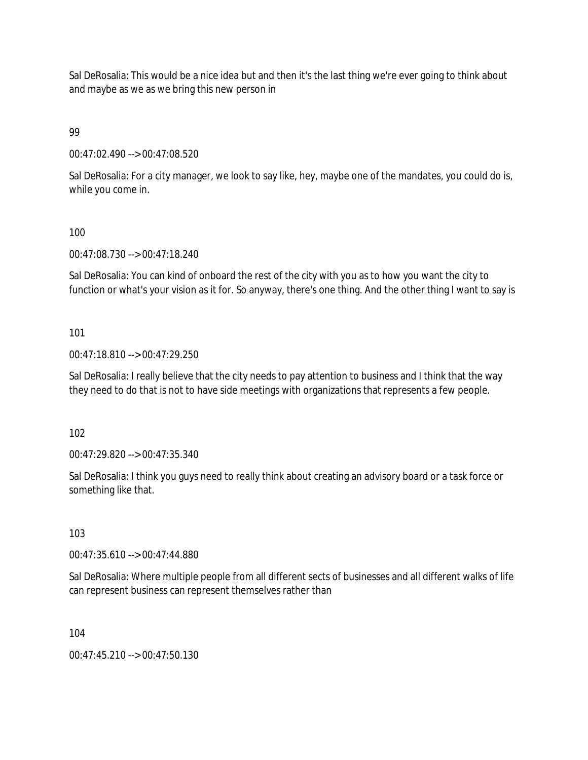Sal DeRosalia: This would be a nice idea but and then it's the last thing we're ever going to think about and maybe as we as we bring this new person in

99

00:47:02.490 --> 00:47:08.520

Sal DeRosalia: For a city manager, we look to say like, hey, maybe one of the mandates, you could do is, while you come in.

#### 100

00:47:08.730 --> 00:47:18.240

Sal DeRosalia: You can kind of onboard the rest of the city with you as to how you want the city to function or what's your vision as it for. So anyway, there's one thing. And the other thing I want to say is

## 101

00:47:18.810 --> 00:47:29.250

Sal DeRosalia: I really believe that the city needs to pay attention to business and I think that the way they need to do that is not to have side meetings with organizations that represents a few people.

102

00:47:29.820 --> 00:47:35.340

Sal DeRosalia: I think you guys need to really think about creating an advisory board or a task force or something like that.

#### 103

00:47:35.610 --> 00:47:44.880

Sal DeRosalia: Where multiple people from all different sects of businesses and all different walks of life can represent business can represent themselves rather than

104

00:47:45.210 --> 00:47:50.130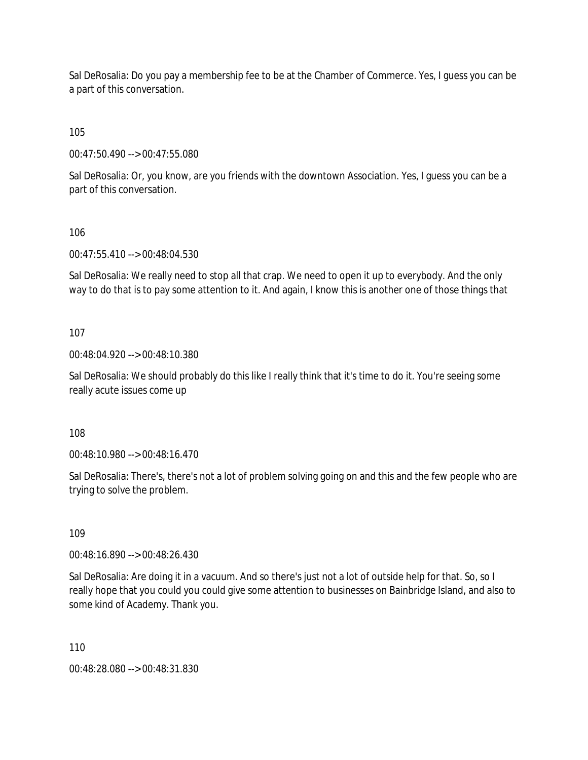Sal DeRosalia: Do you pay a membership fee to be at the Chamber of Commerce. Yes, I guess you can be a part of this conversation.

105

00:47:50.490 --> 00:47:55.080

Sal DeRosalia: Or, you know, are you friends with the downtown Association. Yes, I guess you can be a part of this conversation.

106

00:47:55.410 --> 00:48:04.530

Sal DeRosalia: We really need to stop all that crap. We need to open it up to everybody. And the only way to do that is to pay some attention to it. And again, I know this is another one of those things that

107

00:48:04.920 --> 00:48:10.380

Sal DeRosalia: We should probably do this like I really think that it's time to do it. You're seeing some really acute issues come up

108

00:48:10.980 --> 00:48:16.470

Sal DeRosalia: There's, there's not a lot of problem solving going on and this and the few people who are trying to solve the problem.

109

00:48:16.890 --> 00:48:26.430

Sal DeRosalia: Are doing it in a vacuum. And so there's just not a lot of outside help for that. So, so I really hope that you could you could give some attention to businesses on Bainbridge Island, and also to some kind of Academy. Thank you.

110

00:48:28.080 --> 00:48:31.830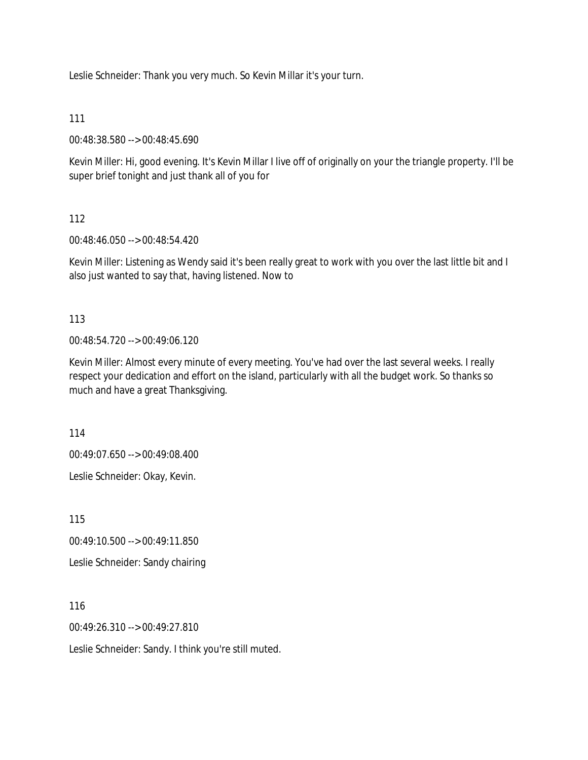Leslie Schneider: Thank you very much. So Kevin Millar it's your turn.

111

00:48:38.580 --> 00:48:45.690

Kevin Miller: Hi, good evening. It's Kevin Millar I live off of originally on your the triangle property. I'll be super brief tonight and just thank all of you for

112

00:48:46.050 --> 00:48:54.420

Kevin Miller: Listening as Wendy said it's been really great to work with you over the last little bit and I also just wanted to say that, having listened. Now to

113

00:48:54.720 --> 00:49:06.120

Kevin Miller: Almost every minute of every meeting. You've had over the last several weeks. I really respect your dedication and effort on the island, particularly with all the budget work. So thanks so much and have a great Thanksgiving.

114

00:49:07.650 --> 00:49:08.400

Leslie Schneider: Okay, Kevin.

115

00:49:10.500 --> 00:49:11.850

Leslie Schneider: Sandy chairing

116

00:49:26.310 --> 00:49:27.810

Leslie Schneider: Sandy. I think you're still muted.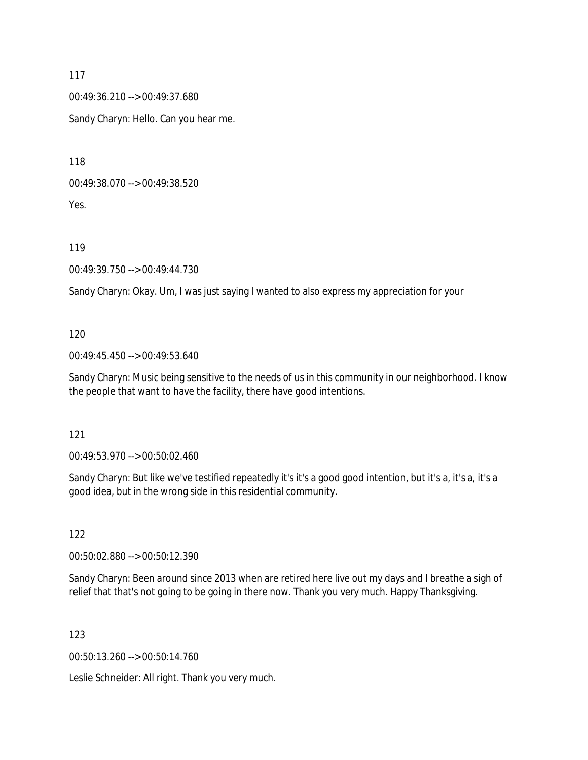00:49:36.210 --> 00:49:37.680

Sandy Charyn: Hello. Can you hear me.

118

00:49:38.070 --> 00:49:38.520

Yes.

119

00:49:39.750 --> 00:49:44.730

Sandy Charyn: Okay. Um, I was just saying I wanted to also express my appreciation for your

120

00:49:45.450 --> 00:49:53.640

Sandy Charyn: Music being sensitive to the needs of us in this community in our neighborhood. I know the people that want to have the facility, there have good intentions.

121

00:49:53.970 --> 00:50:02.460

Sandy Charyn: But like we've testified repeatedly it's it's a good good intention, but it's a, it's a, it's a good idea, but in the wrong side in this residential community.

122

00:50:02.880 --> 00:50:12.390

Sandy Charyn: Been around since 2013 when are retired here live out my days and I breathe a sigh of relief that that's not going to be going in there now. Thank you very much. Happy Thanksgiving.

123

00:50:13.260 --> 00:50:14.760

Leslie Schneider: All right. Thank you very much.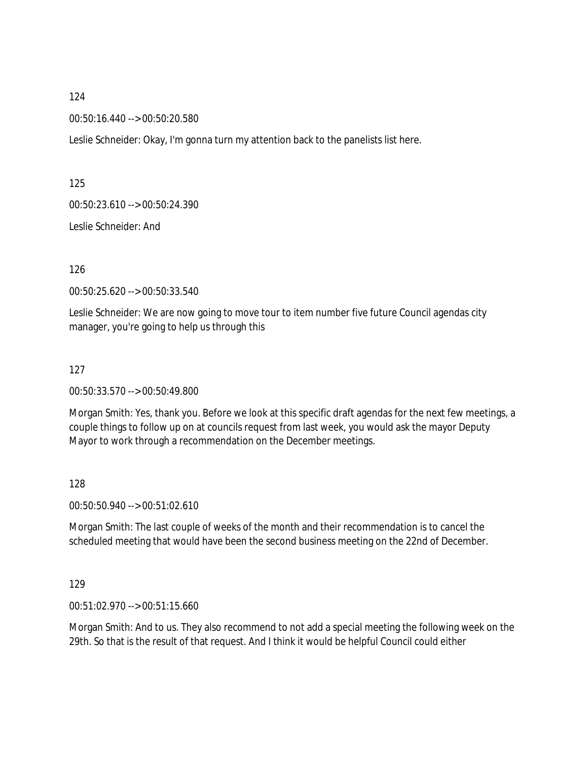00:50:16.440 --> 00:50:20.580

Leslie Schneider: Okay, I'm gonna turn my attention back to the panelists list here.

125

00:50:23.610 --> 00:50:24.390

Leslie Schneider: And

126

00:50:25.620 --> 00:50:33.540

Leslie Schneider: We are now going to move tour to item number five future Council agendas city manager, you're going to help us through this

127

00:50:33.570 --> 00:50:49.800

Morgan Smith: Yes, thank you. Before we look at this specific draft agendas for the next few meetings, a couple things to follow up on at councils request from last week, you would ask the mayor Deputy Mayor to work through a recommendation on the December meetings.

128

00:50:50.940 --> 00:51:02.610

Morgan Smith: The last couple of weeks of the month and their recommendation is to cancel the scheduled meeting that would have been the second business meeting on the 22nd of December.

129

00:51:02.970 --> 00:51:15.660

Morgan Smith: And to us. They also recommend to not add a special meeting the following week on the 29th. So that is the result of that request. And I think it would be helpful Council could either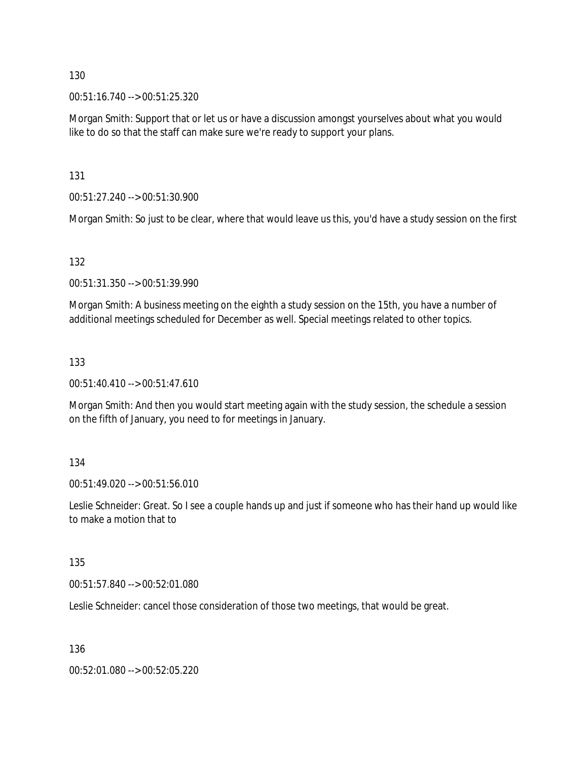00:51:16.740 --> 00:51:25.320

Morgan Smith: Support that or let us or have a discussion amongst yourselves about what you would like to do so that the staff can make sure we're ready to support your plans.

131

00:51:27.240 --> 00:51:30.900

Morgan Smith: So just to be clear, where that would leave us this, you'd have a study session on the first

132

00:51:31.350 --> 00:51:39.990

Morgan Smith: A business meeting on the eighth a study session on the 15th, you have a number of additional meetings scheduled for December as well. Special meetings related to other topics.

#### 133

00:51:40.410 --> 00:51:47.610

Morgan Smith: And then you would start meeting again with the study session, the schedule a session on the fifth of January, you need to for meetings in January.

#### 134

00:51:49.020 --> 00:51:56.010

Leslie Schneider: Great. So I see a couple hands up and just if someone who has their hand up would like to make a motion that to

#### 135

00:51:57.840 --> 00:52:01.080

Leslie Schneider: cancel those consideration of those two meetings, that would be great.

136

00:52:01.080 --> 00:52:05.220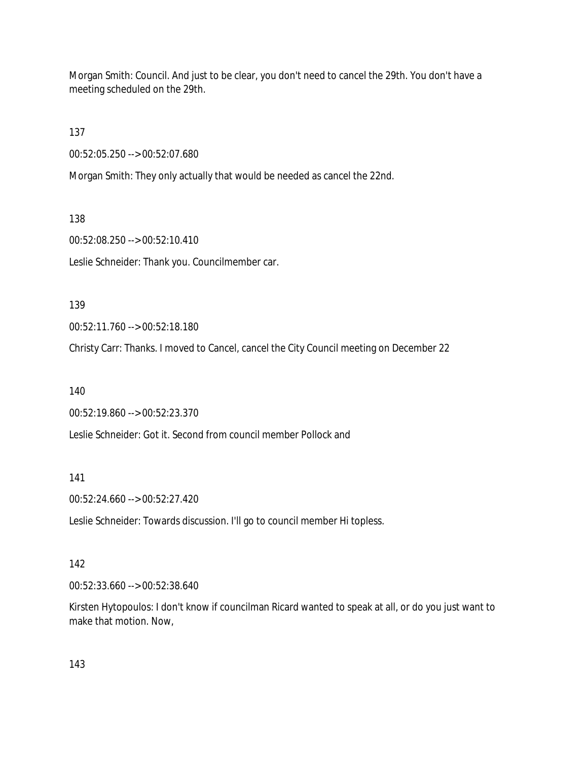Morgan Smith: Council. And just to be clear, you don't need to cancel the 29th. You don't have a meeting scheduled on the 29th.

137

00:52:05.250 --> 00:52:07.680

Morgan Smith: They only actually that would be needed as cancel the 22nd.

138

00:52:08.250 --> 00:52:10.410

Leslie Schneider: Thank you. Councilmember car.

139

00:52:11.760 --> 00:52:18.180

Christy Carr: Thanks. I moved to Cancel, cancel the City Council meeting on December 22

140

00:52:19.860 --> 00:52:23.370

Leslie Schneider: Got it. Second from council member Pollock and

141

00:52:24.660 --> 00:52:27.420

Leslie Schneider: Towards discussion. I'll go to council member Hi topless.

#### 142

00:52:33.660 --> 00:52:38.640

Kirsten Hytopoulos: I don't know if councilman Ricard wanted to speak at all, or do you just want to make that motion. Now,

143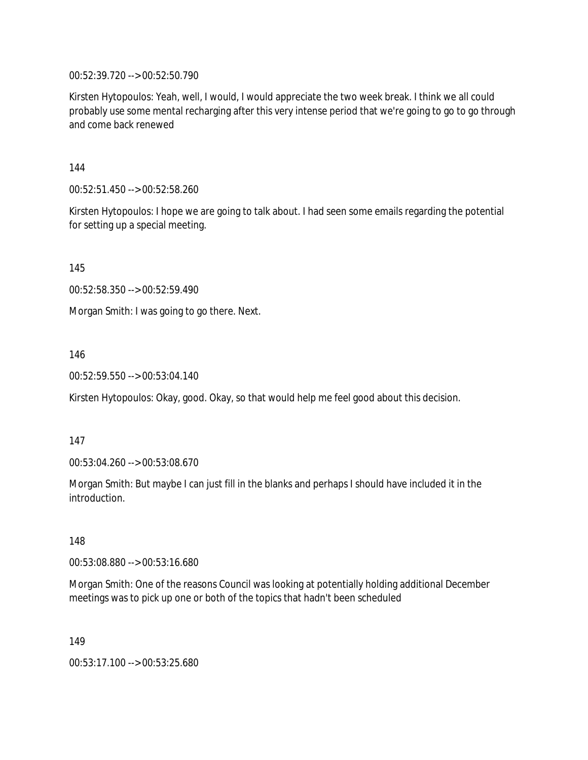00:52:39.720 --> 00:52:50.790

Kirsten Hytopoulos: Yeah, well, I would, I would appreciate the two week break. I think we all could probably use some mental recharging after this very intense period that we're going to go to go through and come back renewed

144

00:52:51.450 --> 00:52:58.260

Kirsten Hytopoulos: I hope we are going to talk about. I had seen some emails regarding the potential for setting up a special meeting.

145

00:52:58.350 --> 00:52:59.490

Morgan Smith: I was going to go there. Next.

146

00:52:59.550 --> 00:53:04.140

Kirsten Hytopoulos: Okay, good. Okay, so that would help me feel good about this decision.

147

00:53:04.260 --> 00:53:08.670

Morgan Smith: But maybe I can just fill in the blanks and perhaps I should have included it in the introduction.

148

00:53:08.880 --> 00:53:16.680

Morgan Smith: One of the reasons Council was looking at potentially holding additional December meetings was to pick up one or both of the topics that hadn't been scheduled

149

00:53:17.100 --> 00:53:25.680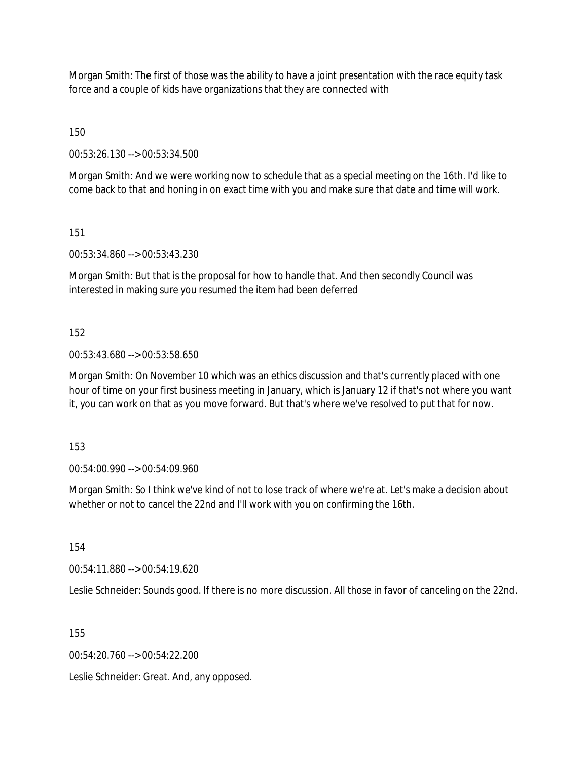Morgan Smith: The first of those was the ability to have a joint presentation with the race equity task force and a couple of kids have organizations that they are connected with

150

00:53:26.130 --> 00:53:34.500

Morgan Smith: And we were working now to schedule that as a special meeting on the 16th. I'd like to come back to that and honing in on exact time with you and make sure that date and time will work.

151

00:53:34.860 --> 00:53:43.230

Morgan Smith: But that is the proposal for how to handle that. And then secondly Council was interested in making sure you resumed the item had been deferred

152

00:53:43.680 --> 00:53:58.650

Morgan Smith: On November 10 which was an ethics discussion and that's currently placed with one hour of time on your first business meeting in January, which is January 12 if that's not where you want it, you can work on that as you move forward. But that's where we've resolved to put that for now.

153

00:54:00.990 --> 00:54:09.960

Morgan Smith: So I think we've kind of not to lose track of where we're at. Let's make a decision about whether or not to cancel the 22nd and I'll work with you on confirming the 16th.

154

00:54:11.880 --> 00:54:19.620

Leslie Schneider: Sounds good. If there is no more discussion. All those in favor of canceling on the 22nd.

155

00:54:20.760 --> 00:54:22.200

Leslie Schneider: Great. And, any opposed.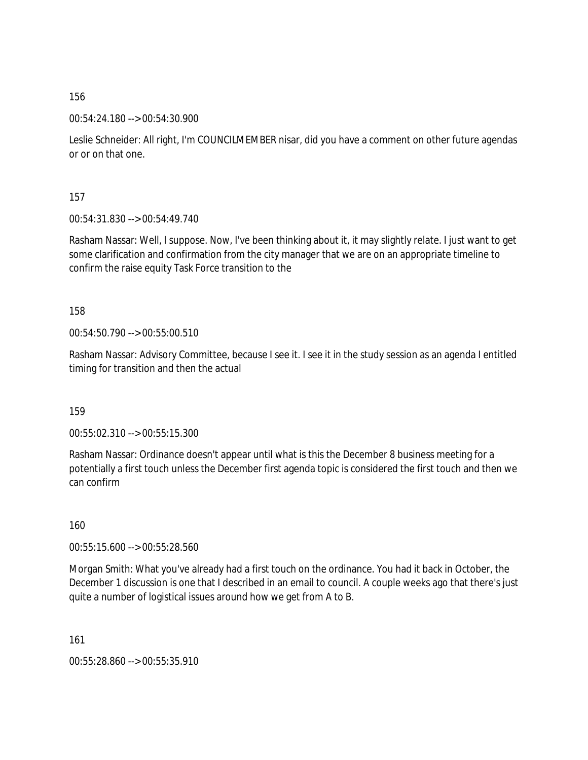00:54:24.180 --> 00:54:30.900

Leslie Schneider: All right, I'm COUNCILMEMBER nisar, did you have a comment on other future agendas or or on that one.

157

00:54:31.830 --> 00:54:49.740

Rasham Nassar: Well, I suppose. Now, I've been thinking about it, it may slightly relate. I just want to get some clarification and confirmation from the city manager that we are on an appropriate timeline to confirm the raise equity Task Force transition to the

158

00:54:50.790 --> 00:55:00.510

Rasham Nassar: Advisory Committee, because I see it. I see it in the study session as an agenda I entitled timing for transition and then the actual

159

00:55:02.310 --> 00:55:15.300

Rasham Nassar: Ordinance doesn't appear until what is this the December 8 business meeting for a potentially a first touch unless the December first agenda topic is considered the first touch and then we can confirm

160

00:55:15.600 --> 00:55:28.560

Morgan Smith: What you've already had a first touch on the ordinance. You had it back in October, the December 1 discussion is one that I described in an email to council. A couple weeks ago that there's just quite a number of logistical issues around how we get from A to B.

161

00:55:28.860 --> 00:55:35.910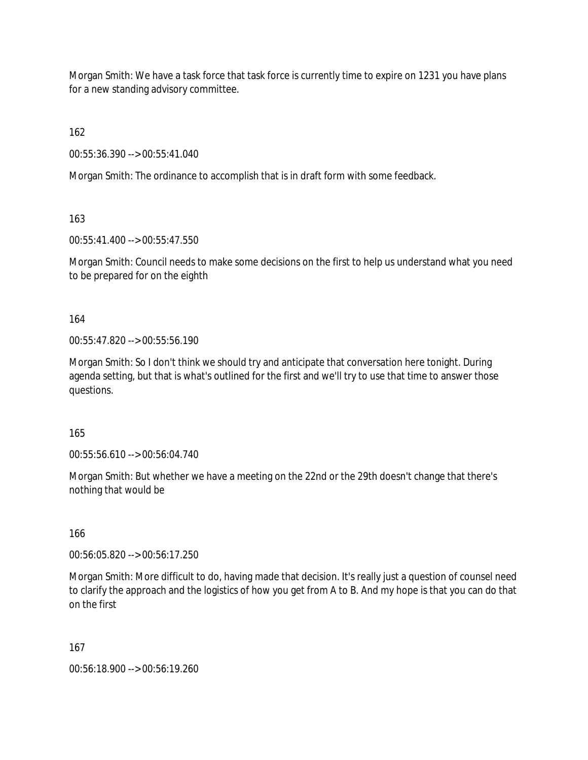Morgan Smith: We have a task force that task force is currently time to expire on 1231 you have plans for a new standing advisory committee.

162

00:55:36.390 --> 00:55:41.040

Morgan Smith: The ordinance to accomplish that is in draft form with some feedback.

163

00:55:41.400 --> 00:55:47.550

Morgan Smith: Council needs to make some decisions on the first to help us understand what you need to be prepared for on the eighth

164

00:55:47.820 --> 00:55:56.190

Morgan Smith: So I don't think we should try and anticipate that conversation here tonight. During agenda setting, but that is what's outlined for the first and we'll try to use that time to answer those questions.

165

00:55:56.610 --> 00:56:04.740

Morgan Smith: But whether we have a meeting on the 22nd or the 29th doesn't change that there's nothing that would be

166

00:56:05.820 --> 00:56:17.250

Morgan Smith: More difficult to do, having made that decision. It's really just a question of counsel need to clarify the approach and the logistics of how you get from A to B. And my hope is that you can do that on the first

167

00:56:18.900 --> 00:56:19.260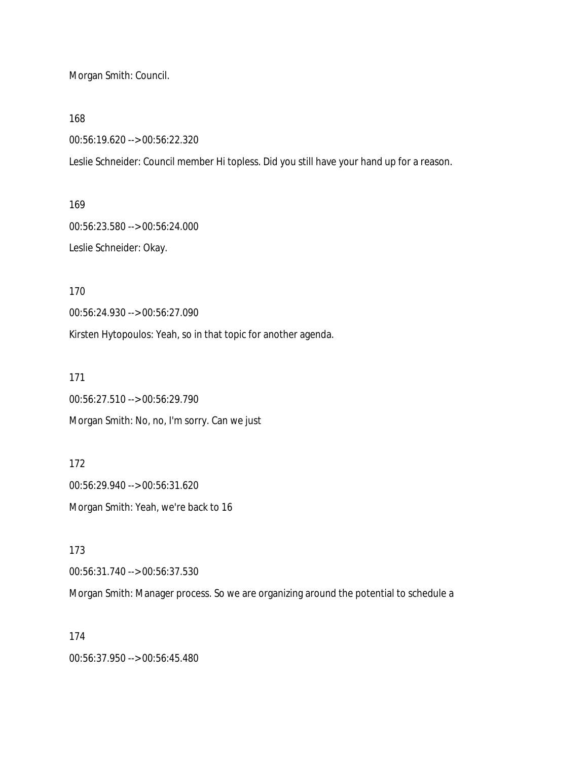Morgan Smith: Council.

168

00:56:19.620 --> 00:56:22.320

Leslie Schneider: Council member Hi topless. Did you still have your hand up for a reason.

169

00:56:23.580 --> 00:56:24.000 Leslie Schneider: Okay.

170

00:56:24.930 --> 00:56:27.090

Kirsten Hytopoulos: Yeah, so in that topic for another agenda.

171

00:56:27.510 --> 00:56:29.790 Morgan Smith: No, no, I'm sorry. Can we just

172 00:56:29.940 --> 00:56:31.620 Morgan Smith: Yeah, we're back to 16

173

00:56:31.740 --> 00:56:37.530

Morgan Smith: Manager process. So we are organizing around the potential to schedule a

174

00:56:37.950 --> 00:56:45.480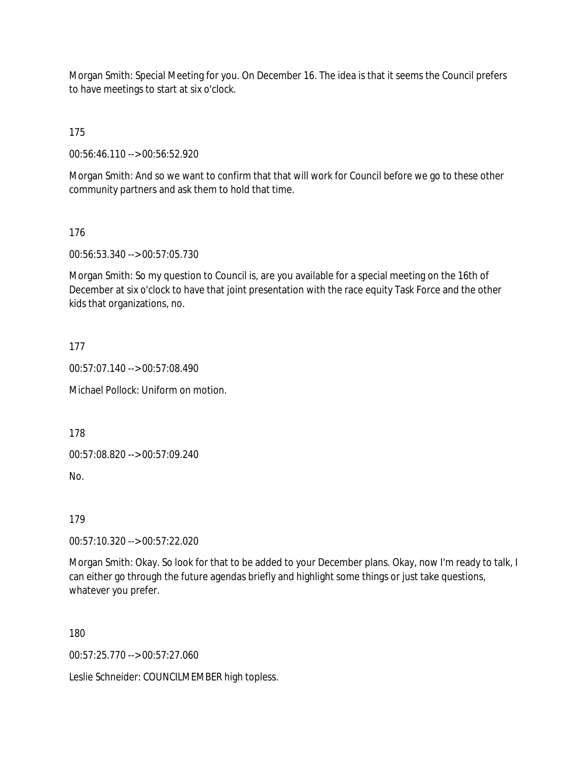Morgan Smith: Special Meeting for you. On December 16. The idea is that it seems the Council prefers to have meetings to start at six o'clock.

175

00:56:46.110 --> 00:56:52.920

Morgan Smith: And so we want to confirm that that will work for Council before we go to these other community partners and ask them to hold that time.

176

00:56:53.340 --> 00:57:05.730

Morgan Smith: So my question to Council is, are you available for a special meeting on the 16th of December at six o'clock to have that joint presentation with the race equity Task Force and the other kids that organizations, no.

177

00:57:07.140 --> 00:57:08.490

Michael Pollock: Uniform on motion.

178

00:57:08.820 --> 00:57:09.240

No.

179

00:57:10.320 --> 00:57:22.020

Morgan Smith: Okay. So look for that to be added to your December plans. Okay, now I'm ready to talk, I can either go through the future agendas briefly and highlight some things or just take questions, whatever you prefer.

180

00:57:25.770 --> 00:57:27.060

Leslie Schneider: COUNCILMEMBER high topless.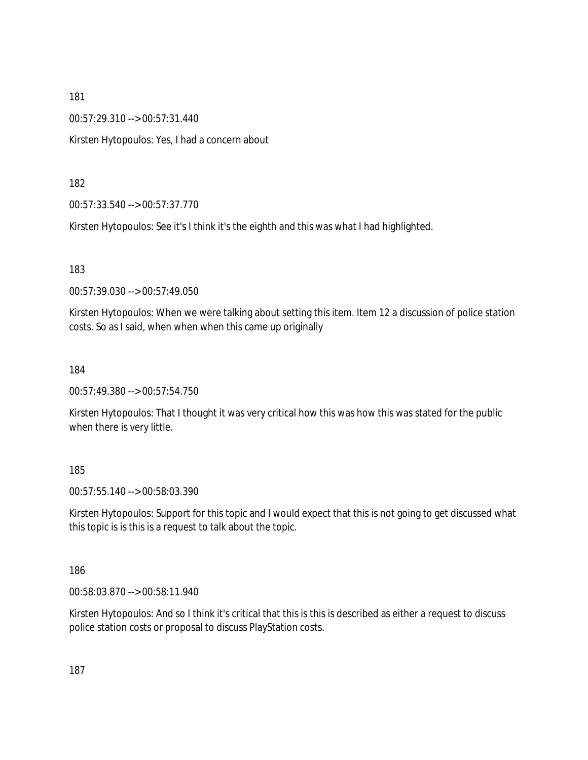00:57:29.310 --> 00:57:31.440

Kirsten Hytopoulos: Yes, I had a concern about

182

00:57:33.540 --> 00:57:37.770

Kirsten Hytopoulos: See it's I think it's the eighth and this was what I had highlighted.

183

00:57:39.030 --> 00:57:49.050

Kirsten Hytopoulos: When we were talking about setting this item. Item 12 a discussion of police station costs. So as I said, when when when this came up originally

184

00:57:49.380 --> 00:57:54.750

Kirsten Hytopoulos: That I thought it was very critical how this was how this was stated for the public when there is very little.

185

00:57:55.140 --> 00:58:03.390

Kirsten Hytopoulos: Support for this topic and I would expect that this is not going to get discussed what this topic is is this is a request to talk about the topic.

186

00:58:03.870 --> 00:58:11.940

Kirsten Hytopoulos: And so I think it's critical that this is this is described as either a request to discuss police station costs or proposal to discuss PlayStation costs.

187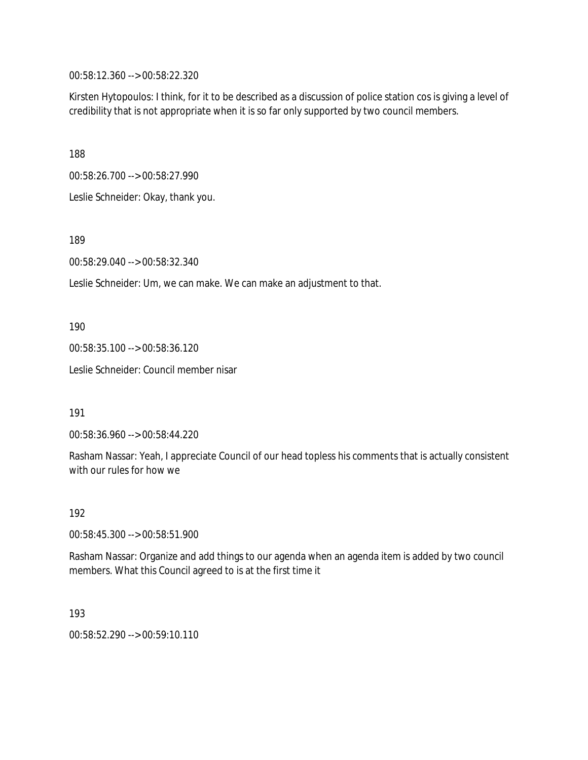00:58:12.360 --> 00:58:22.320

Kirsten Hytopoulos: I think, for it to be described as a discussion of police station cos is giving a level of credibility that is not appropriate when it is so far only supported by two council members.

188

00:58:26.700 --> 00:58:27.990

Leslie Schneider: Okay, thank you.

189

00:58:29.040 --> 00:58:32.340

Leslie Schneider: Um, we can make. We can make an adjustment to that.

190

00:58:35.100 --> 00:58:36.120

Leslie Schneider: Council member nisar

191

00:58:36.960 --> 00:58:44.220

Rasham Nassar: Yeah, I appreciate Council of our head topless his comments that is actually consistent with our rules for how we

192

00:58:45.300 --> 00:58:51.900

Rasham Nassar: Organize and add things to our agenda when an agenda item is added by two council members. What this Council agreed to is at the first time it

193

00:58:52.290 --> 00:59:10.110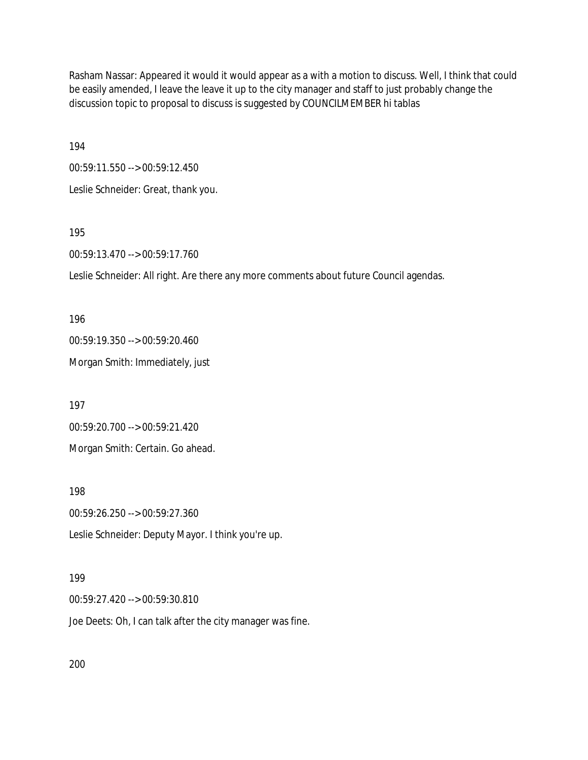Rasham Nassar: Appeared it would it would appear as a with a motion to discuss. Well, I think that could be easily amended, I leave the leave it up to the city manager and staff to just probably change the discussion topic to proposal to discuss is suggested by COUNCILMEMBER hi tablas

194

00:59:11.550 --> 00:59:12.450 Leslie Schneider: Great, thank you.

195

00:59:13.470 --> 00:59:17.760

Leslie Schneider: All right. Are there any more comments about future Council agendas.

196 00:59:19.350 --> 00:59:20.460 Morgan Smith: Immediately, just

197 00:59:20.700 --> 00:59:21.420 Morgan Smith: Certain. Go ahead.

198

00:59:26.250 --> 00:59:27.360

Leslie Schneider: Deputy Mayor. I think you're up.

#### 199

00:59:27.420 --> 00:59:30.810

Joe Deets: Oh, I can talk after the city manager was fine.

200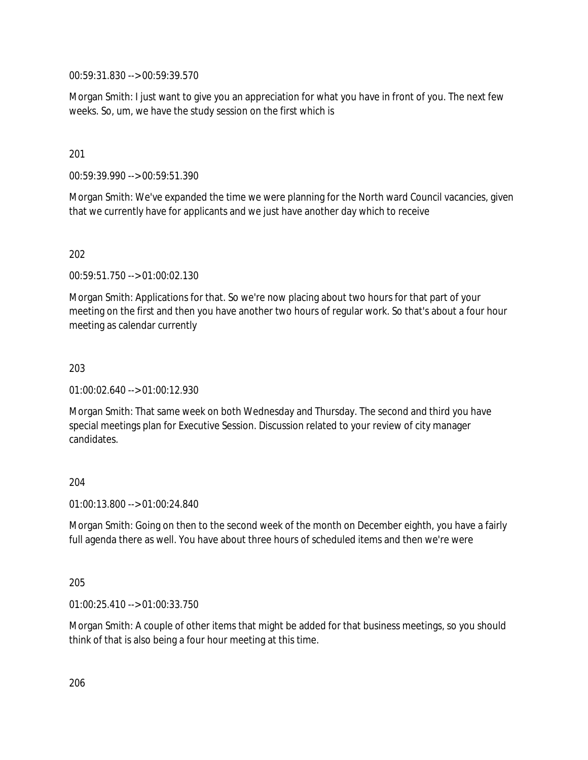00:59:31.830 --> 00:59:39.570

Morgan Smith: I just want to give you an appreciation for what you have in front of you. The next few weeks. So, um, we have the study session on the first which is

201

00:59:39.990 --> 00:59:51.390

Morgan Smith: We've expanded the time we were planning for the North ward Council vacancies, given that we currently have for applicants and we just have another day which to receive

202

00:59:51.750 --> 01:00:02.130

Morgan Smith: Applications for that. So we're now placing about two hours for that part of your meeting on the first and then you have another two hours of regular work. So that's about a four hour meeting as calendar currently

203

01:00:02.640 --> 01:00:12.930

Morgan Smith: That same week on both Wednesday and Thursday. The second and third you have special meetings plan for Executive Session. Discussion related to your review of city manager candidates.

#### 204

01:00:13.800 --> 01:00:24.840

Morgan Smith: Going on then to the second week of the month on December eighth, you have a fairly full agenda there as well. You have about three hours of scheduled items and then we're were

205

01:00:25.410 --> 01:00:33.750

Morgan Smith: A couple of other items that might be added for that business meetings, so you should think of that is also being a four hour meeting at this time.

206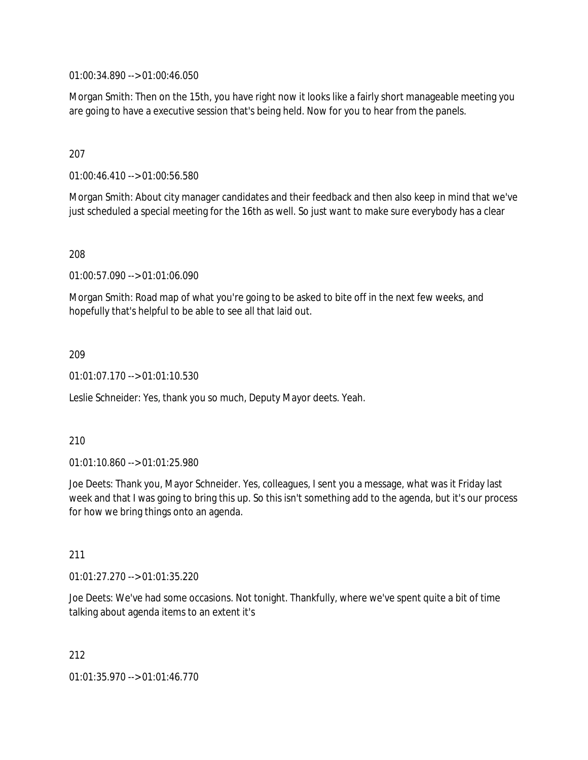01:00:34.890 --> 01:00:46.050

Morgan Smith: Then on the 15th, you have right now it looks like a fairly short manageable meeting you are going to have a executive session that's being held. Now for you to hear from the panels.

## 207

01:00:46.410 --> 01:00:56.580

Morgan Smith: About city manager candidates and their feedback and then also keep in mind that we've just scheduled a special meeting for the 16th as well. So just want to make sure everybody has a clear

208

01:00:57.090 --> 01:01:06.090

Morgan Smith: Road map of what you're going to be asked to bite off in the next few weeks, and hopefully that's helpful to be able to see all that laid out.

## 209

01:01:07.170 --> 01:01:10.530

Leslie Schneider: Yes, thank you so much, Deputy Mayor deets. Yeah.

#### 210

01:01:10.860 --> 01:01:25.980

Joe Deets: Thank you, Mayor Schneider. Yes, colleagues, I sent you a message, what was it Friday last week and that I was going to bring this up. So this isn't something add to the agenda, but it's our process for how we bring things onto an agenda.

#### 211

01:01:27.270 --> 01:01:35.220

Joe Deets: We've had some occasions. Not tonight. Thankfully, where we've spent quite a bit of time talking about agenda items to an extent it's

212

01:01:35.970 --> 01:01:46.770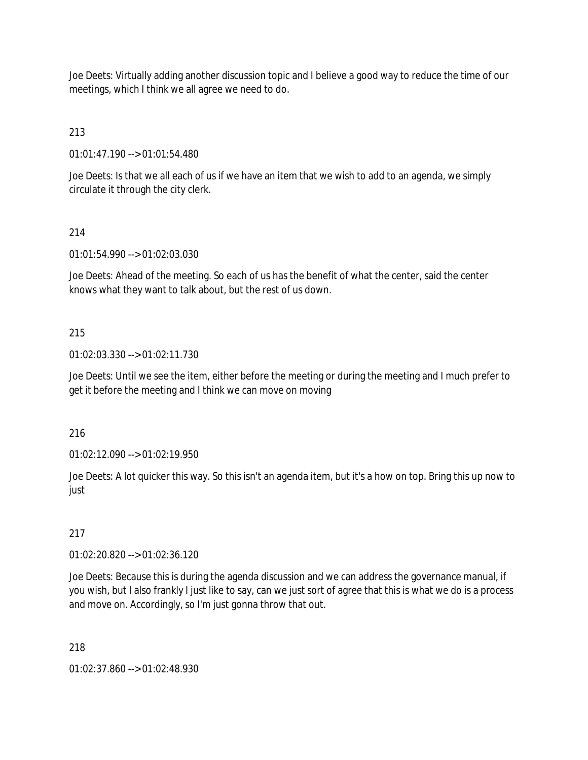Joe Deets: Virtually adding another discussion topic and I believe a good way to reduce the time of our meetings, which I think we all agree we need to do.

213

01:01:47.190 --> 01:01:54.480

Joe Deets: Is that we all each of us if we have an item that we wish to add to an agenda, we simply circulate it through the city clerk.

## 214

01:01:54.990 --> 01:02:03.030

Joe Deets: Ahead of the meeting. So each of us has the benefit of what the center, said the center knows what they want to talk about, but the rest of us down.

## 215

01:02:03.330 --> 01:02:11.730

Joe Deets: Until we see the item, either before the meeting or during the meeting and I much prefer to get it before the meeting and I think we can move on moving

216

01:02:12.090 --> 01:02:19.950

Joe Deets: A lot quicker this way. So this isn't an agenda item, but it's a how on top. Bring this up now to just

## 217

01:02:20.820 --> 01:02:36.120

Joe Deets: Because this is during the agenda discussion and we can address the governance manual, if you wish, but I also frankly I just like to say, can we just sort of agree that this is what we do is a process and move on. Accordingly, so I'm just gonna throw that out.

## 218

01:02:37.860 --> 01:02:48.930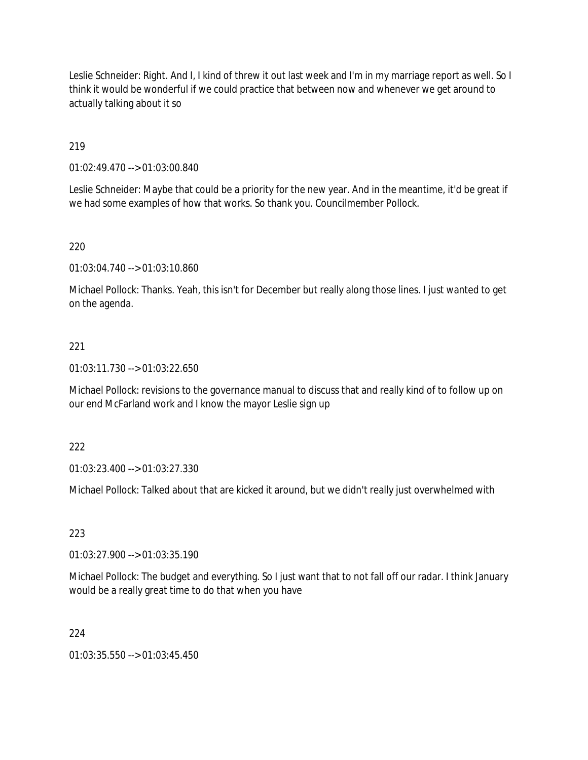Leslie Schneider: Right. And I, I kind of threw it out last week and I'm in my marriage report as well. So I think it would be wonderful if we could practice that between now and whenever we get around to actually talking about it so

## 219

01:02:49.470 --> 01:03:00.840

Leslie Schneider: Maybe that could be a priority for the new year. And in the meantime, it'd be great if we had some examples of how that works. So thank you. Councilmember Pollock.

## 220

01:03:04.740 --> 01:03:10.860

Michael Pollock: Thanks. Yeah, this isn't for December but really along those lines. I just wanted to get on the agenda.

## 221

01:03:11.730 --> 01:03:22.650

Michael Pollock: revisions to the governance manual to discuss that and really kind of to follow up on our end McFarland work and I know the mayor Leslie sign up

#### 222

01:03:23.400 --> 01:03:27.330

Michael Pollock: Talked about that are kicked it around, but we didn't really just overwhelmed with

#### 223

01:03:27.900 --> 01:03:35.190

Michael Pollock: The budget and everything. So I just want that to not fall off our radar. I think January would be a really great time to do that when you have

#### 224

01:03:35.550 --> 01:03:45.450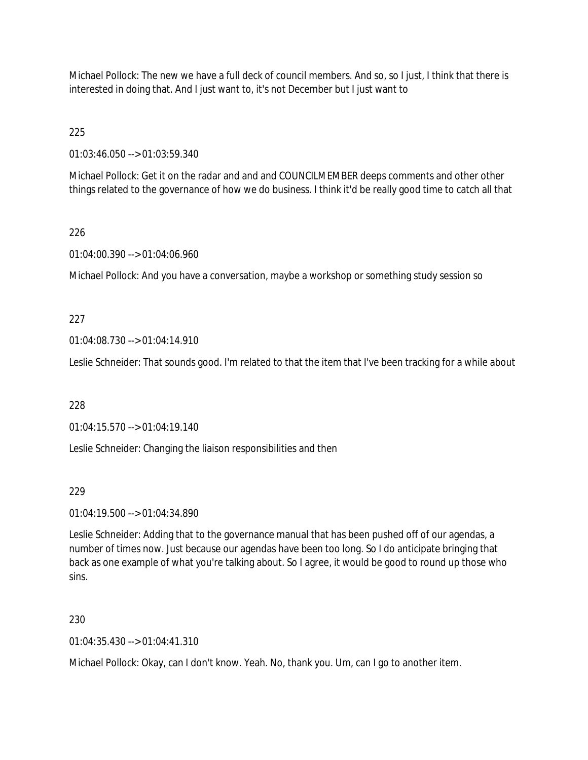Michael Pollock: The new we have a full deck of council members. And so, so I just, I think that there is interested in doing that. And I just want to, it's not December but I just want to

225

01:03:46.050 --> 01:03:59.340

Michael Pollock: Get it on the radar and and and COUNCILMEMBER deeps comments and other other things related to the governance of how we do business. I think it'd be really good time to catch all that

## 226

01:04:00.390 --> 01:04:06.960

Michael Pollock: And you have a conversation, maybe a workshop or something study session so

## 227

01:04:08.730 --> 01:04:14.910

Leslie Schneider: That sounds good. I'm related to that the item that I've been tracking for a while about

228

01:04:15.570 --> 01:04:19.140

Leslie Schneider: Changing the liaison responsibilities and then

#### 229

01:04:19.500 --> 01:04:34.890

Leslie Schneider: Adding that to the governance manual that has been pushed off of our agendas, a number of times now. Just because our agendas have been too long. So I do anticipate bringing that back as one example of what you're talking about. So I agree, it would be good to round up those who sins.

#### 230

01:04:35.430 --> 01:04:41.310

Michael Pollock: Okay, can I don't know. Yeah. No, thank you. Um, can I go to another item.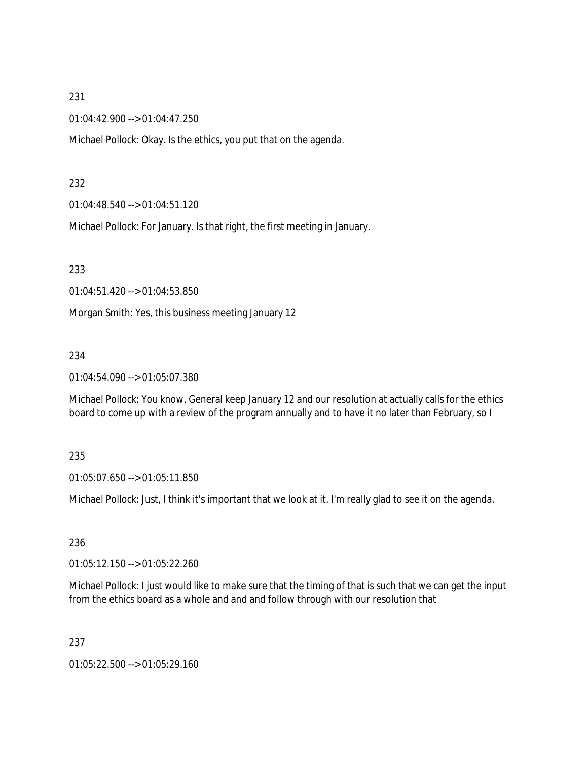#### 231

01:04:42.900 --> 01:04:47.250

Michael Pollock: Okay. Is the ethics, you put that on the agenda.

#### 232

01:04:48.540 --> 01:04:51.120

Michael Pollock: For January. Is that right, the first meeting in January.

233

01:04:51.420 --> 01:04:53.850

Morgan Smith: Yes, this business meeting January 12

#### 234

01:04:54.090 --> 01:05:07.380

Michael Pollock: You know, General keep January 12 and our resolution at actually calls for the ethics board to come up with a review of the program annually and to have it no later than February, so I

#### 235

01:05:07.650 --> 01:05:11.850

Michael Pollock: Just, I think it's important that we look at it. I'm really glad to see it on the agenda.

#### 236

01:05:12.150 --> 01:05:22.260

Michael Pollock: I just would like to make sure that the timing of that is such that we can get the input from the ethics board as a whole and and and follow through with our resolution that

#### 237

01:05:22.500 --> 01:05:29.160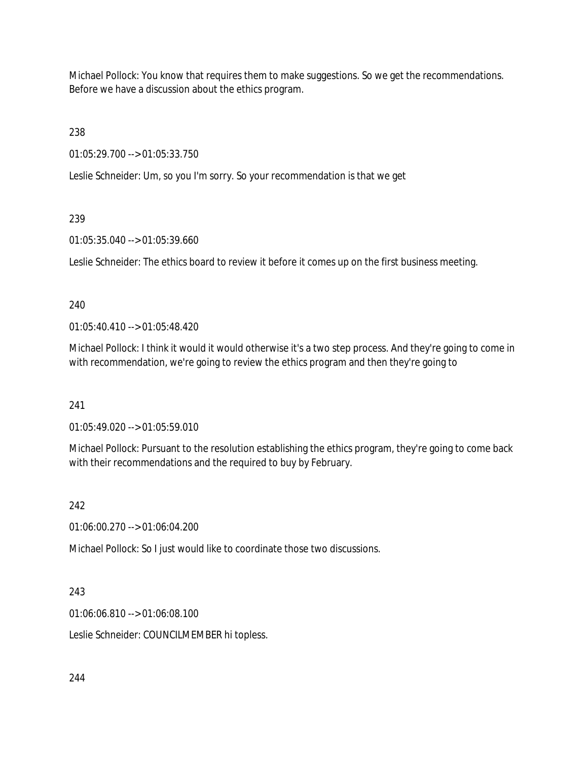Michael Pollock: You know that requires them to make suggestions. So we get the recommendations. Before we have a discussion about the ethics program.

238

01:05:29.700 --> 01:05:33.750

Leslie Schneider: Um, so you I'm sorry. So your recommendation is that we get

# 239

01:05:35.040 --> 01:05:39.660

Leslie Schneider: The ethics board to review it before it comes up on the first business meeting.

## 240

01:05:40.410 --> 01:05:48.420

Michael Pollock: I think it would it would otherwise it's a two step process. And they're going to come in with recommendation, we're going to review the ethics program and then they're going to

### 241

01:05:49.020 --> 01:05:59.010

Michael Pollock: Pursuant to the resolution establishing the ethics program, they're going to come back with their recommendations and the required to buy by February.

# 242

01:06:00.270 --> 01:06:04.200

Michael Pollock: So I just would like to coordinate those two discussions.

### 243

01:06:06.810 --> 01:06:08.100

Leslie Schneider: COUNCILMEMBER hi topless.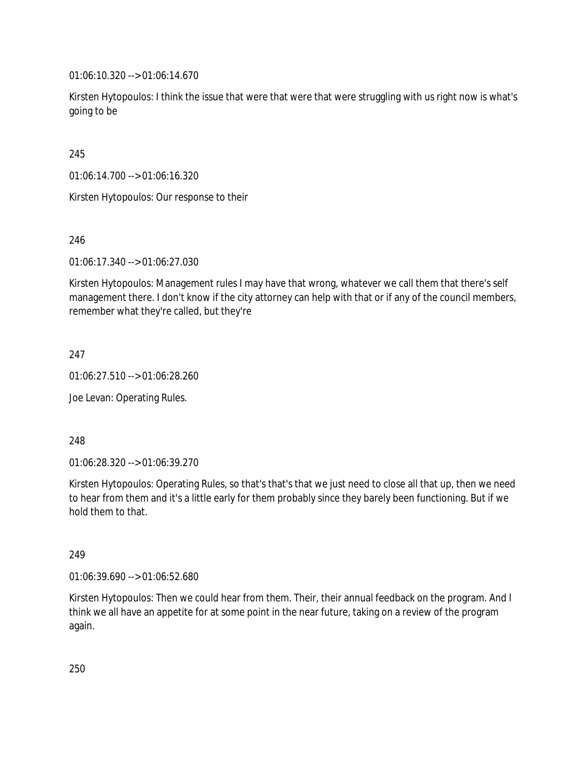01:06:10.320 --> 01:06:14.670

Kirsten Hytopoulos: I think the issue that were that were that were struggling with us right now is what's going to be

245

01:06:14.700 --> 01:06:16.320

Kirsten Hytopoulos: Our response to their

246

01:06:17.340 --> 01:06:27.030

Kirsten Hytopoulos: Management rules I may have that wrong, whatever we call them that there's self management there. I don't know if the city attorney can help with that or if any of the council members, remember what they're called, but they're

247

01:06:27.510 --> 01:06:28.260

Joe Levan: Operating Rules.

248

01:06:28.320 --> 01:06:39.270

Kirsten Hytopoulos: Operating Rules, so that's that's that we just need to close all that up, then we need to hear from them and it's a little early for them probably since they barely been functioning. But if we hold them to that.

249

01:06:39.690 --> 01:06:52.680

Kirsten Hytopoulos: Then we could hear from them. Their, their annual feedback on the program. And I think we all have an appetite for at some point in the near future, taking on a review of the program again.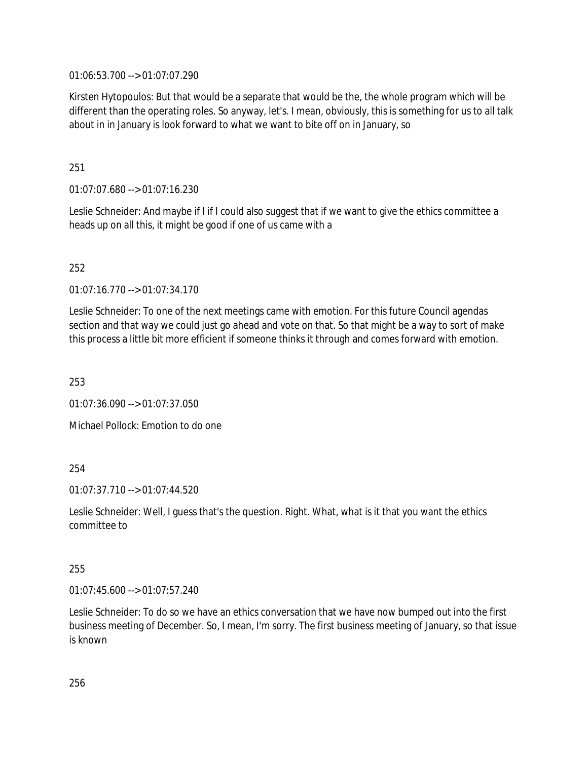01:06:53.700 --> 01:07:07.290

Kirsten Hytopoulos: But that would be a separate that would be the, the whole program which will be different than the operating roles. So anyway, let's. I mean, obviously, this is something for us to all talk about in in January is look forward to what we want to bite off on in January, so

251

01:07:07.680 --> 01:07:16.230

Leslie Schneider: And maybe if I if I could also suggest that if we want to give the ethics committee a heads up on all this, it might be good if one of us came with a

252

01:07:16.770 --> 01:07:34.170

Leslie Schneider: To one of the next meetings came with emotion. For this future Council agendas section and that way we could just go ahead and vote on that. So that might be a way to sort of make this process a little bit more efficient if someone thinks it through and comes forward with emotion.

253

01:07:36.090 --> 01:07:37.050

Michael Pollock: Emotion to do one

254

01:07:37.710 --> 01:07:44.520

Leslie Schneider: Well, I guess that's the question. Right. What, what is it that you want the ethics committee to

255

01:07:45.600 --> 01:07:57.240

Leslie Schneider: To do so we have an ethics conversation that we have now bumped out into the first business meeting of December. So, I mean, I'm sorry. The first business meeting of January, so that issue is known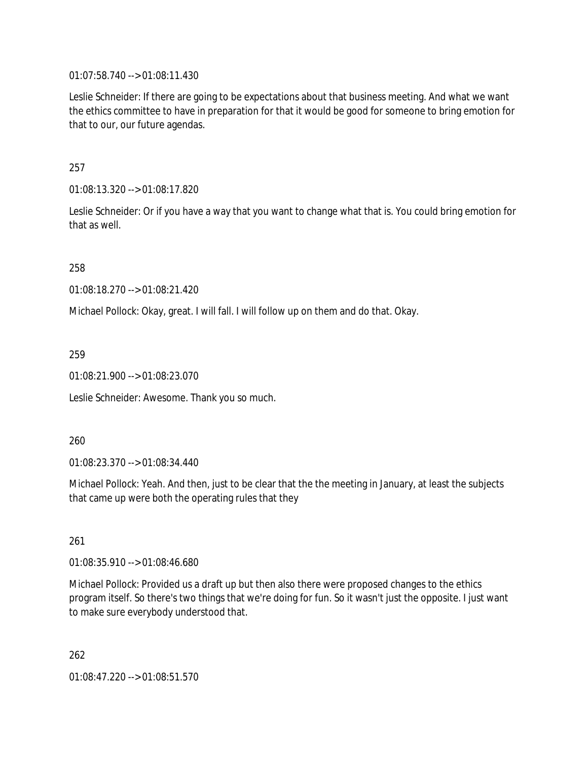01:07:58.740 --> 01:08:11.430

Leslie Schneider: If there are going to be expectations about that business meeting. And what we want the ethics committee to have in preparation for that it would be good for someone to bring emotion for that to our, our future agendas.

257

01:08:13.320 --> 01:08:17.820

Leslie Schneider: Or if you have a way that you want to change what that is. You could bring emotion for that as well.

258

01:08:18.270 --> 01:08:21.420

Michael Pollock: Okay, great. I will fall. I will follow up on them and do that. Okay.

259

01:08:21.900 --> 01:08:23.070

Leslie Schneider: Awesome. Thank you so much.

260

01:08:23.370 --> 01:08:34.440

Michael Pollock: Yeah. And then, just to be clear that the the meeting in January, at least the subjects that came up were both the operating rules that they

261

01:08:35.910 --> 01:08:46.680

Michael Pollock: Provided us a draft up but then also there were proposed changes to the ethics program itself. So there's two things that we're doing for fun. So it wasn't just the opposite. I just want to make sure everybody understood that.

262 01:08:47.220 --> 01:08:51.570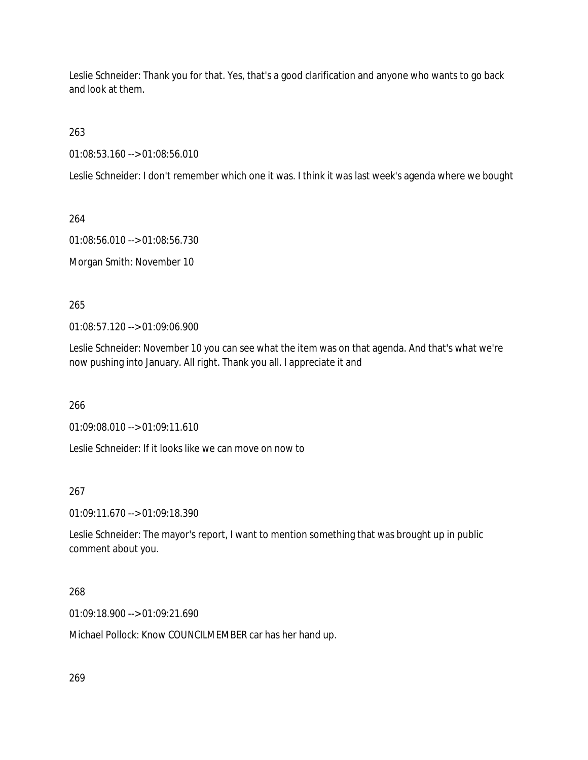Leslie Schneider: Thank you for that. Yes, that's a good clarification and anyone who wants to go back and look at them.

263

01:08:53.160 --> 01:08:56.010

Leslie Schneider: I don't remember which one it was. I think it was last week's agenda where we bought

264

01:08:56.010 --> 01:08:56.730

Morgan Smith: November 10

265

01:08:57.120 --> 01:09:06.900

Leslie Schneider: November 10 you can see what the item was on that agenda. And that's what we're now pushing into January. All right. Thank you all. I appreciate it and

266

01:09:08.010 --> 01:09:11.610

Leslie Schneider: If it looks like we can move on now to

267

01:09:11.670 --> 01:09:18.390

Leslie Schneider: The mayor's report, I want to mention something that was brought up in public comment about you.

268

01:09:18.900 --> 01:09:21.690

Michael Pollock: Know COUNCILMEMBER car has her hand up.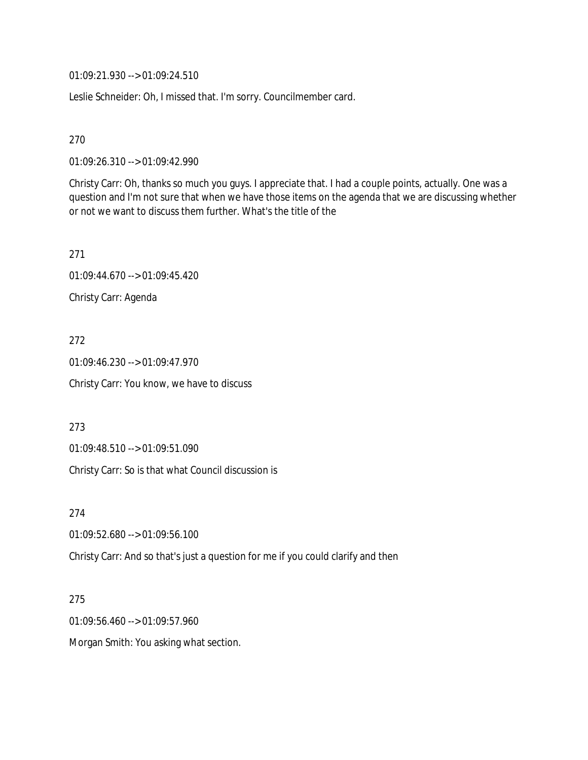01:09:21.930 --> 01:09:24.510

Leslie Schneider: Oh, I missed that. I'm sorry. Councilmember card.

270

01:09:26.310 --> 01:09:42.990

Christy Carr: Oh, thanks so much you guys. I appreciate that. I had a couple points, actually. One was a question and I'm not sure that when we have those items on the agenda that we are discussing whether or not we want to discuss them further. What's the title of the

271 01:09:44.670 --> 01:09:45.420 Christy Carr: Agenda

272 01:09:46.230 --> 01:09:47.970 Christy Carr: You know, we have to discuss

273

01:09:48.510 --> 01:09:51.090

Christy Carr: So is that what Council discussion is

274

01:09:52.680 --> 01:09:56.100

Christy Carr: And so that's just a question for me if you could clarify and then

275

01:09:56.460 --> 01:09:57.960

Morgan Smith: You asking what section.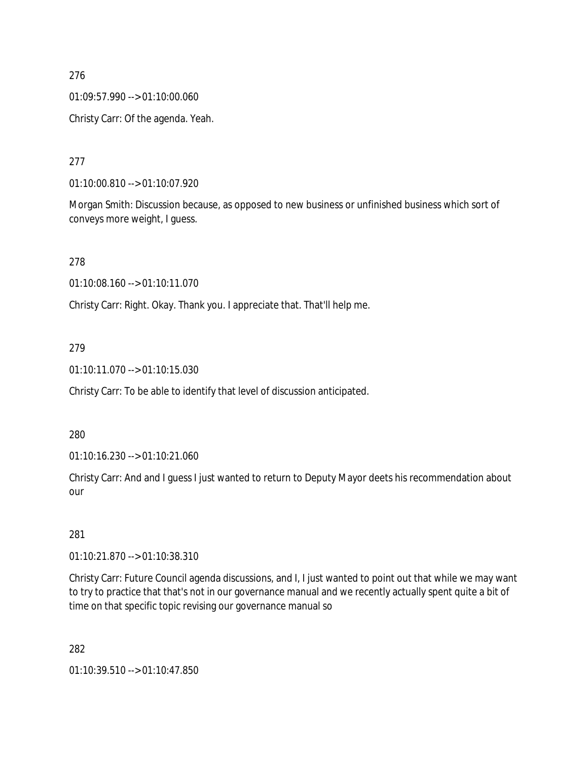#### 276

01:09:57.990 --> 01:10:00.060

Christy Carr: Of the agenda. Yeah.

### 277

01:10:00.810 --> 01:10:07.920

Morgan Smith: Discussion because, as opposed to new business or unfinished business which sort of conveys more weight, I guess.

### 278

01:10:08.160 --> 01:10:11.070

Christy Carr: Right. Okay. Thank you. I appreciate that. That'll help me.

### 279

01:10:11.070 --> 01:10:15.030

Christy Carr: To be able to identify that level of discussion anticipated.

#### 280

01:10:16.230 --> 01:10:21.060

Christy Carr: And and I guess I just wanted to return to Deputy Mayor deets his recommendation about our

#### 281

01:10:21.870 --> 01:10:38.310

Christy Carr: Future Council agenda discussions, and I, I just wanted to point out that while we may want to try to practice that that's not in our governance manual and we recently actually spent quite a bit of time on that specific topic revising our governance manual so

282

01:10:39.510 --> 01:10:47.850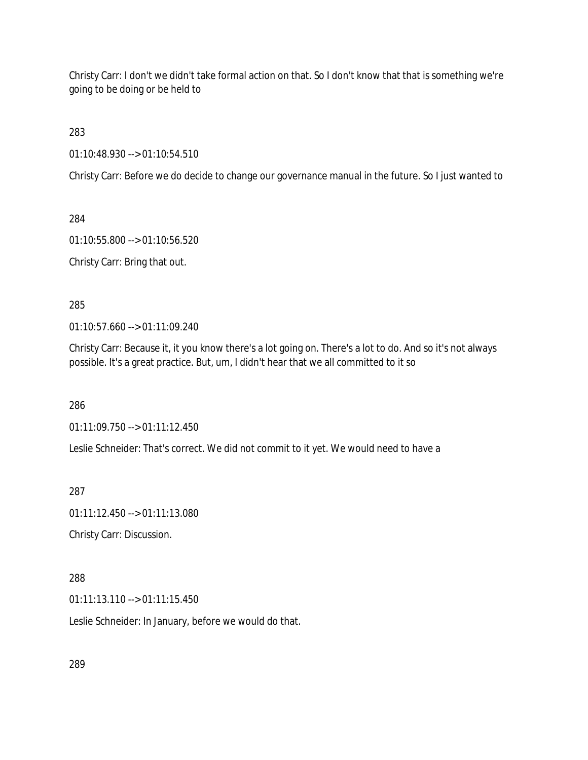Christy Carr: I don't we didn't take formal action on that. So I don't know that that is something we're going to be doing or be held to

283

01:10:48.930 --> 01:10:54.510

Christy Carr: Before we do decide to change our governance manual in the future. So I just wanted to

284

01:10:55.800 --> 01:10:56.520

Christy Carr: Bring that out.

285

01:10:57.660 --> 01:11:09.240

Christy Carr: Because it, it you know there's a lot going on. There's a lot to do. And so it's not always possible. It's a great practice. But, um, I didn't hear that we all committed to it so

286

01:11:09.750 --> 01:11:12.450

Leslie Schneider: That's correct. We did not commit to it yet. We would need to have a

287

01:11:12.450 --> 01:11:13.080

Christy Carr: Discussion.

### 288

01:11:13.110 --> 01:11:15.450

Leslie Schneider: In January, before we would do that.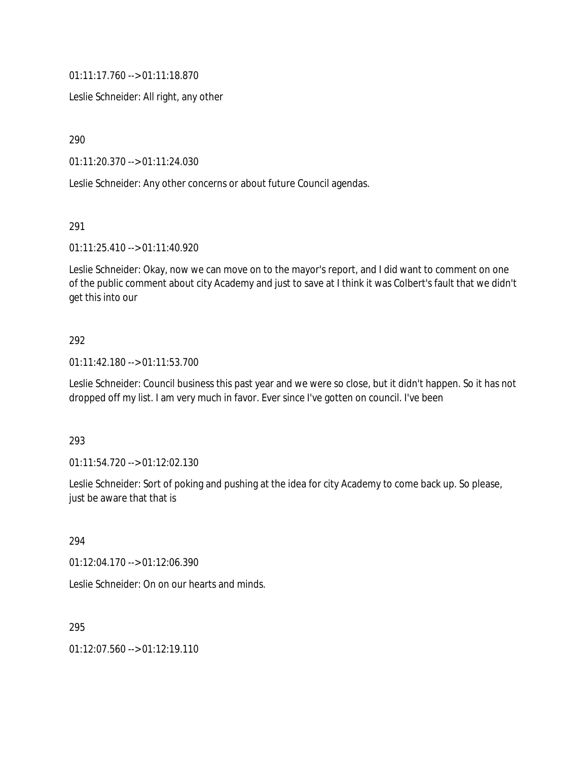01:11:17.760 --> 01:11:18.870

Leslie Schneider: All right, any other

290

01:11:20.370 --> 01:11:24.030

Leslie Schneider: Any other concerns or about future Council agendas.

291

01:11:25.410 --> 01:11:40.920

Leslie Schneider: Okay, now we can move on to the mayor's report, and I did want to comment on one of the public comment about city Academy and just to save at I think it was Colbert's fault that we didn't get this into our

#### 292

01:11:42.180 --> 01:11:53.700

Leslie Schneider: Council business this past year and we were so close, but it didn't happen. So it has not dropped off my list. I am very much in favor. Ever since I've gotten on council. I've been

#### 293

01:11:54.720 --> 01:12:02.130

Leslie Schneider: Sort of poking and pushing at the idea for city Academy to come back up. So please, just be aware that that is

294

01:12:04.170 --> 01:12:06.390

Leslie Schneider: On on our hearts and minds.

295

01:12:07.560 --> 01:12:19.110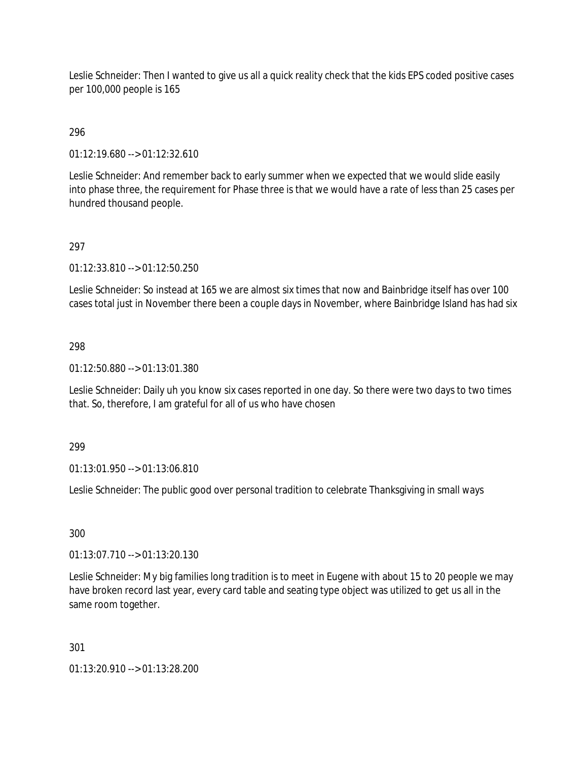Leslie Schneider: Then I wanted to give us all a quick reality check that the kids EPS coded positive cases per 100,000 people is 165

## 296

01:12:19.680 --> 01:12:32.610

Leslie Schneider: And remember back to early summer when we expected that we would slide easily into phase three, the requirement for Phase three is that we would have a rate of less than 25 cases per hundred thousand people.

### 297

01:12:33.810 --> 01:12:50.250

Leslie Schneider: So instead at 165 we are almost six times that now and Bainbridge itself has over 100 cases total just in November there been a couple days in November, where Bainbridge Island has had six

### 298

01:12:50.880 --> 01:13:01.380

Leslie Schneider: Daily uh you know six cases reported in one day. So there were two days to two times that. So, therefore, I am grateful for all of us who have chosen

#### 299

01:13:01.950 --> 01:13:06.810

Leslie Schneider: The public good over personal tradition to celebrate Thanksgiving in small ways

# 300

01:13:07.710 --> 01:13:20.130

Leslie Schneider: My big families long tradition is to meet in Eugene with about 15 to 20 people we may have broken record last year, every card table and seating type object was utilized to get us all in the same room together.

#### 301

01:13:20.910 --> 01:13:28.200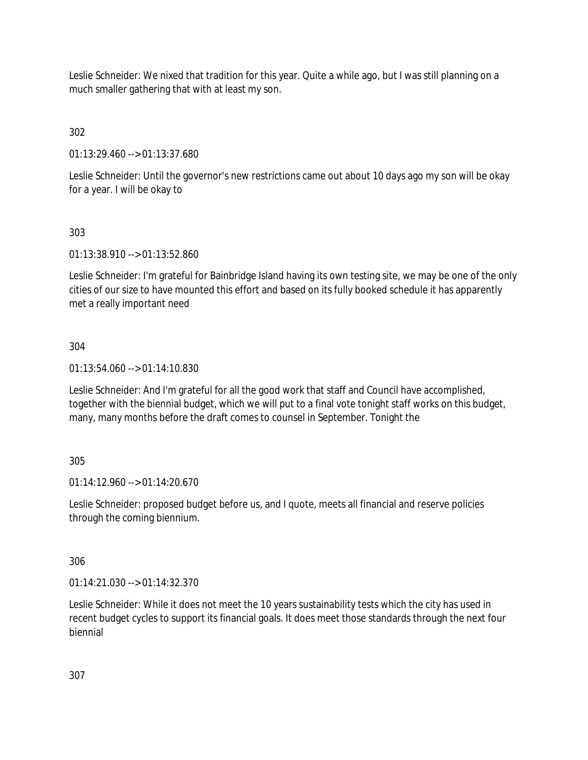Leslie Schneider: We nixed that tradition for this year. Quite a while ago, but I was still planning on a much smaller gathering that with at least my son.

302

01:13:29.460 --> 01:13:37.680

Leslie Schneider: Until the governor's new restrictions came out about 10 days ago my son will be okay for a year. I will be okay to

# 303

01:13:38.910 --> 01:13:52.860

Leslie Schneider: I'm grateful for Bainbridge Island having its own testing site, we may be one of the only cities of our size to have mounted this effort and based on its fully booked schedule it has apparently met a really important need

## 304

01:13:54.060 --> 01:14:10.830

Leslie Schneider: And I'm grateful for all the good work that staff and Council have accomplished, together with the biennial budget, which we will put to a final vote tonight staff works on this budget, many, many months before the draft comes to counsel in September. Tonight the

### 305

01:14:12.960 --> 01:14:20.670

Leslie Schneider: proposed budget before us, and I quote, meets all financial and reserve policies through the coming biennium.

### 306

01:14:21.030 --> 01:14:32.370

Leslie Schneider: While it does not meet the 10 years sustainability tests which the city has used in recent budget cycles to support its financial goals. It does meet those standards through the next four biennial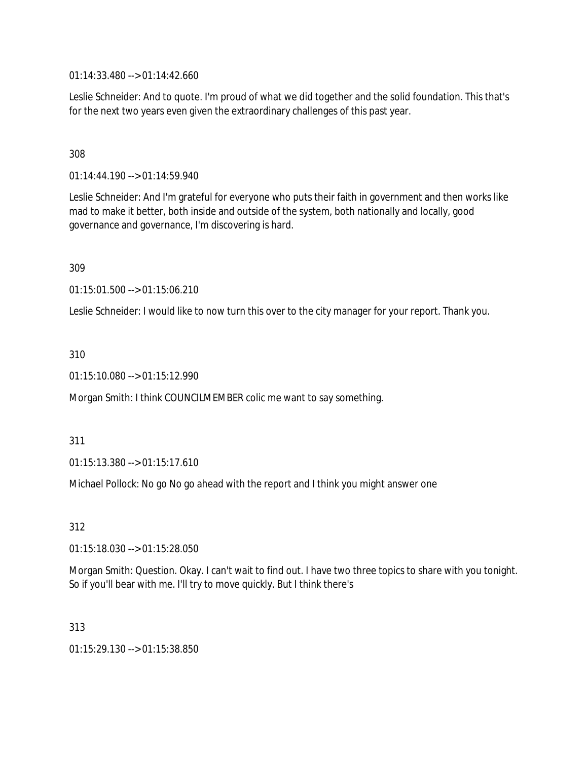01:14:33.480 --> 01:14:42.660

Leslie Schneider: And to quote. I'm proud of what we did together and the solid foundation. This that's for the next two years even given the extraordinary challenges of this past year.

#### 308

01:14:44.190 --> 01:14:59.940

Leslie Schneider: And I'm grateful for everyone who puts their faith in government and then works like mad to make it better, both inside and outside of the system, both nationally and locally, good governance and governance, I'm discovering is hard.

309

01:15:01.500 --> 01:15:06.210

Leslie Schneider: I would like to now turn this over to the city manager for your report. Thank you.

310

01:15:10.080 --> 01:15:12.990

Morgan Smith: I think COUNCILMEMBER colic me want to say something.

311

01:15:13.380 --> 01:15:17.610

Michael Pollock: No go No go ahead with the report and I think you might answer one

312

01:15:18.030 --> 01:15:28.050

Morgan Smith: Question. Okay. I can't wait to find out. I have two three topics to share with you tonight. So if you'll bear with me. I'll try to move quickly. But I think there's

313

01:15:29.130 --> 01:15:38.850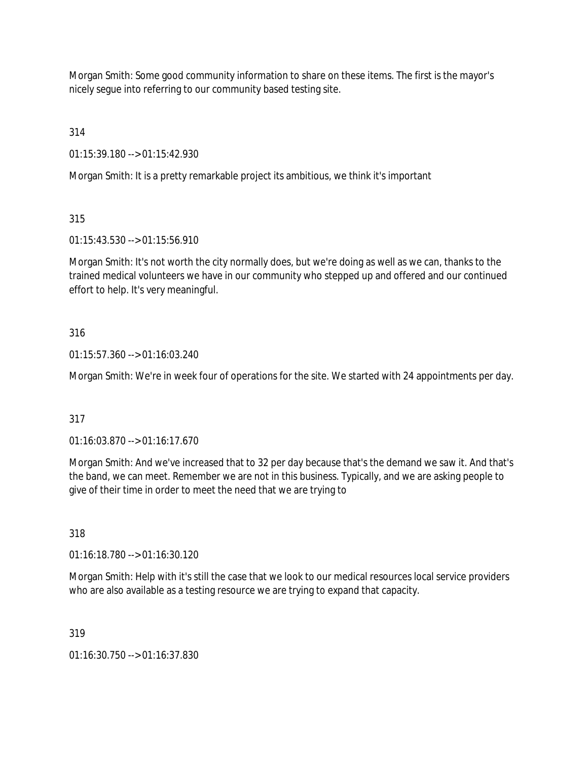Morgan Smith: Some good community information to share on these items. The first is the mayor's nicely segue into referring to our community based testing site.

314

01:15:39.180 --> 01:15:42.930

Morgan Smith: It is a pretty remarkable project its ambitious, we think it's important

315

01:15:43.530 --> 01:15:56.910

Morgan Smith: It's not worth the city normally does, but we're doing as well as we can, thanks to the trained medical volunteers we have in our community who stepped up and offered and our continued effort to help. It's very meaningful.

### 316

01:15:57.360 --> 01:16:03.240

Morgan Smith: We're in week four of operations for the site. We started with 24 appointments per day.

### 317

01:16:03.870 --> 01:16:17.670

Morgan Smith: And we've increased that to 32 per day because that's the demand we saw it. And that's the band, we can meet. Remember we are not in this business. Typically, and we are asking people to give of their time in order to meet the need that we are trying to

318

01:16:18.780 --> 01:16:30.120

Morgan Smith: Help with it's still the case that we look to our medical resources local service providers who are also available as a testing resource we are trying to expand that capacity.

319

01:16:30.750 --> 01:16:37.830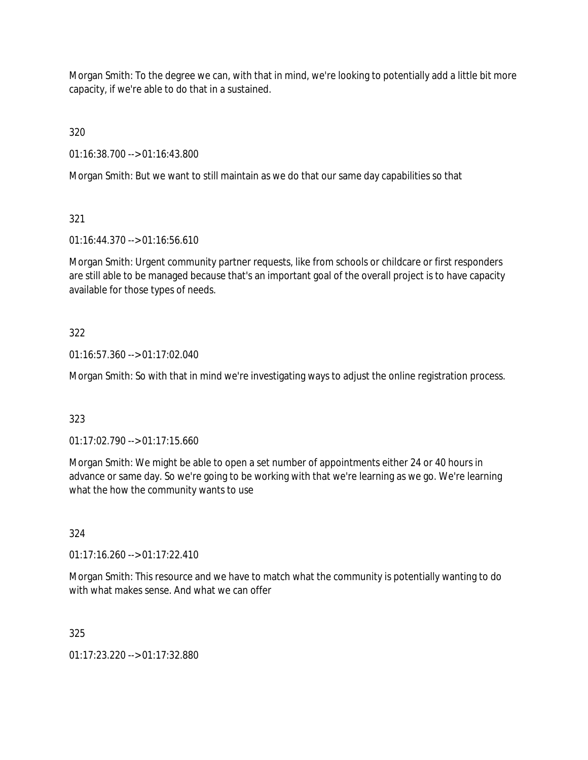Morgan Smith: To the degree we can, with that in mind, we're looking to potentially add a little bit more capacity, if we're able to do that in a sustained.

320

01:16:38.700 --> 01:16:43.800

Morgan Smith: But we want to still maintain as we do that our same day capabilities so that

321

01:16:44.370 --> 01:16:56.610

Morgan Smith: Urgent community partner requests, like from schools or childcare or first responders are still able to be managed because that's an important goal of the overall project is to have capacity available for those types of needs.

## 322

01:16:57.360 --> 01:17:02.040

Morgan Smith: So with that in mind we're investigating ways to adjust the online registration process.

### 323

01:17:02.790 --> 01:17:15.660

Morgan Smith: We might be able to open a set number of appointments either 24 or 40 hours in advance or same day. So we're going to be working with that we're learning as we go. We're learning what the how the community wants to use

324

01:17:16.260 --> 01:17:22.410

Morgan Smith: This resource and we have to match what the community is potentially wanting to do with what makes sense. And what we can offer

325

01:17:23.220 --> 01:17:32.880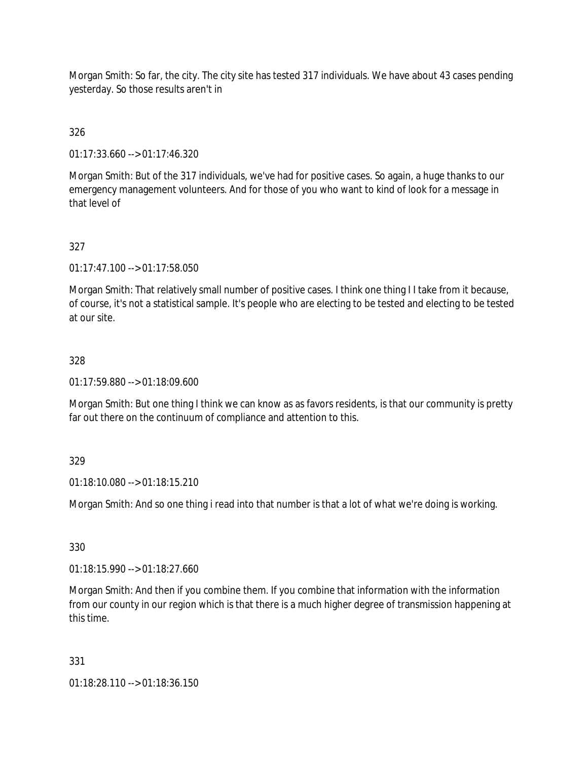Morgan Smith: So far, the city. The city site has tested 317 individuals. We have about 43 cases pending yesterday. So those results aren't in

326

01:17:33.660 --> 01:17:46.320

Morgan Smith: But of the 317 individuals, we've had for positive cases. So again, a huge thanks to our emergency management volunteers. And for those of you who want to kind of look for a message in that level of

327

01:17:47.100 --> 01:17:58.050

Morgan Smith: That relatively small number of positive cases. I think one thing I I take from it because, of course, it's not a statistical sample. It's people who are electing to be tested and electing to be tested at our site.

328

01:17:59.880 --> 01:18:09.600

Morgan Smith: But one thing I think we can know as as favors residents, is that our community is pretty far out there on the continuum of compliance and attention to this.

329

01:18:10.080 --> 01:18:15.210

Morgan Smith: And so one thing i read into that number is that a lot of what we're doing is working.

330

01:18:15.990 --> 01:18:27.660

Morgan Smith: And then if you combine them. If you combine that information with the information from our county in our region which is that there is a much higher degree of transmission happening at this time.

331

01:18:28.110 --> 01:18:36.150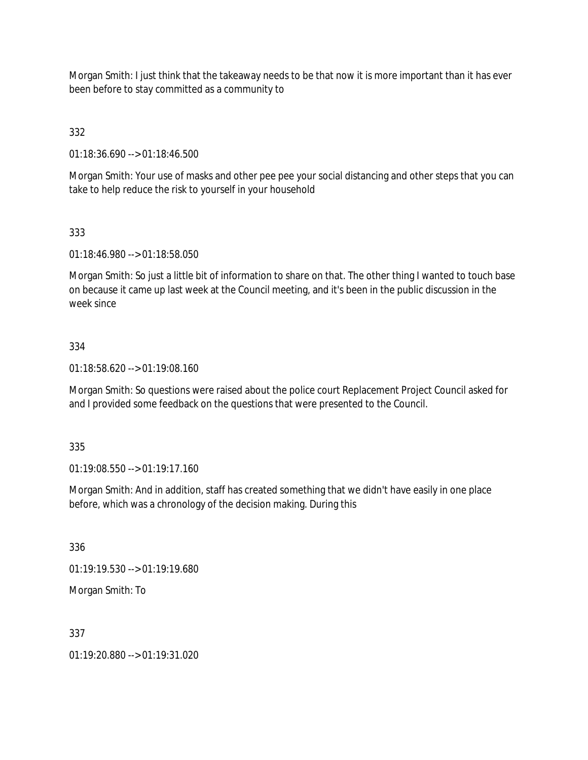Morgan Smith: I just think that the takeaway needs to be that now it is more important than it has ever been before to stay committed as a community to

332

01:18:36.690 --> 01:18:46.500

Morgan Smith: Your use of masks and other pee pee your social distancing and other steps that you can take to help reduce the risk to yourself in your household

### 333

01:18:46.980 --> 01:18:58.050

Morgan Smith: So just a little bit of information to share on that. The other thing I wanted to touch base on because it came up last week at the Council meeting, and it's been in the public discussion in the week since

### 334

01:18:58.620 --> 01:19:08.160

Morgan Smith: So questions were raised about the police court Replacement Project Council asked for and I provided some feedback on the questions that were presented to the Council.

335

01:19:08.550 --> 01:19:17.160

Morgan Smith: And in addition, staff has created something that we didn't have easily in one place before, which was a chronology of the decision making. During this

336

01:19:19.530 --> 01:19:19.680

Morgan Smith: To

#### 337

01:19:20.880 --> 01:19:31.020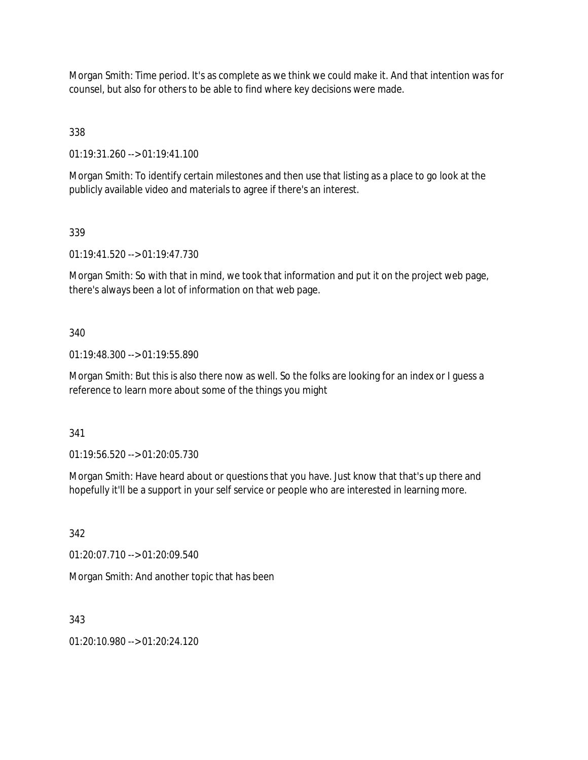Morgan Smith: Time period. It's as complete as we think we could make it. And that intention was for counsel, but also for others to be able to find where key decisions were made.

338

01:19:31.260 --> 01:19:41.100

Morgan Smith: To identify certain milestones and then use that listing as a place to go look at the publicly available video and materials to agree if there's an interest.

339

01:19:41.520 --> 01:19:47.730

Morgan Smith: So with that in mind, we took that information and put it on the project web page, there's always been a lot of information on that web page.

340

01:19:48.300 --> 01:19:55.890

Morgan Smith: But this is also there now as well. So the folks are looking for an index or I guess a reference to learn more about some of the things you might

341

01:19:56.520 --> 01:20:05.730

Morgan Smith: Have heard about or questions that you have. Just know that that's up there and hopefully it'll be a support in your self service or people who are interested in learning more.

342

01:20:07.710 --> 01:20:09.540

Morgan Smith: And another topic that has been

343

 $01:20:10.980 \rightarrow 01:20:24.120$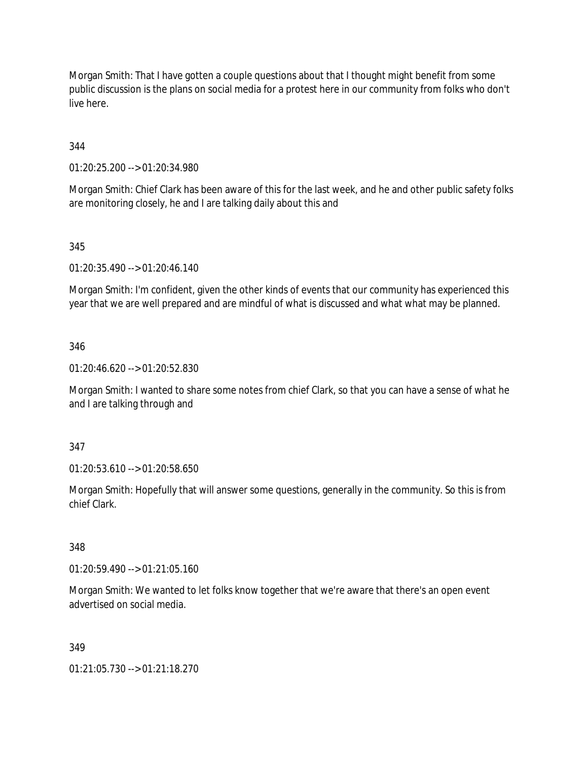Morgan Smith: That I have gotten a couple questions about that I thought might benefit from some public discussion is the plans on social media for a protest here in our community from folks who don't live here.

344

01:20:25.200 --> 01:20:34.980

Morgan Smith: Chief Clark has been aware of this for the last week, and he and other public safety folks are monitoring closely, he and I are talking daily about this and

#### 345

01:20:35.490 --> 01:20:46.140

Morgan Smith: I'm confident, given the other kinds of events that our community has experienced this year that we are well prepared and are mindful of what is discussed and what what may be planned.

#### 346

01:20:46.620 --> 01:20:52.830

Morgan Smith: I wanted to share some notes from chief Clark, so that you can have a sense of what he and I are talking through and

347

01:20:53.610 --> 01:20:58.650

Morgan Smith: Hopefully that will answer some questions, generally in the community. So this is from chief Clark.

#### 348

01:20:59.490 --> 01:21:05.160

Morgan Smith: We wanted to let folks know together that we're aware that there's an open event advertised on social media.

#### 349

01:21:05.730 --> 01:21:18.270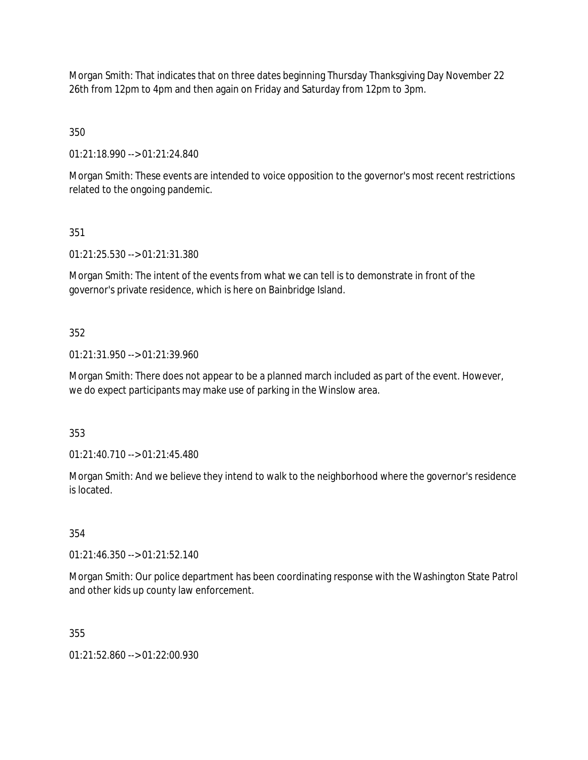Morgan Smith: That indicates that on three dates beginning Thursday Thanksgiving Day November 22 26th from 12pm to 4pm and then again on Friday and Saturday from 12pm to 3pm.

350

01:21:18.990 --> 01:21:24.840

Morgan Smith: These events are intended to voice opposition to the governor's most recent restrictions related to the ongoing pandemic.

351

01:21:25.530 --> 01:21:31.380

Morgan Smith: The intent of the events from what we can tell is to demonstrate in front of the governor's private residence, which is here on Bainbridge Island.

352

01:21:31.950 --> 01:21:39.960

Morgan Smith: There does not appear to be a planned march included as part of the event. However, we do expect participants may make use of parking in the Winslow area.

353

01:21:40.710 --> 01:21:45.480

Morgan Smith: And we believe they intend to walk to the neighborhood where the governor's residence is located.

354

01:21:46.350 --> 01:21:52.140

Morgan Smith: Our police department has been coordinating response with the Washington State Patrol and other kids up county law enforcement.

355

01:21:52.860 --> 01:22:00.930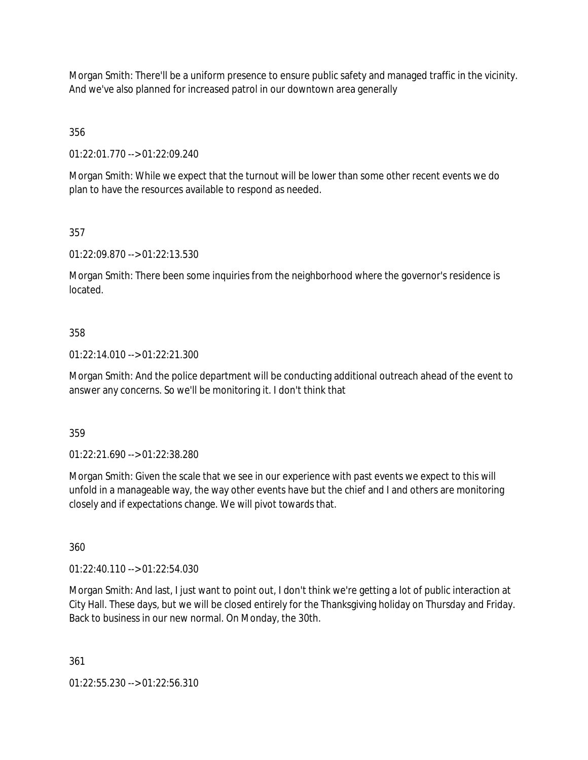Morgan Smith: There'll be a uniform presence to ensure public safety and managed traffic in the vicinity. And we've also planned for increased patrol in our downtown area generally

356

01:22:01.770 --> 01:22:09.240

Morgan Smith: While we expect that the turnout will be lower than some other recent events we do plan to have the resources available to respond as needed.

357

01:22:09.870 --> 01:22:13.530

Morgan Smith: There been some inquiries from the neighborhood where the governor's residence is located.

#### 358

01:22:14.010 --> 01:22:21.300

Morgan Smith: And the police department will be conducting additional outreach ahead of the event to answer any concerns. So we'll be monitoring it. I don't think that

359

01:22:21.690 --> 01:22:38.280

Morgan Smith: Given the scale that we see in our experience with past events we expect to this will unfold in a manageable way, the way other events have but the chief and I and others are monitoring closely and if expectations change. We will pivot towards that.

360

01:22:40.110 --> 01:22:54.030

Morgan Smith: And last, I just want to point out, I don't think we're getting a lot of public interaction at City Hall. These days, but we will be closed entirely for the Thanksgiving holiday on Thursday and Friday. Back to business in our new normal. On Monday, the 30th.

361

01:22:55.230 --> 01:22:56.310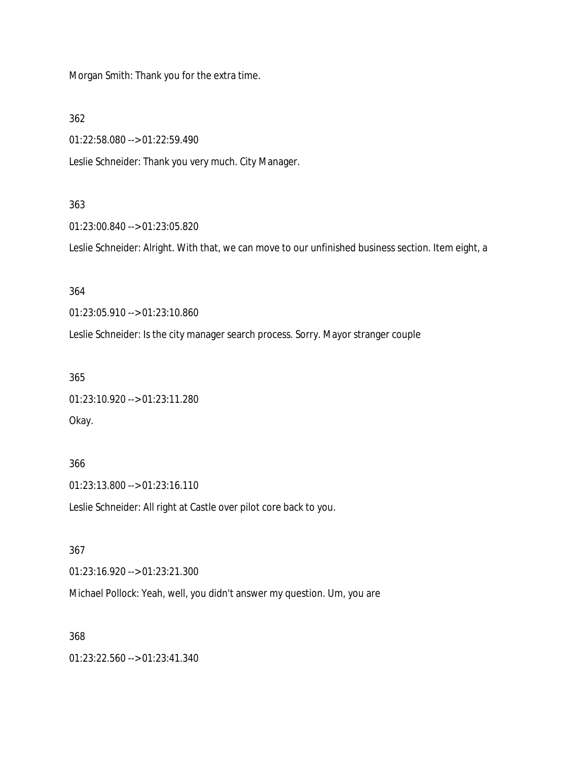Morgan Smith: Thank you for the extra time.

362

01:22:58.080 --> 01:22:59.490

Leslie Schneider: Thank you very much. City Manager.

#### 363

01:23:00.840 --> 01:23:05.820

Leslie Schneider: Alright. With that, we can move to our unfinished business section. Item eight, a

### 364

01:23:05.910 --> 01:23:10.860

Leslie Schneider: Is the city manager search process. Sorry. Mayor stranger couple

#### 365

01:23:10.920 --> 01:23:11.280 Okay.

### 366

01:23:13.800 --> 01:23:16.110

Leslie Schneider: All right at Castle over pilot core back to you.

#### 367

01:23:16.920 --> 01:23:21.300

Michael Pollock: Yeah, well, you didn't answer my question. Um, you are

### 368

01:23:22.560 --> 01:23:41.340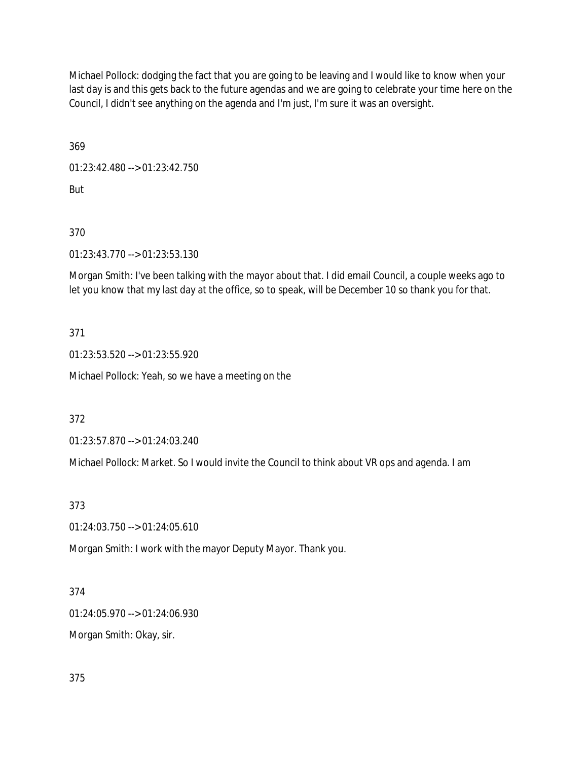Michael Pollock: dodging the fact that you are going to be leaving and I would like to know when your last day is and this gets back to the future agendas and we are going to celebrate your time here on the Council, I didn't see anything on the agenda and I'm just, I'm sure it was an oversight.

369

01:23:42.480 --> 01:23:42.750

But

370

01:23:43.770 --> 01:23:53.130

Morgan Smith: I've been talking with the mayor about that. I did email Council, a couple weeks ago to let you know that my last day at the office, so to speak, will be December 10 so thank you for that.

371

01:23:53.520 --> 01:23:55.920

Michael Pollock: Yeah, so we have a meeting on the

372

01:23:57.870 --> 01:24:03.240

Michael Pollock: Market. So I would invite the Council to think about VR ops and agenda. I am

373

01:24:03.750 --> 01:24:05.610

Morgan Smith: I work with the mayor Deputy Mayor. Thank you.

374

01:24:05.970 --> 01:24:06.930

Morgan Smith: Okay, sir.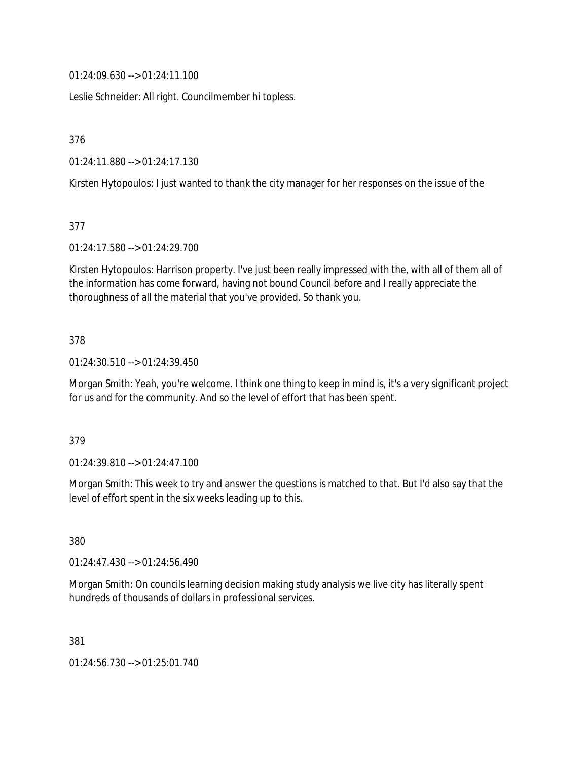01:24:09.630 --> 01:24:11.100

Leslie Schneider: All right. Councilmember hi topless.

376

01:24:11.880 --> 01:24:17.130

Kirsten Hytopoulos: I just wanted to thank the city manager for her responses on the issue of the

377

01:24:17.580 --> 01:24:29.700

Kirsten Hytopoulos: Harrison property. I've just been really impressed with the, with all of them all of the information has come forward, having not bound Council before and I really appreciate the thoroughness of all the material that you've provided. So thank you.

#### 378

01:24:30.510 --> 01:24:39.450

Morgan Smith: Yeah, you're welcome. I think one thing to keep in mind is, it's a very significant project for us and for the community. And so the level of effort that has been spent.

#### 379

01:24:39.810 --> 01:24:47.100

Morgan Smith: This week to try and answer the questions is matched to that. But I'd also say that the level of effort spent in the six weeks leading up to this.

380

01:24:47.430 --> 01:24:56.490

Morgan Smith: On councils learning decision making study analysis we live city has literally spent hundreds of thousands of dollars in professional services.

381

01:24:56.730 --> 01:25:01.740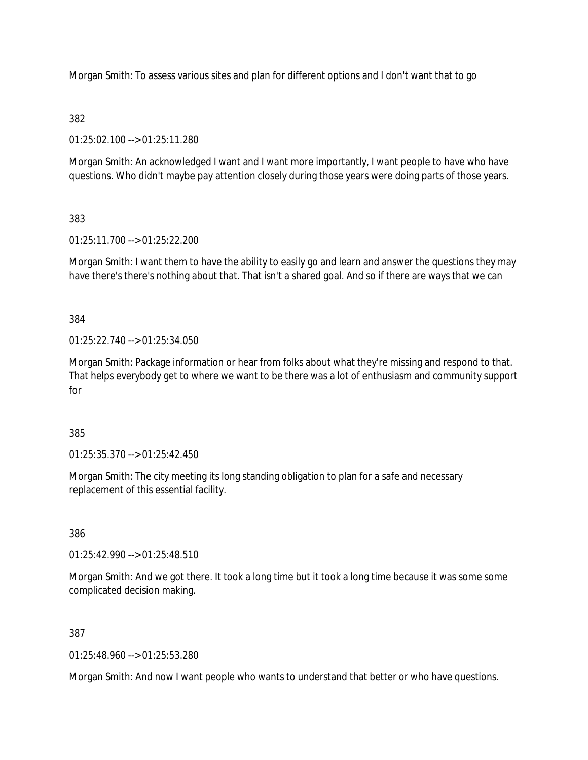Morgan Smith: To assess various sites and plan for different options and I don't want that to go

## 382

01:25:02.100 --> 01:25:11.280

Morgan Smith: An acknowledged I want and I want more importantly, I want people to have who have questions. Who didn't maybe pay attention closely during those years were doing parts of those years.

## 383

01:25:11.700 --> 01:25:22.200

Morgan Smith: I want them to have the ability to easily go and learn and answer the questions they may have there's there's nothing about that. That isn't a shared goal. And so if there are ways that we can

384

 $01:25:22.740 \rightarrow 01:25:34.050$ 

Morgan Smith: Package information or hear from folks about what they're missing and respond to that. That helps everybody get to where we want to be there was a lot of enthusiasm and community support for

385

01:25:35.370 --> 01:25:42.450

Morgan Smith: The city meeting its long standing obligation to plan for a safe and necessary replacement of this essential facility.

386

01:25:42.990 --> 01:25:48.510

Morgan Smith: And we got there. It took a long time but it took a long time because it was some some complicated decision making.

387

01:25:48.960 --> 01:25:53.280

Morgan Smith: And now I want people who wants to understand that better or who have questions.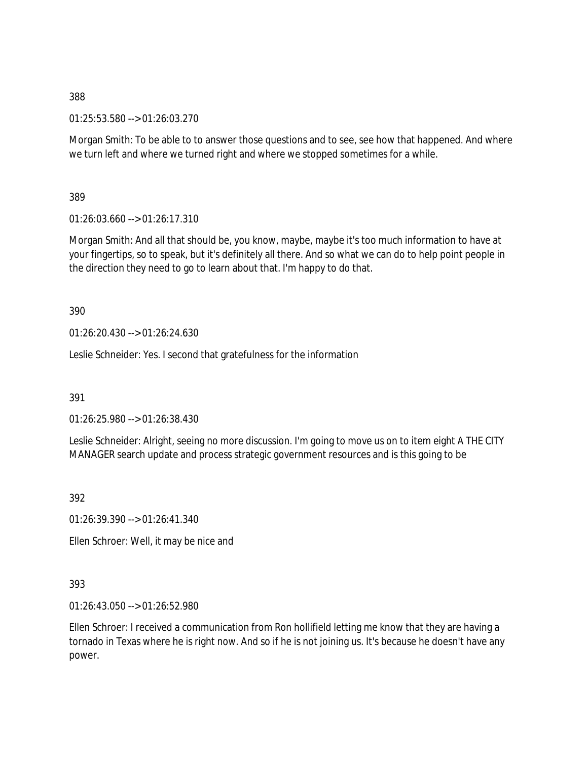388

01:25:53.580 --> 01:26:03.270

Morgan Smith: To be able to to answer those questions and to see, see how that happened. And where we turn left and where we turned right and where we stopped sometimes for a while.

389

01:26:03.660 --> 01:26:17.310

Morgan Smith: And all that should be, you know, maybe, maybe it's too much information to have at your fingertips, so to speak, but it's definitely all there. And so what we can do to help point people in the direction they need to go to learn about that. I'm happy to do that.

390

01:26:20.430 --> 01:26:24.630

Leslie Schneider: Yes. I second that gratefulness for the information

391

01:26:25.980 --> 01:26:38.430

Leslie Schneider: Alright, seeing no more discussion. I'm going to move us on to item eight A THE CITY MANAGER search update and process strategic government resources and is this going to be

392

01:26:39.390 --> 01:26:41.340

Ellen Schroer: Well, it may be nice and

393

01:26:43.050 --> 01:26:52.980

Ellen Schroer: I received a communication from Ron hollifield letting me know that they are having a tornado in Texas where he is right now. And so if he is not joining us. It's because he doesn't have any power.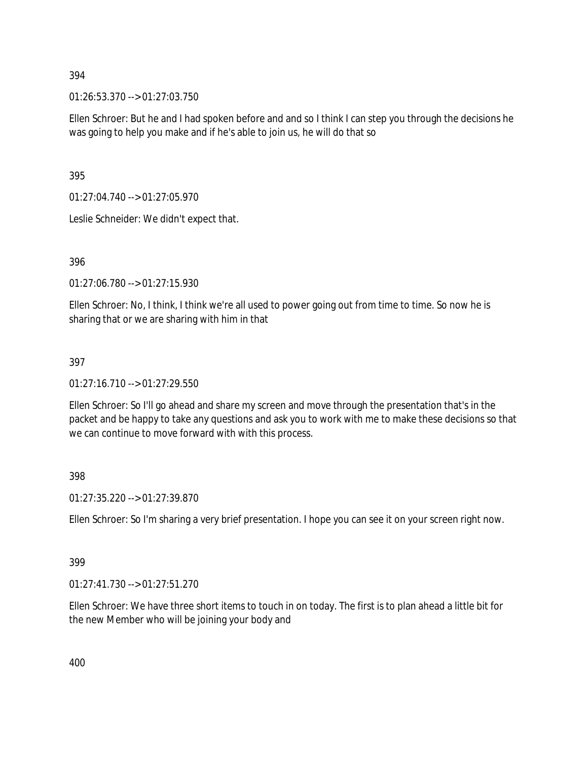#### 394

01:26:53.370 --> 01:27:03.750

Ellen Schroer: But he and I had spoken before and and so I think I can step you through the decisions he was going to help you make and if he's able to join us, he will do that so

395

01:27:04.740 --> 01:27:05.970

Leslie Schneider: We didn't expect that.

### 396

01:27:06.780 --> 01:27:15.930

Ellen Schroer: No, I think, I think we're all used to power going out from time to time. So now he is sharing that or we are sharing with him in that

### 397

01:27:16.710 --> 01:27:29.550

Ellen Schroer: So I'll go ahead and share my screen and move through the presentation that's in the packet and be happy to take any questions and ask you to work with me to make these decisions so that we can continue to move forward with with this process.

398

01:27:35.220 --> 01:27:39.870

Ellen Schroer: So I'm sharing a very brief presentation. I hope you can see it on your screen right now.

#### 399

01:27:41.730 --> 01:27:51.270

Ellen Schroer: We have three short items to touch in on today. The first is to plan ahead a little bit for the new Member who will be joining your body and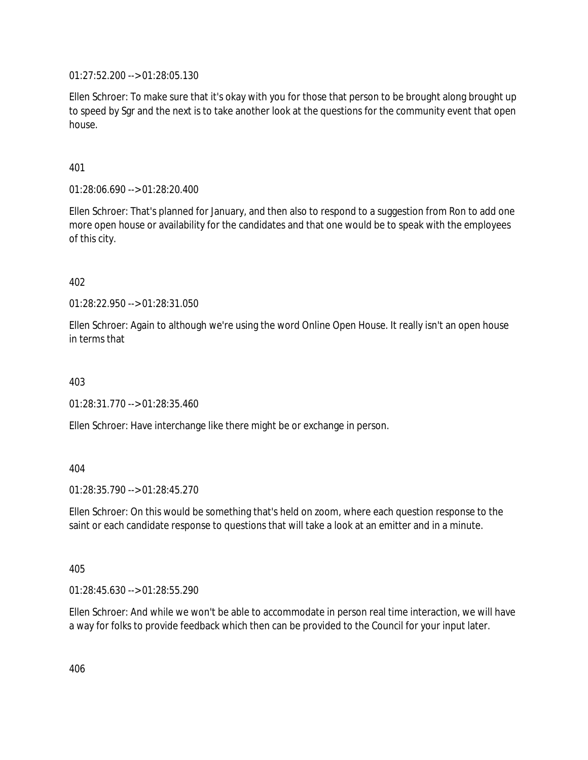01:27:52.200 --> 01:28:05.130

Ellen Schroer: To make sure that it's okay with you for those that person to be brought along brought up to speed by Sgr and the next is to take another look at the questions for the community event that open house.

401

01:28:06.690 --> 01:28:20.400

Ellen Schroer: That's planned for January, and then also to respond to a suggestion from Ron to add one more open house or availability for the candidates and that one would be to speak with the employees of this city.

402

01:28:22.950 --> 01:28:31.050

Ellen Schroer: Again to although we're using the word Online Open House. It really isn't an open house in terms that

403

01:28:31.770 --> 01:28:35.460

Ellen Schroer: Have interchange like there might be or exchange in person.

404

01:28:35.790 --> 01:28:45.270

Ellen Schroer: On this would be something that's held on zoom, where each question response to the saint or each candidate response to questions that will take a look at an emitter and in a minute.

405

01:28:45.630 --> 01:28:55.290

Ellen Schroer: And while we won't be able to accommodate in person real time interaction, we will have a way for folks to provide feedback which then can be provided to the Council for your input later.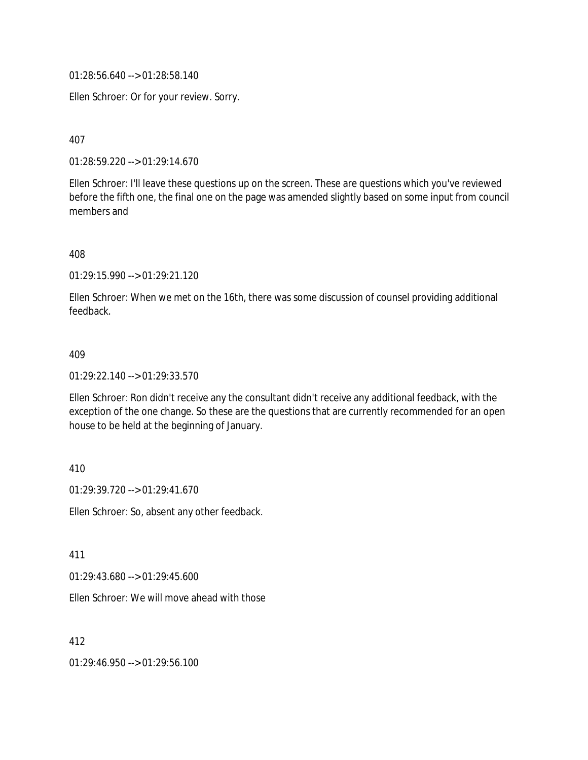01:28:56.640 --> 01:28:58.140

Ellen Schroer: Or for your review. Sorry.

407

01:28:59.220 --> 01:29:14.670

Ellen Schroer: I'll leave these questions up on the screen. These are questions which you've reviewed before the fifth one, the final one on the page was amended slightly based on some input from council members and

408

01:29:15.990 --> 01:29:21.120

Ellen Schroer: When we met on the 16th, there was some discussion of counsel providing additional feedback.

#### 409

01:29:22.140 --> 01:29:33.570

Ellen Schroer: Ron didn't receive any the consultant didn't receive any additional feedback, with the exception of the one change. So these are the questions that are currently recommended for an open house to be held at the beginning of January.

410

01:29:39.720 --> 01:29:41.670

Ellen Schroer: So, absent any other feedback.

411

01:29:43.680 --> 01:29:45.600

Ellen Schroer: We will move ahead with those

412

01:29:46.950 --> 01:29:56.100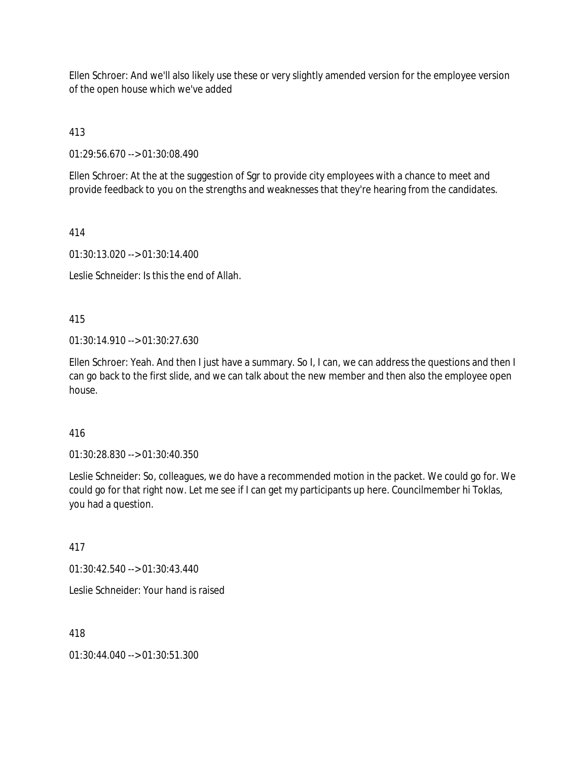Ellen Schroer: And we'll also likely use these or very slightly amended version for the employee version of the open house which we've added

413

01:29:56.670 --> 01:30:08.490

Ellen Schroer: At the at the suggestion of Sgr to provide city employees with a chance to meet and provide feedback to you on the strengths and weaknesses that they're hearing from the candidates.

414

01:30:13.020 --> 01:30:14.400

Leslie Schneider: Is this the end of Allah.

415

01:30:14.910 --> 01:30:27.630

Ellen Schroer: Yeah. And then I just have a summary. So I, I can, we can address the questions and then I can go back to the first slide, and we can talk about the new member and then also the employee open house.

416

01:30:28.830 --> 01:30:40.350

Leslie Schneider: So, colleagues, we do have a recommended motion in the packet. We could go for. We could go for that right now. Let me see if I can get my participants up here. Councilmember hi Toklas, you had a question.

417

01:30:42.540 --> 01:30:43.440

Leslie Schneider: Your hand is raised

418

01:30:44.040 --> 01:30:51.300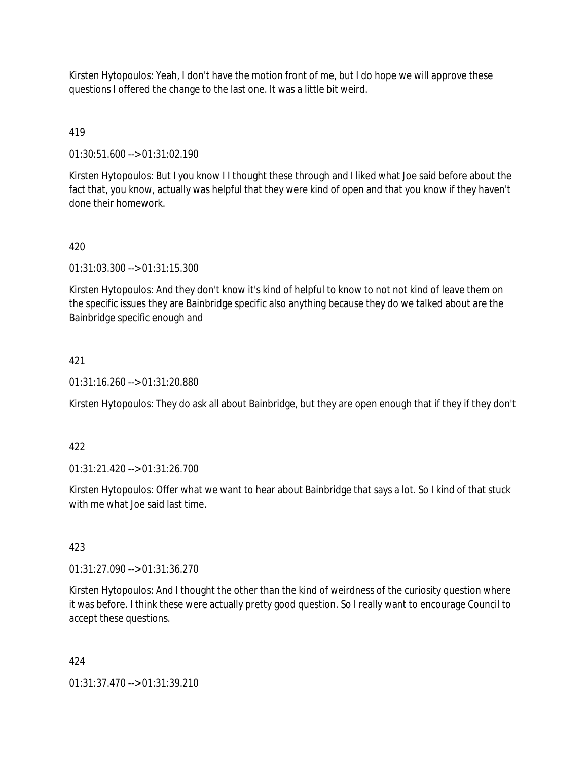Kirsten Hytopoulos: Yeah, I don't have the motion front of me, but I do hope we will approve these questions I offered the change to the last one. It was a little bit weird.

## 419

01:30:51.600 --> 01:31:02.190

Kirsten Hytopoulos: But I you know I I thought these through and I liked what Joe said before about the fact that, you know, actually was helpful that they were kind of open and that you know if they haven't done their homework.

### 420

01:31:03.300 --> 01:31:15.300

Kirsten Hytopoulos: And they don't know it's kind of helpful to know to not not kind of leave them on the specific issues they are Bainbridge specific also anything because they do we talked about are the Bainbridge specific enough and

### 421

01:31:16.260 --> 01:31:20.880

Kirsten Hytopoulos: They do ask all about Bainbridge, but they are open enough that if they if they don't

#### 422

01:31:21.420 --> 01:31:26.700

Kirsten Hytopoulos: Offer what we want to hear about Bainbridge that says a lot. So I kind of that stuck with me what Joe said last time.

#### 423

01:31:27.090 --> 01:31:36.270

Kirsten Hytopoulos: And I thought the other than the kind of weirdness of the curiosity question where it was before. I think these were actually pretty good question. So I really want to encourage Council to accept these questions.

#### 424

01:31:37.470 --> 01:31:39.210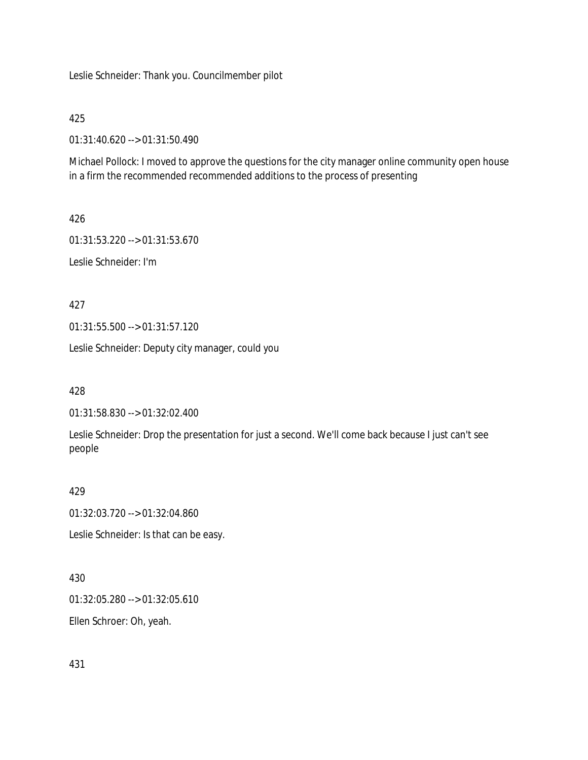Leslie Schneider: Thank you. Councilmember pilot

### 425

01:31:40.620 --> 01:31:50.490

Michael Pollock: I moved to approve the questions for the city manager online community open house in a firm the recommended recommended additions to the process of presenting

### 426

01:31:53.220 --> 01:31:53.670 Leslie Schneider: I'm

### 427

01:31:55.500 --> 01:31:57.120

Leslie Schneider: Deputy city manager, could you

428

01:31:58.830 --> 01:32:02.400

Leslie Schneider: Drop the presentation for just a second. We'll come back because I just can't see people

### 429

01:32:03.720 --> 01:32:04.860

Leslie Schneider: Is that can be easy.

### 430

01:32:05.280 --> 01:32:05.610

Ellen Schroer: Oh, yeah.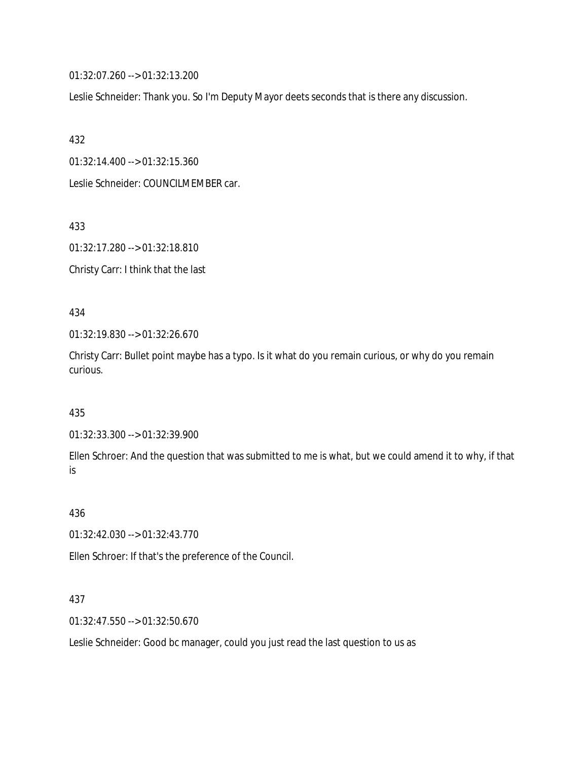01:32:07.260 --> 01:32:13.200

Leslie Schneider: Thank you. So I'm Deputy Mayor deets seconds that is there any discussion.

432

01:32:14.400 --> 01:32:15.360

Leslie Schneider: COUNCILMEMBER car.

433

01:32:17.280 --> 01:32:18.810

Christy Carr: I think that the last

434

01:32:19.830 --> 01:32:26.670

Christy Carr: Bullet point maybe has a typo. Is it what do you remain curious, or why do you remain curious.

435

01:32:33.300 --> 01:32:39.900

Ellen Schroer: And the question that was submitted to me is what, but we could amend it to why, if that is

436

01:32:42.030 --> 01:32:43.770

Ellen Schroer: If that's the preference of the Council.

437

01:32:47.550 --> 01:32:50.670

Leslie Schneider: Good bc manager, could you just read the last question to us as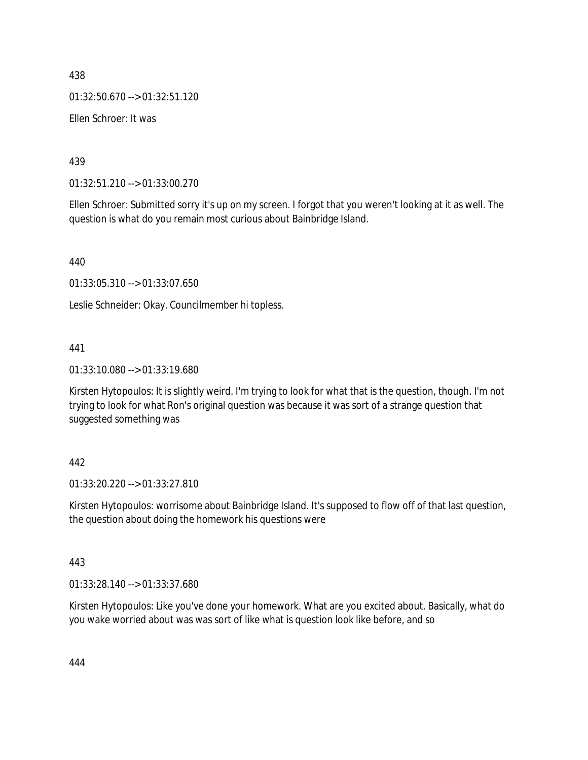438

01:32:50.670 --> 01:32:51.120

Ellen Schroer: It was

439

01:32:51.210 --> 01:33:00.270

Ellen Schroer: Submitted sorry it's up on my screen. I forgot that you weren't looking at it as well. The question is what do you remain most curious about Bainbridge Island.

440

01:33:05.310 --> 01:33:07.650

Leslie Schneider: Okay. Councilmember hi topless.

### 441

01:33:10.080 --> 01:33:19.680

Kirsten Hytopoulos: It is slightly weird. I'm trying to look for what that is the question, though. I'm not trying to look for what Ron's original question was because it was sort of a strange question that suggested something was

#### 442

01:33:20.220 --> 01:33:27.810

Kirsten Hytopoulos: worrisome about Bainbridge Island. It's supposed to flow off of that last question, the question about doing the homework his questions were

#### 443

01:33:28.140 --> 01:33:37.680

Kirsten Hytopoulos: Like you've done your homework. What are you excited about. Basically, what do you wake worried about was was sort of like what is question look like before, and so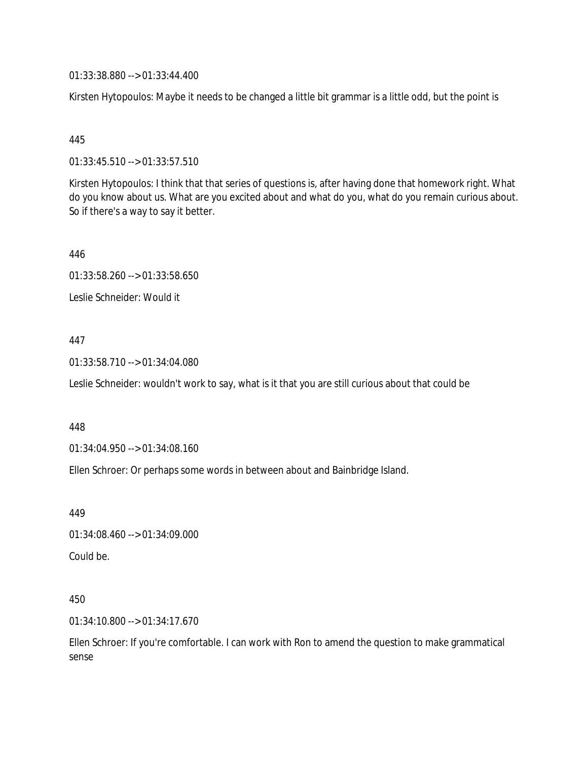01:33:38.880 --> 01:33:44.400

Kirsten Hytopoulos: Maybe it needs to be changed a little bit grammar is a little odd, but the point is

#### 445

01:33:45.510 --> 01:33:57.510

Kirsten Hytopoulos: I think that that series of questions is, after having done that homework right. What do you know about us. What are you excited about and what do you, what do you remain curious about. So if there's a way to say it better.

446

01:33:58.260 --> 01:33:58.650

Leslie Schneider: Would it

### 447

01:33:58.710 --> 01:34:04.080

Leslie Schneider: wouldn't work to say, what is it that you are still curious about that could be

#### 448

01:34:04.950 --> 01:34:08.160

Ellen Schroer: Or perhaps some words in between about and Bainbridge Island.

449

01:34:08.460 --> 01:34:09.000

Could be.

#### 450

01:34:10.800 --> 01:34:17.670

Ellen Schroer: If you're comfortable. I can work with Ron to amend the question to make grammatical sense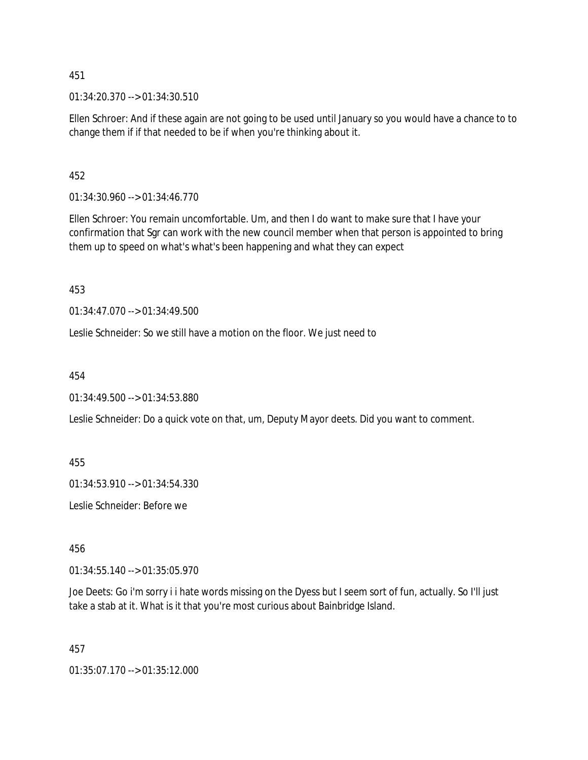451

01:34:20.370 --> 01:34:30.510

Ellen Schroer: And if these again are not going to be used until January so you would have a chance to to change them if if that needed to be if when you're thinking about it.

452

01:34:30.960 --> 01:34:46.770

Ellen Schroer: You remain uncomfortable. Um, and then I do want to make sure that I have your confirmation that Sgr can work with the new council member when that person is appointed to bring them up to speed on what's what's been happening and what they can expect

453

01:34:47.070 --> 01:34:49.500

Leslie Schneider: So we still have a motion on the floor. We just need to

454

01:34:49.500 --> 01:34:53.880

Leslie Schneider: Do a quick vote on that, um, Deputy Mayor deets. Did you want to comment.

455

01:34:53.910 --> 01:34:54.330

Leslie Schneider: Before we

456

01:34:55.140 --> 01:35:05.970

Joe Deets: Go i'm sorry i i hate words missing on the Dyess but I seem sort of fun, actually. So I'll just take a stab at it. What is it that you're most curious about Bainbridge Island.

457

01:35:07.170 --> 01:35:12.000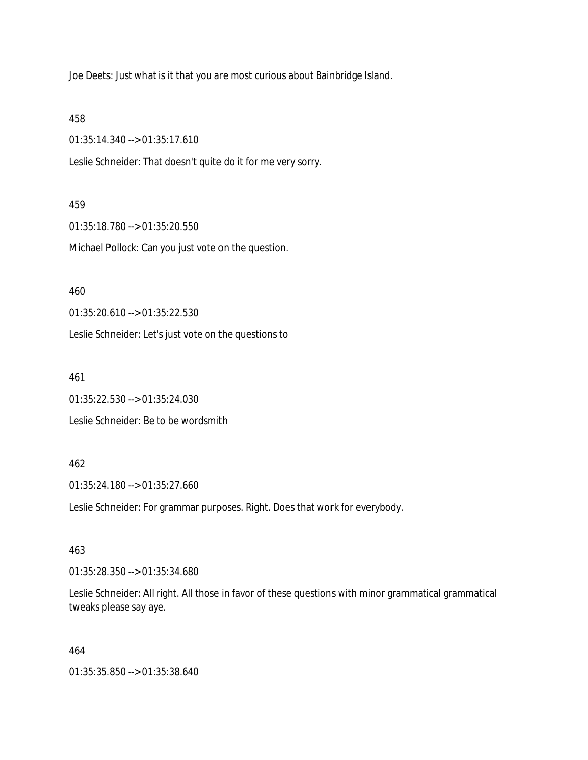Joe Deets: Just what is it that you are most curious about Bainbridge Island.

### 458

01:35:14.340 --> 01:35:17.610

Leslie Schneider: That doesn't quite do it for me very sorry.

#### 459

01:35:18.780 --> 01:35:20.550 Michael Pollock: Can you just vote on the question.

#### 460

01:35:20.610 --> 01:35:22.530

Leslie Schneider: Let's just vote on the questions to

#### 461

01:35:22.530 --> 01:35:24.030 Leslie Schneider: Be to be wordsmith

#### 462

01:35:24.180 --> 01:35:27.660

Leslie Schneider: For grammar purposes. Right. Does that work for everybody.

# 463

01:35:28.350 --> 01:35:34.680

Leslie Schneider: All right. All those in favor of these questions with minor grammatical grammatical tweaks please say aye.

#### 464

01:35:35.850 --> 01:35:38.640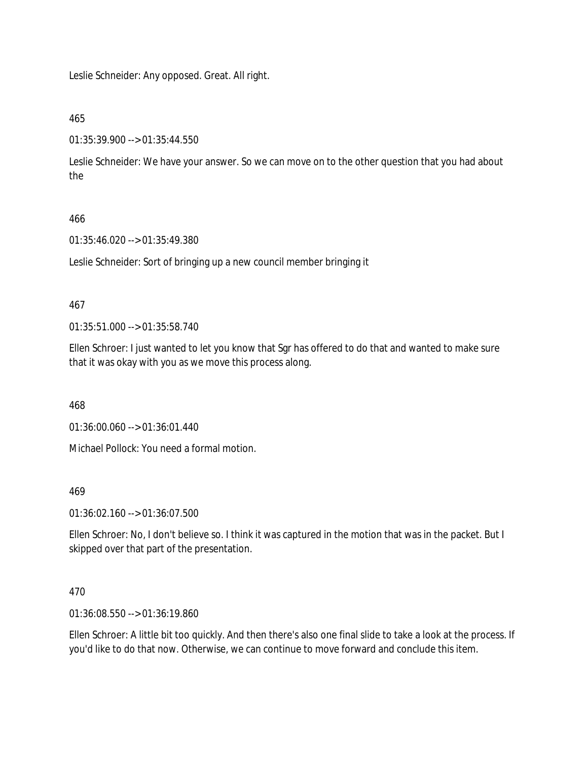Leslie Schneider: Any opposed. Great. All right.

# 465

01:35:39.900 --> 01:35:44.550

Leslie Schneider: We have your answer. So we can move on to the other question that you had about the

# 466

01:35:46.020 --> 01:35:49.380

Leslie Schneider: Sort of bringing up a new council member bringing it

# 467

01:35:51.000 --> 01:35:58.740

Ellen Schroer: I just wanted to let you know that Sgr has offered to do that and wanted to make sure that it was okay with you as we move this process along.

468

01:36:00.060 --> 01:36:01.440

Michael Pollock: You need a formal motion.

# 469

01:36:02.160 --> 01:36:07.500

Ellen Schroer: No, I don't believe so. I think it was captured in the motion that was in the packet. But I skipped over that part of the presentation.

# 470

01:36:08.550 --> 01:36:19.860

Ellen Schroer: A little bit too quickly. And then there's also one final slide to take a look at the process. If you'd like to do that now. Otherwise, we can continue to move forward and conclude this item.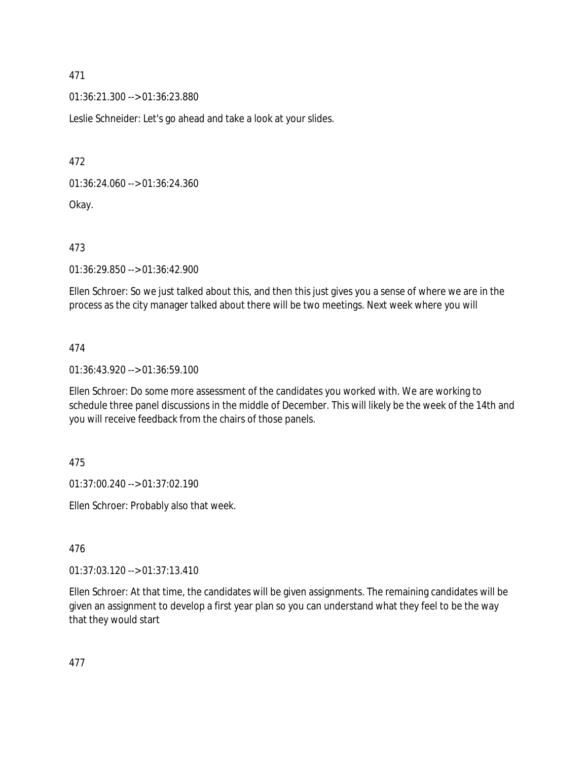01:36:21.300 --> 01:36:23.880

Leslie Schneider: Let's go ahead and take a look at your slides.

472

01:36:24.060 --> 01:36:24.360

Okay.

473

01:36:29.850 --> 01:36:42.900

Ellen Schroer: So we just talked about this, and then this just gives you a sense of where we are in the process as the city manager talked about there will be two meetings. Next week where you will

474

01:36:43.920 --> 01:36:59.100

Ellen Schroer: Do some more assessment of the candidates you worked with. We are working to schedule three panel discussions in the middle of December. This will likely be the week of the 14th and you will receive feedback from the chairs of those panels.

475

01:37:00.240 --> 01:37:02.190

Ellen Schroer: Probably also that week.

476

01:37:03.120 --> 01:37:13.410

Ellen Schroer: At that time, the candidates will be given assignments. The remaining candidates will be given an assignment to develop a first year plan so you can understand what they feel to be the way that they would start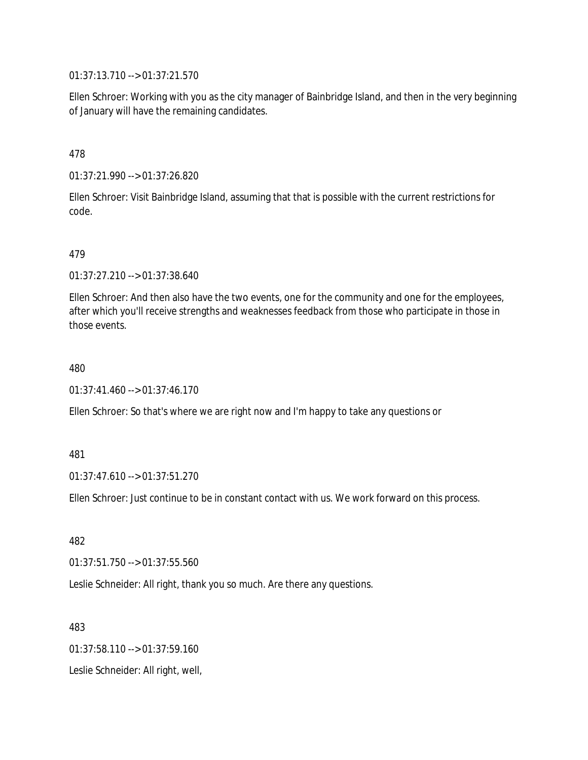01:37:13.710 --> 01:37:21.570

Ellen Schroer: Working with you as the city manager of Bainbridge Island, and then in the very beginning of January will have the remaining candidates.

478

01:37:21.990 --> 01:37:26.820

Ellen Schroer: Visit Bainbridge Island, assuming that that is possible with the current restrictions for code.

479

01:37:27.210 --> 01:37:38.640

Ellen Schroer: And then also have the two events, one for the community and one for the employees, after which you'll receive strengths and weaknesses feedback from those who participate in those in those events.

480

01:37:41.460 --> 01:37:46.170

Ellen Schroer: So that's where we are right now and I'm happy to take any questions or

481

01:37:47.610 --> 01:37:51.270

Ellen Schroer: Just continue to be in constant contact with us. We work forward on this process.

482

01:37:51.750 --> 01:37:55.560

Leslie Schneider: All right, thank you so much. Are there any questions.

483

01:37:58.110 --> 01:37:59.160

Leslie Schneider: All right, well,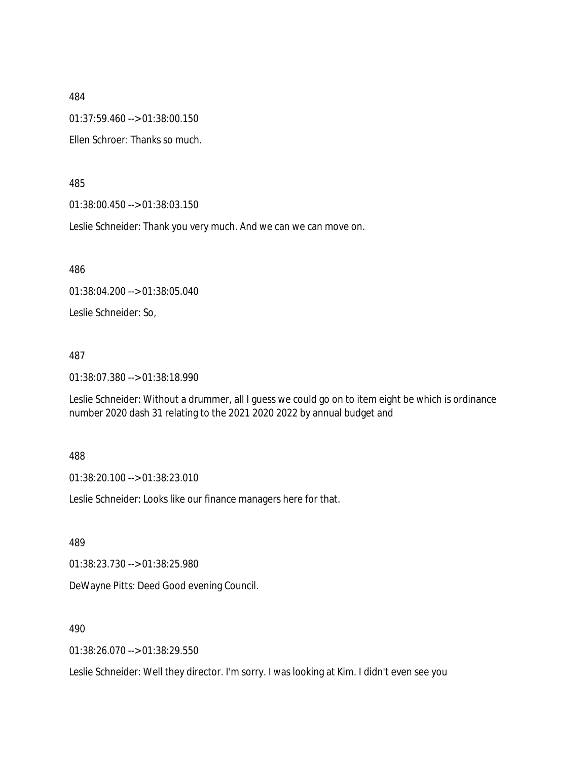01:37:59.460 --> 01:38:00.150

Ellen Schroer: Thanks so much.

485

01:38:00.450 --> 01:38:03.150

Leslie Schneider: Thank you very much. And we can we can move on.

486

01:38:04.200 --> 01:38:05.040

Leslie Schneider: So,

487

01:38:07.380 --> 01:38:18.990

Leslie Schneider: Without a drummer, all I guess we could go on to item eight be which is ordinance number 2020 dash 31 relating to the 2021 2020 2022 by annual budget and

488

01:38:20.100 --> 01:38:23.010

Leslie Schneider: Looks like our finance managers here for that.

489

01:38:23.730 --> 01:38:25.980

DeWayne Pitts: Deed Good evening Council.

490

01:38:26.070 --> 01:38:29.550

Leslie Schneider: Well they director. I'm sorry. I was looking at Kim. I didn't even see you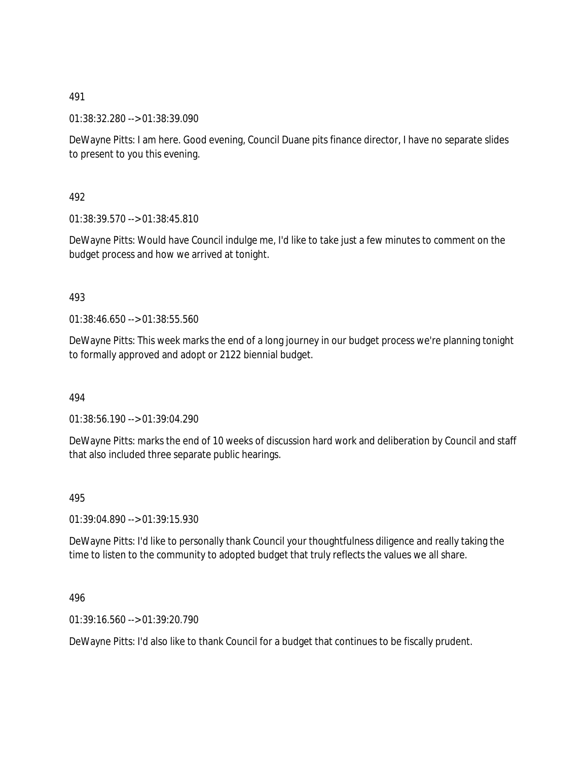01:38:32.280 --> 01:38:39.090

DeWayne Pitts: I am here. Good evening, Council Duane pits finance director, I have no separate slides to present to you this evening.

492

01:38:39.570 --> 01:38:45.810

DeWayne Pitts: Would have Council indulge me, I'd like to take just a few minutes to comment on the budget process and how we arrived at tonight.

# 493

01:38:46.650 --> 01:38:55.560

DeWayne Pitts: This week marks the end of a long journey in our budget process we're planning tonight to formally approved and adopt or 2122 biennial budget.

494

01:38:56.190 --> 01:39:04.290

DeWayne Pitts: marks the end of 10 weeks of discussion hard work and deliberation by Council and staff that also included three separate public hearings.

495

01:39:04.890 --> 01:39:15.930

DeWayne Pitts: I'd like to personally thank Council your thoughtfulness diligence and really taking the time to listen to the community to adopted budget that truly reflects the values we all share.

496

01:39:16.560 --> 01:39:20.790

DeWayne Pitts: I'd also like to thank Council for a budget that continues to be fiscally prudent.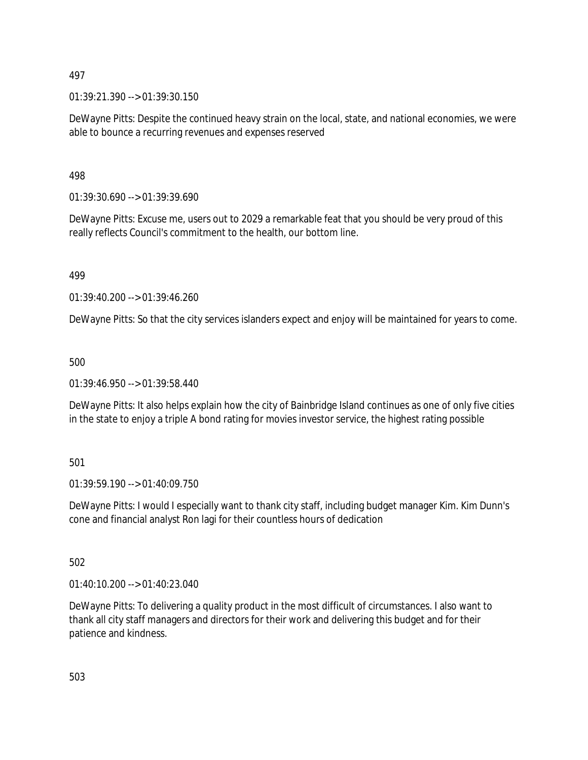01:39:21.390 --> 01:39:30.150

DeWayne Pitts: Despite the continued heavy strain on the local, state, and national economies, we were able to bounce a recurring revenues and expenses reserved

498

01:39:30.690 --> 01:39:39.690

DeWayne Pitts: Excuse me, users out to 2029 a remarkable feat that you should be very proud of this really reflects Council's commitment to the health, our bottom line.

499

01:39:40.200 --> 01:39:46.260

DeWayne Pitts: So that the city services islanders expect and enjoy will be maintained for years to come.

500

01:39:46.950 --> 01:39:58.440

DeWayne Pitts: It also helps explain how the city of Bainbridge Island continues as one of only five cities in the state to enjoy a triple A bond rating for movies investor service, the highest rating possible

501

01:39:59.190 --> 01:40:09.750

DeWayne Pitts: I would I especially want to thank city staff, including budget manager Kim. Kim Dunn's cone and financial analyst Ron lagi for their countless hours of dedication

502

01:40:10.200 --> 01:40:23.040

DeWayne Pitts: To delivering a quality product in the most difficult of circumstances. I also want to thank all city staff managers and directors for their work and delivering this budget and for their patience and kindness.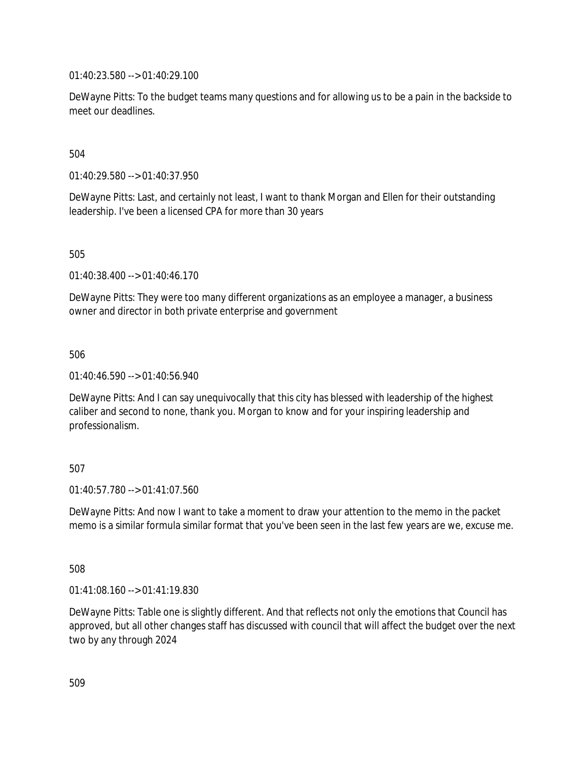01:40:23.580 --> 01:40:29.100

DeWayne Pitts: To the budget teams many questions and for allowing us to be a pain in the backside to meet our deadlines.

504

01:40:29.580 --> 01:40:37.950

DeWayne Pitts: Last, and certainly not least, I want to thank Morgan and Ellen for their outstanding leadership. I've been a licensed CPA for more than 30 years

505

01:40:38.400 --> 01:40:46.170

DeWayne Pitts: They were too many different organizations as an employee a manager, a business owner and director in both private enterprise and government

506

01:40:46.590 --> 01:40:56.940

DeWayne Pitts: And I can say unequivocally that this city has blessed with leadership of the highest caliber and second to none, thank you. Morgan to know and for your inspiring leadership and professionalism.

507

01:40:57.780 --> 01:41:07.560

DeWayne Pitts: And now I want to take a moment to draw your attention to the memo in the packet memo is a similar formula similar format that you've been seen in the last few years are we, excuse me.

508

01:41:08.160 --> 01:41:19.830

DeWayne Pitts: Table one is slightly different. And that reflects not only the emotions that Council has approved, but all other changes staff has discussed with council that will affect the budget over the next two by any through 2024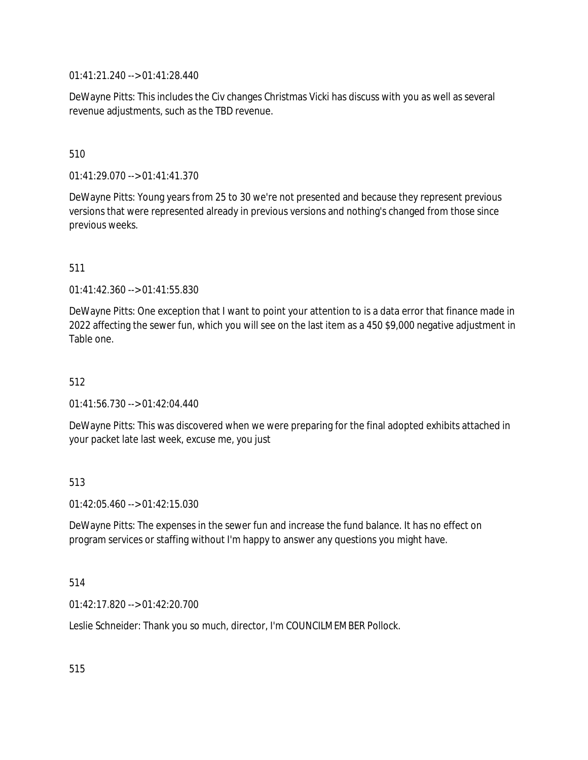01:41:21.240 --> 01:41:28.440

DeWayne Pitts: This includes the Civ changes Christmas Vicki has discuss with you as well as several revenue adjustments, such as the TBD revenue.

# 510

01:41:29.070 --> 01:41:41.370

DeWayne Pitts: Young years from 25 to 30 we're not presented and because they represent previous versions that were represented already in previous versions and nothing's changed from those since previous weeks.

# 511

01:41:42.360 --> 01:41:55.830

DeWayne Pitts: One exception that I want to point your attention to is a data error that finance made in 2022 affecting the sewer fun, which you will see on the last item as a 450 \$9,000 negative adjustment in Table one.

# 512

01:41:56.730 --> 01:42:04.440

DeWayne Pitts: This was discovered when we were preparing for the final adopted exhibits attached in your packet late last week, excuse me, you just

# 513

01:42:05.460 --> 01:42:15.030

DeWayne Pitts: The expenses in the sewer fun and increase the fund balance. It has no effect on program services or staffing without I'm happy to answer any questions you might have.

#### 514

01:42:17.820 --> 01:42:20.700

Leslie Schneider: Thank you so much, director, I'm COUNCILMEMBER Pollock.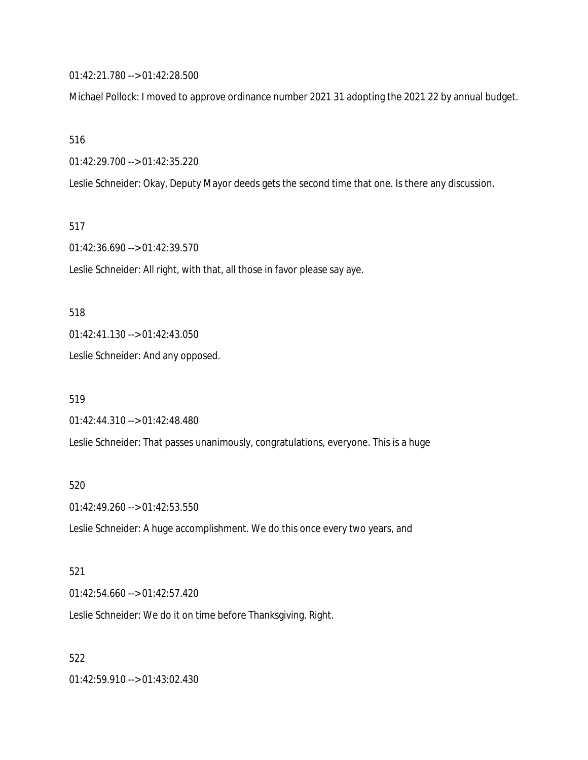01:42:21.780 --> 01:42:28.500

Michael Pollock: I moved to approve ordinance number 2021 31 adopting the 2021 22 by annual budget.

516

01:42:29.700 --> 01:42:35.220

Leslie Schneider: Okay, Deputy Mayor deeds gets the second time that one. Is there any discussion.

517

01:42:36.690 --> 01:42:39.570

Leslie Schneider: All right, with that, all those in favor please say aye.

518

01:42:41.130 --> 01:42:43.050

Leslie Schneider: And any opposed.

519

01:42:44.310 --> 01:42:48.480

Leslie Schneider: That passes unanimously, congratulations, everyone. This is a huge

520

01:42:49.260 --> 01:42:53.550

Leslie Schneider: A huge accomplishment. We do this once every two years, and

521

01:42:54.660 --> 01:42:57.420

Leslie Schneider: We do it on time before Thanksgiving. Right.

522

01:42:59.910 --> 01:43:02.430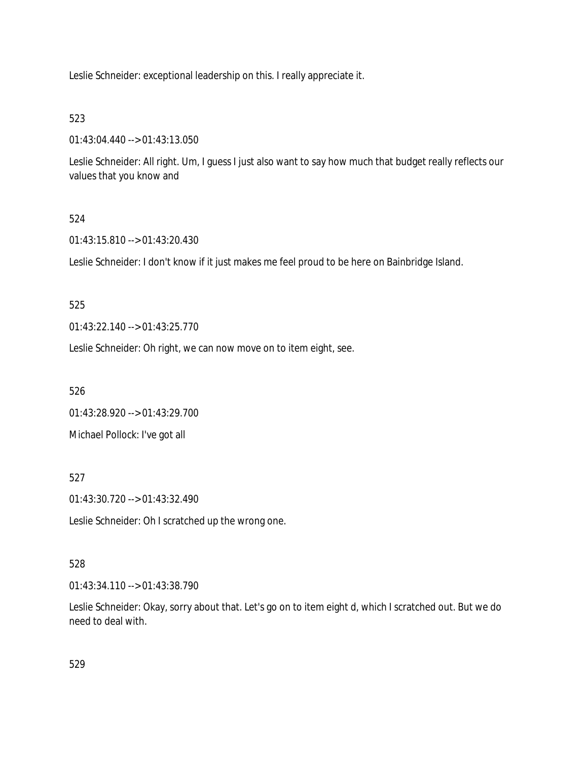Leslie Schneider: exceptional leadership on this. I really appreciate it.

# 523

01:43:04.440 --> 01:43:13.050

Leslie Schneider: All right. Um, I guess I just also want to say how much that budget really reflects our values that you know and

# 524

01:43:15.810 --> 01:43:20.430

Leslie Schneider: I don't know if it just makes me feel proud to be here on Bainbridge Island.

# 525

01:43:22.140 --> 01:43:25.770

Leslie Schneider: Oh right, we can now move on to item eight, see.

526

01:43:28.920 --> 01:43:29.700

Michael Pollock: I've got all

# 527

01:43:30.720 --> 01:43:32.490

Leslie Schneider: Oh I scratched up the wrong one.

# 528

01:43:34.110 --> 01:43:38.790

Leslie Schneider: Okay, sorry about that. Let's go on to item eight d, which I scratched out. But we do need to deal with.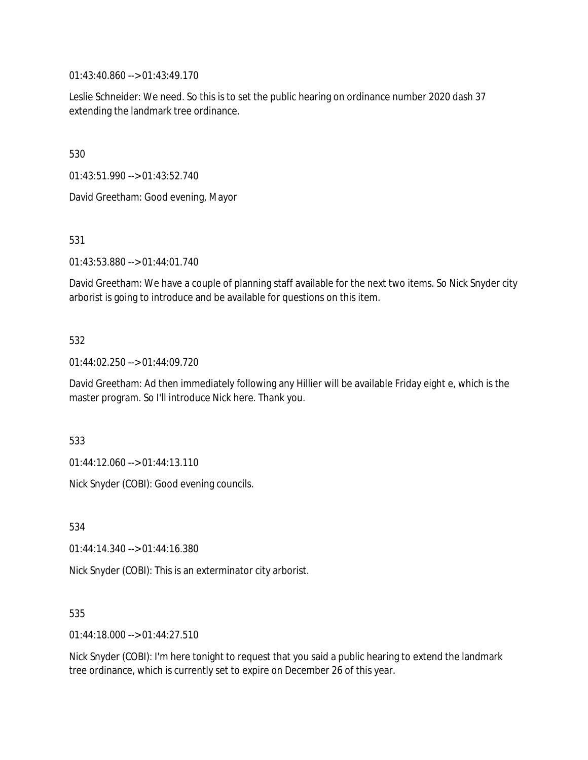01:43:40.860 --> 01:43:49.170

Leslie Schneider: We need. So this is to set the public hearing on ordinance number 2020 dash 37 extending the landmark tree ordinance.

530

01:43:51.990 --> 01:43:52.740

David Greetham: Good evening, Mayor

531

01:43:53.880 --> 01:44:01.740

David Greetham: We have a couple of planning staff available for the next two items. So Nick Snyder city arborist is going to introduce and be available for questions on this item.

# 532

01:44:02.250 --> 01:44:09.720

David Greetham: Ad then immediately following any Hillier will be available Friday eight e, which is the master program. So I'll introduce Nick here. Thank you.

533

01:44:12.060 --> 01:44:13.110

Nick Snyder (COBI): Good evening councils.

534

01:44:14.340 --> 01:44:16.380

Nick Snyder (COBI): This is an exterminator city arborist.

535

01:44:18.000 --> 01:44:27.510

Nick Snyder (COBI): I'm here tonight to request that you said a public hearing to extend the landmark tree ordinance, which is currently set to expire on December 26 of this year.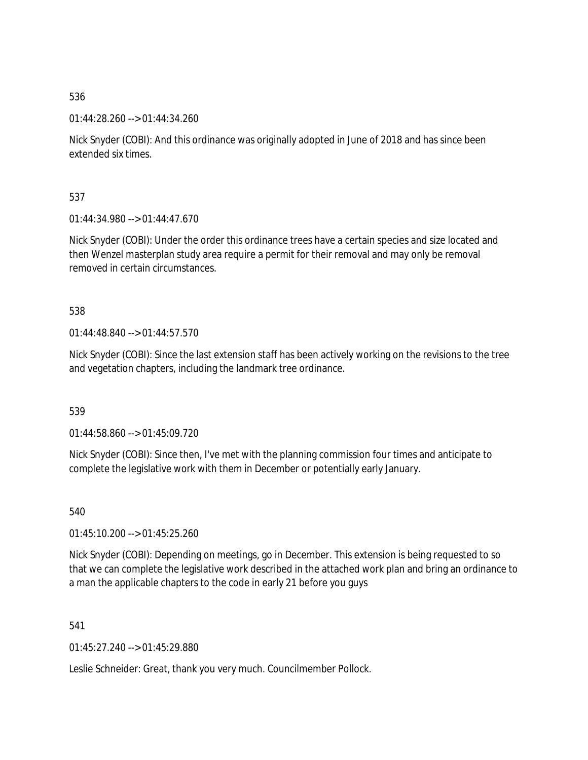01:44:28.260 --> 01:44:34.260

Nick Snyder (COBI): And this ordinance was originally adopted in June of 2018 and has since been extended six times.

537

01:44:34.980 --> 01:44:47.670

Nick Snyder (COBI): Under the order this ordinance trees have a certain species and size located and then Wenzel masterplan study area require a permit for their removal and may only be removal removed in certain circumstances.

538

01:44:48.840 --> 01:44:57.570

Nick Snyder (COBI): Since the last extension staff has been actively working on the revisions to the tree and vegetation chapters, including the landmark tree ordinance.

539

01:44:58.860 --> 01:45:09.720

Nick Snyder (COBI): Since then, I've met with the planning commission four times and anticipate to complete the legislative work with them in December or potentially early January.

540

01:45:10.200 --> 01:45:25.260

Nick Snyder (COBI): Depending on meetings, go in December. This extension is being requested to so that we can complete the legislative work described in the attached work plan and bring an ordinance to a man the applicable chapters to the code in early 21 before you guys

541

01:45:27.240 --> 01:45:29.880

Leslie Schneider: Great, thank you very much. Councilmember Pollock.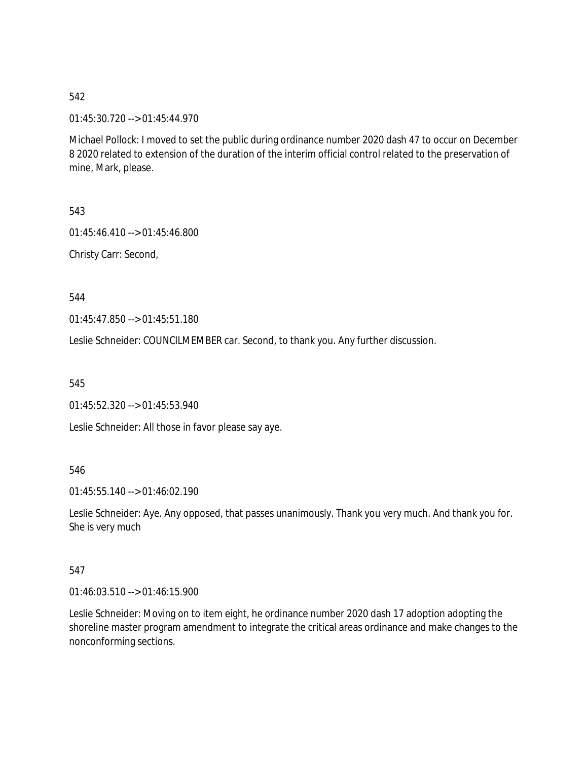01:45:30.720 --> 01:45:44.970

Michael Pollock: I moved to set the public during ordinance number 2020 dash 47 to occur on December 8 2020 related to extension of the duration of the interim official control related to the preservation of mine, Mark, please.

543

01:45:46.410 --> 01:45:46.800

Christy Carr: Second,

544

01:45:47.850 --> 01:45:51.180

Leslie Schneider: COUNCILMEMBER car. Second, to thank you. Any further discussion.

545

01:45:52.320 --> 01:45:53.940

Leslie Schneider: All those in favor please say aye.

546

01:45:55.140 --> 01:46:02.190

Leslie Schneider: Aye. Any opposed, that passes unanimously. Thank you very much. And thank you for. She is very much

# 547

01:46:03.510 --> 01:46:15.900

Leslie Schneider: Moving on to item eight, he ordinance number 2020 dash 17 adoption adopting the shoreline master program amendment to integrate the critical areas ordinance and make changes to the nonconforming sections.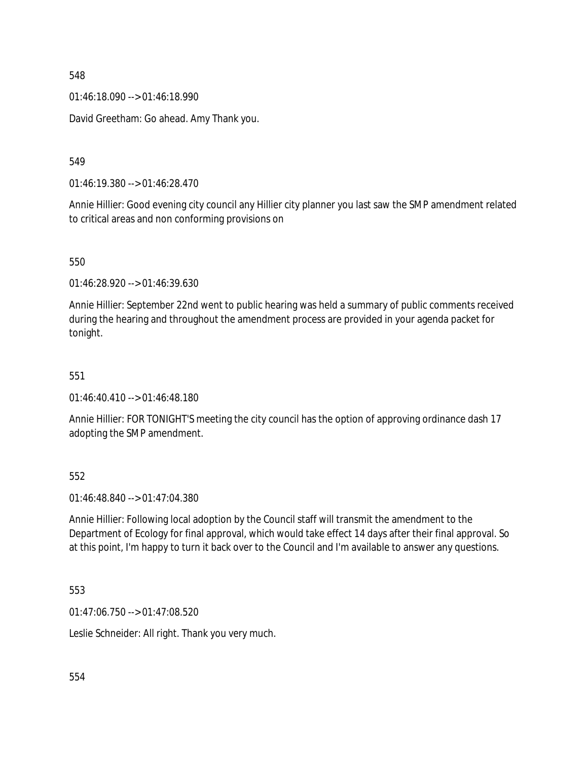01:46:18.090 --> 01:46:18.990

David Greetham: Go ahead. Amy Thank you.

549

01:46:19.380 --> 01:46:28.470

Annie Hillier: Good evening city council any Hillier city planner you last saw the SMP amendment related to critical areas and non conforming provisions on

550

01:46:28.920 --> 01:46:39.630

Annie Hillier: September 22nd went to public hearing was held a summary of public comments received during the hearing and throughout the amendment process are provided in your agenda packet for tonight.

551

01:46:40.410 --> 01:46:48.180

Annie Hillier: FOR TONIGHT'S meeting the city council has the option of approving ordinance dash 17 adopting the SMP amendment.

552

01:46:48.840 --> 01:47:04.380

Annie Hillier: Following local adoption by the Council staff will transmit the amendment to the Department of Ecology for final approval, which would take effect 14 days after their final approval. So at this point, I'm happy to turn it back over to the Council and I'm available to answer any questions.

553

01:47:06.750 --> 01:47:08.520

Leslie Schneider: All right. Thank you very much.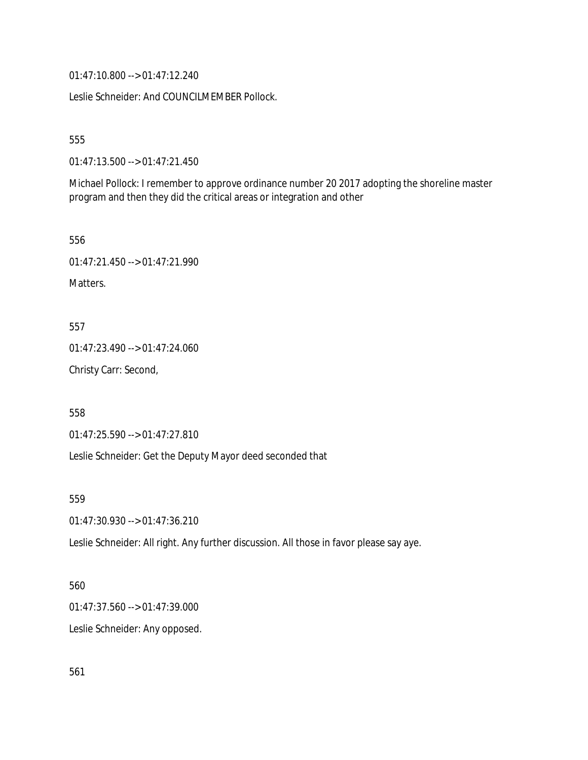01:47:10.800 --> 01:47:12.240

Leslie Schneider: And COUNCILMEMBER Pollock.

555

01:47:13.500 --> 01:47:21.450

Michael Pollock: I remember to approve ordinance number 20 2017 adopting the shoreline master program and then they did the critical areas or integration and other

556

01:47:21.450 --> 01:47:21.990

Matters.

557

01:47:23.490 --> 01:47:24.060

Christy Carr: Second,

558

01:47:25.590 --> 01:47:27.810

Leslie Schneider: Get the Deputy Mayor deed seconded that

559

01:47:30.930 --> 01:47:36.210

Leslie Schneider: All right. Any further discussion. All those in favor please say aye.

560

01:47:37.560 --> 01:47:39.000

Leslie Schneider: Any opposed.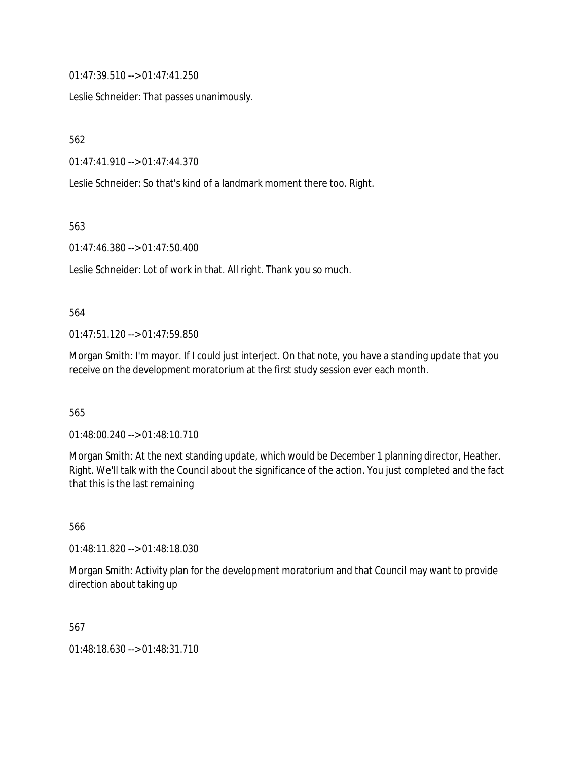01:47:39.510 --> 01:47:41.250

Leslie Schneider: That passes unanimously.

562

01:47:41.910 --> 01:47:44.370

Leslie Schneider: So that's kind of a landmark moment there too. Right.

563

01:47:46.380 --> 01:47:50.400

Leslie Schneider: Lot of work in that. All right. Thank you so much.

#### 564

01:47:51.120 --> 01:47:59.850

Morgan Smith: I'm mayor. If I could just interject. On that note, you have a standing update that you receive on the development moratorium at the first study session ever each month.

565

01:48:00.240 --> 01:48:10.710

Morgan Smith: At the next standing update, which would be December 1 planning director, Heather. Right. We'll talk with the Council about the significance of the action. You just completed and the fact that this is the last remaining

566

01:48:11.820 --> 01:48:18.030

Morgan Smith: Activity plan for the development moratorium and that Council may want to provide direction about taking up

567

01:48:18.630 --> 01:48:31.710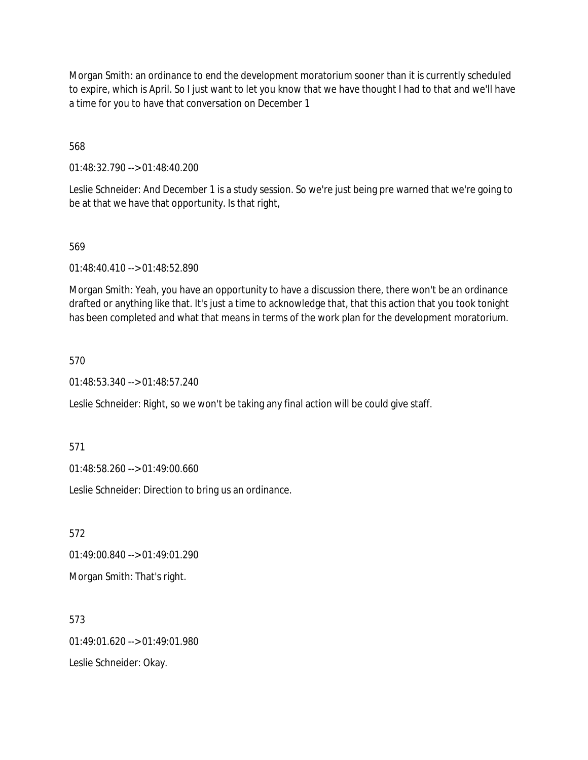Morgan Smith: an ordinance to end the development moratorium sooner than it is currently scheduled to expire, which is April. So I just want to let you know that we have thought I had to that and we'll have a time for you to have that conversation on December 1

568

01:48:32.790 --> 01:48:40.200

Leslie Schneider: And December 1 is a study session. So we're just being pre warned that we're going to be at that we have that opportunity. Is that right,

# 569

01:48:40.410 --> 01:48:52.890

Morgan Smith: Yeah, you have an opportunity to have a discussion there, there won't be an ordinance drafted or anything like that. It's just a time to acknowledge that, that this action that you took tonight has been completed and what that means in terms of the work plan for the development moratorium.

#### 570

01:48:53.340 --> 01:48:57.240

Leslie Schneider: Right, so we won't be taking any final action will be could give staff.

571

01:48:58.260 --> 01:49:00.660

Leslie Schneider: Direction to bring us an ordinance.

572

01:49:00.840 --> 01:49:01.290

Morgan Smith: That's right.

573 01:49:01.620 --> 01:49:01.980 Leslie Schneider: Okay.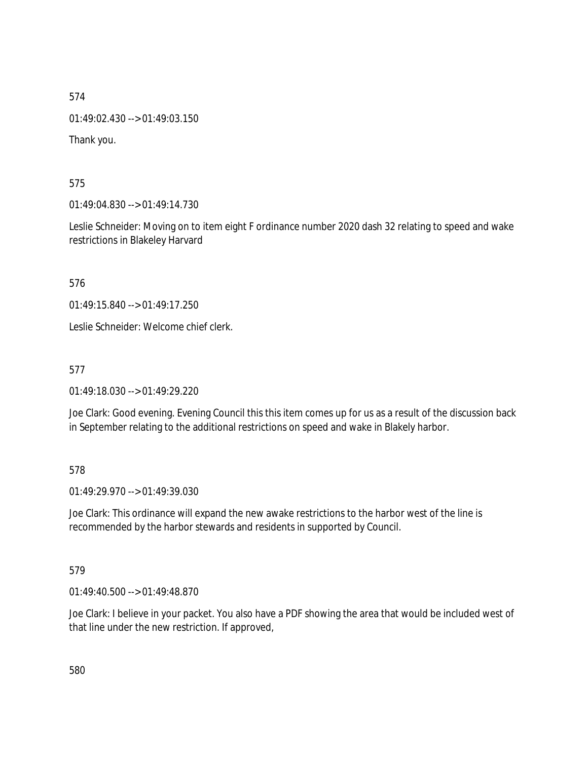01:49:02.430 --> 01:49:03.150

Thank you.

575

01:49:04.830 --> 01:49:14.730

Leslie Schneider: Moving on to item eight F ordinance number 2020 dash 32 relating to speed and wake restrictions in Blakeley Harvard

576

01:49:15.840 --> 01:49:17.250

Leslie Schneider: Welcome chief clerk.

577

01:49:18.030 --> 01:49:29.220

Joe Clark: Good evening. Evening Council this this item comes up for us as a result of the discussion back in September relating to the additional restrictions on speed and wake in Blakely harbor.

# 578

01:49:29.970 --> 01:49:39.030

Joe Clark: This ordinance will expand the new awake restrictions to the harbor west of the line is recommended by the harbor stewards and residents in supported by Council.

# 579

01:49:40.500 --> 01:49:48.870

Joe Clark: I believe in your packet. You also have a PDF showing the area that would be included west of that line under the new restriction. If approved,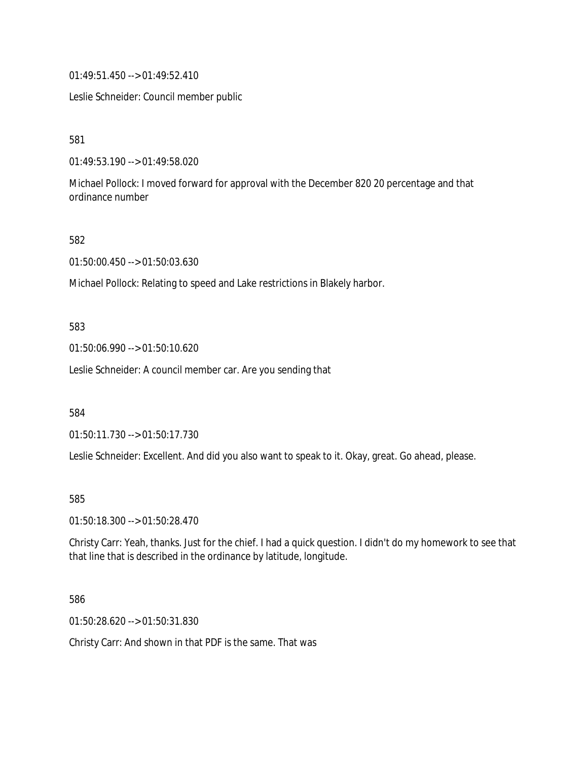01:49:51.450 --> 01:49:52.410

Leslie Schneider: Council member public

581

01:49:53.190 --> 01:49:58.020

Michael Pollock: I moved forward for approval with the December 820 20 percentage and that ordinance number

582

01:50:00.450 --> 01:50:03.630

Michael Pollock: Relating to speed and Lake restrictions in Blakely harbor.

#### 583

01:50:06.990 --> 01:50:10.620

Leslie Schneider: A council member car. Are you sending that

584

01:50:11.730 --> 01:50:17.730

Leslie Schneider: Excellent. And did you also want to speak to it. Okay, great. Go ahead, please.

#### 585

01:50:18.300 --> 01:50:28.470

Christy Carr: Yeah, thanks. Just for the chief. I had a quick question. I didn't do my homework to see that that line that is described in the ordinance by latitude, longitude.

586

01:50:28.620 --> 01:50:31.830

Christy Carr: And shown in that PDF is the same. That was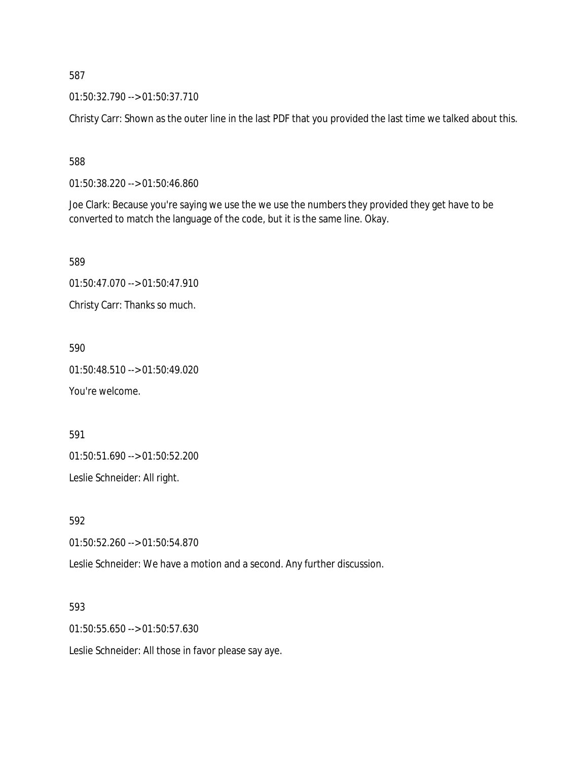01:50:32.790 --> 01:50:37.710

Christy Carr: Shown as the outer line in the last PDF that you provided the last time we talked about this.

588

01:50:38.220 --> 01:50:46.860

Joe Clark: Because you're saying we use the we use the numbers they provided they get have to be converted to match the language of the code, but it is the same line. Okay.

589

01:50:47.070 --> 01:50:47.910

Christy Carr: Thanks so much.

590

01:50:48.510 --> 01:50:49.020

You're welcome.

591

01:50:51.690 --> 01:50:52.200

Leslie Schneider: All right.

592

01:50:52.260 --> 01:50:54.870

Leslie Schneider: We have a motion and a second. Any further discussion.

593

01:50:55.650 --> 01:50:57.630

Leslie Schneider: All those in favor please say aye.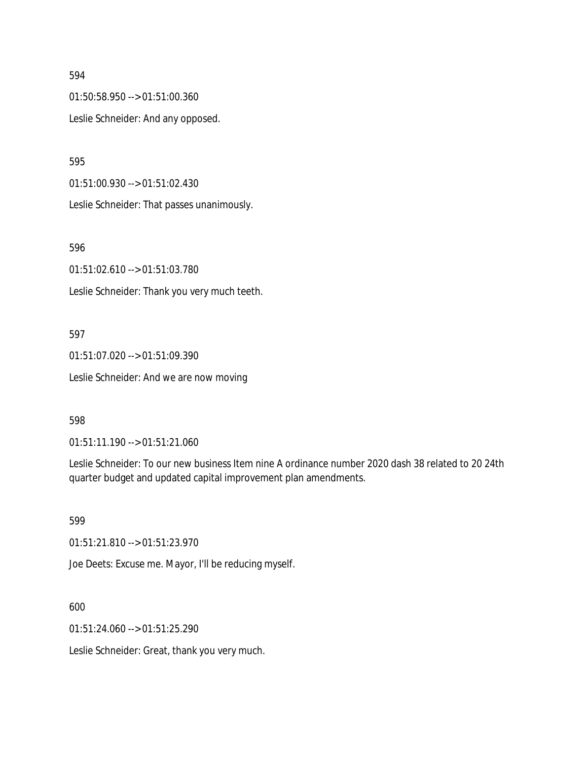01:50:58.950 --> 01:51:00.360 Leslie Schneider: And any opposed.

595

01:51:00.930 --> 01:51:02.430

Leslie Schneider: That passes unanimously.

596

01:51:02.610 --> 01:51:03.780

Leslie Schneider: Thank you very much teeth.

#### 597

01:51:07.020 --> 01:51:09.390 Leslie Schneider: And we are now moving

#### 598

01:51:11.190 --> 01:51:21.060

Leslie Schneider: To our new business Item nine A ordinance number 2020 dash 38 related to 20 24th quarter budget and updated capital improvement plan amendments.

599

01:51:21.810 --> 01:51:23.970

Joe Deets: Excuse me. Mayor, I'll be reducing myself.

600

01:51:24.060 --> 01:51:25.290

Leslie Schneider: Great, thank you very much.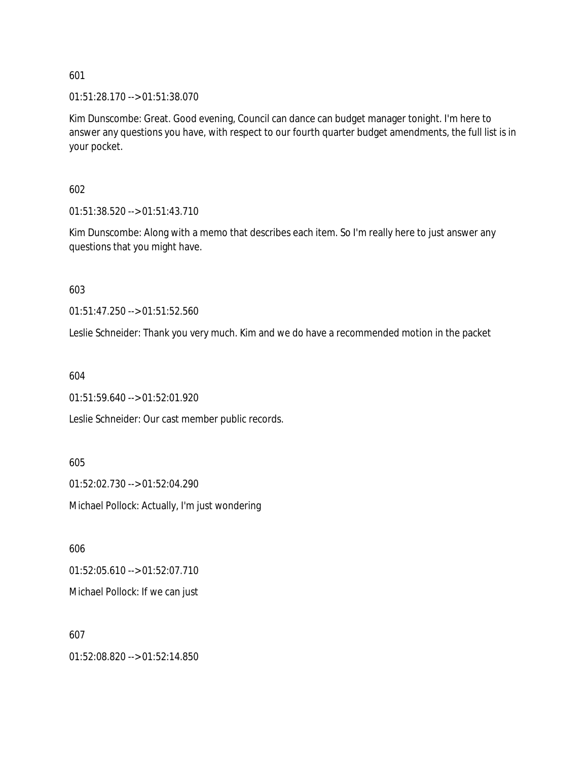01:51:28.170 --> 01:51:38.070

Kim Dunscombe: Great. Good evening, Council can dance can budget manager tonight. I'm here to answer any questions you have, with respect to our fourth quarter budget amendments, the full list is in your pocket.

602

01:51:38.520 --> 01:51:43.710

Kim Dunscombe: Along with a memo that describes each item. So I'm really here to just answer any questions that you might have.

603

01:51:47.250 --> 01:51:52.560

Leslie Schneider: Thank you very much. Kim and we do have a recommended motion in the packet

604

01:51:59.640 --> 01:52:01.920

Leslie Schneider: Our cast member public records.

605 01:52:02.730 --> 01:52:04.290 Michael Pollock: Actually, I'm just wondering

606

01:52:05.610 --> 01:52:07.710

Michael Pollock: If we can just

607

01:52:08.820 --> 01:52:14.850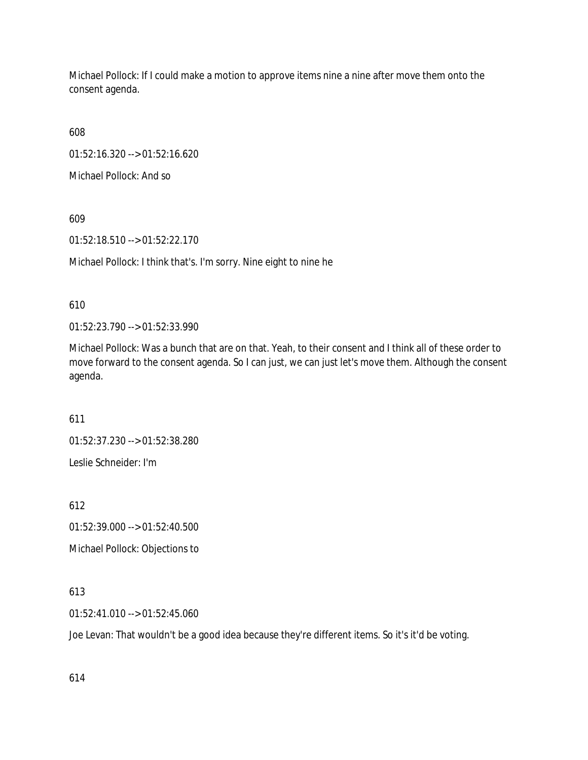Michael Pollock: If I could make a motion to approve items nine a nine after move them onto the consent agenda.

608

01:52:16.320 --> 01:52:16.620

Michael Pollock: And so

609

01:52:18.510 --> 01:52:22.170

Michael Pollock: I think that's. I'm sorry. Nine eight to nine he

610

01:52:23.790 --> 01:52:33.990

Michael Pollock: Was a bunch that are on that. Yeah, to their consent and I think all of these order to move forward to the consent agenda. So I can just, we can just let's move them. Although the consent agenda.

611

01:52:37.230 --> 01:52:38.280

Leslie Schneider: I'm

612

01:52:39.000 --> 01:52:40.500

Michael Pollock: Objections to

613

01:52:41.010 --> 01:52:45.060

Joe Levan: That wouldn't be a good idea because they're different items. So it's it'd be voting.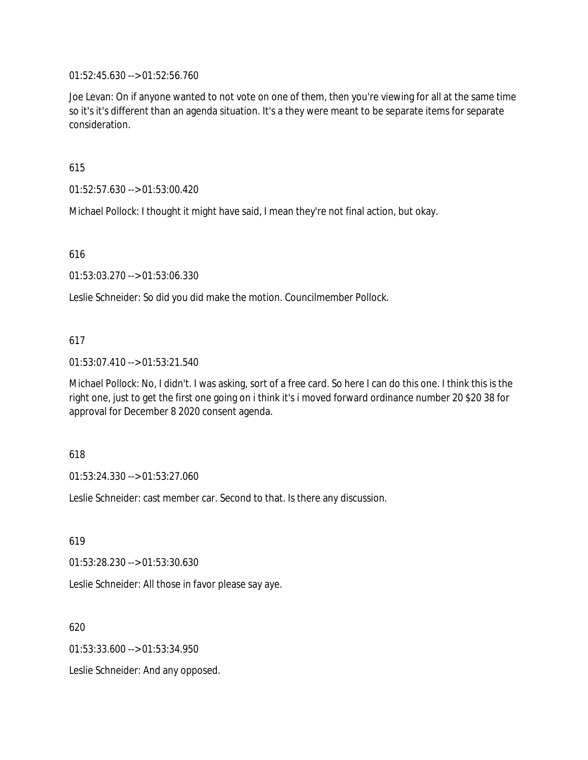01:52:45.630 --> 01:52:56.760

Joe Levan: On if anyone wanted to not vote on one of them, then you're viewing for all at the same time so it's it's different than an agenda situation. It's a they were meant to be separate items for separate consideration.

615

01:52:57.630 --> 01:53:00.420

Michael Pollock: I thought it might have said, I mean they're not final action, but okay.

616

01:53:03.270 --> 01:53:06.330

Leslie Schneider: So did you did make the motion. Councilmember Pollock.

# 617

01:53:07.410 --> 01:53:21.540

Michael Pollock: No, I didn't. I was asking, sort of a free card. So here I can do this one. I think this is the right one, just to get the first one going on i think it's i moved forward ordinance number 20 \$20 38 for approval for December 8 2020 consent agenda.

# 618

01:53:24.330 --> 01:53:27.060

Leslie Schneider: cast member car. Second to that. Is there any discussion.

619

01:53:28.230 --> 01:53:30.630

Leslie Schneider: All those in favor please say aye.

620

01:53:33.600 --> 01:53:34.950

Leslie Schneider: And any opposed.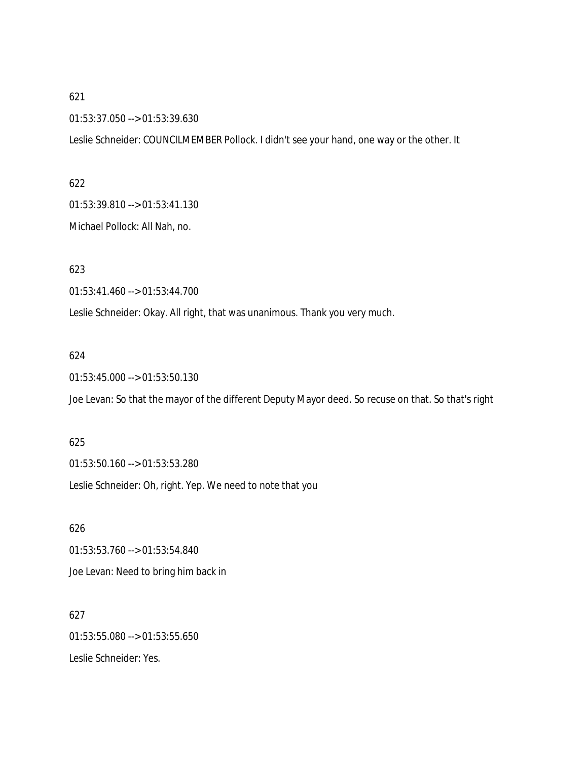01:53:37.050 --> 01:53:39.630

Leslie Schneider: COUNCILMEMBER Pollock. I didn't see your hand, one way or the other. It

#### 622

01:53:39.810 --> 01:53:41.130

Michael Pollock: All Nah, no.

623

01:53:41.460 --> 01:53:44.700

Leslie Schneider: Okay. All right, that was unanimous. Thank you very much.

#### 624

01:53:45.000 --> 01:53:50.130

Joe Levan: So that the mayor of the different Deputy Mayor deed. So recuse on that. So that's right

# 625

01:53:50.160 --> 01:53:53.280 Leslie Schneider: Oh, right. Yep. We need to note that you

# 626 01:53:53.760 --> 01:53:54.840 Joe Levan: Need to bring him back in

627 01:53:55.080 --> 01:53:55.650 Leslie Schneider: Yes.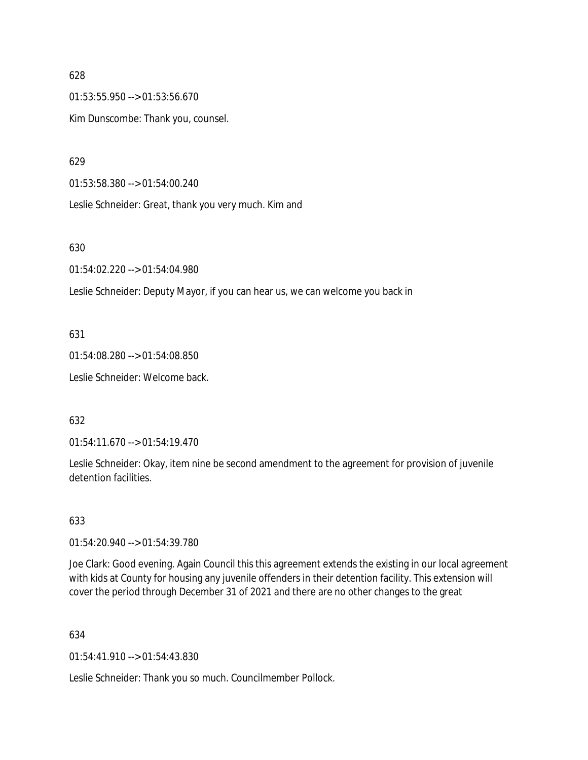01:53:55.950 --> 01:53:56.670 Kim Dunscombe: Thank you, counsel.

629

01:53:58.380 --> 01:54:00.240

Leslie Schneider: Great, thank you very much. Kim and

# 630

01:54:02.220 --> 01:54:04.980

Leslie Schneider: Deputy Mayor, if you can hear us, we can welcome you back in

# 631

01:54:08.280 --> 01:54:08.850 Leslie Schneider: Welcome back.

# 632

01:54:11.670 --> 01:54:19.470

Leslie Schneider: Okay, item nine be second amendment to the agreement for provision of juvenile detention facilities.

# 633

01:54:20.940 --> 01:54:39.780

Joe Clark: Good evening. Again Council this this agreement extends the existing in our local agreement with kids at County for housing any juvenile offenders in their detention facility. This extension will cover the period through December 31 of 2021 and there are no other changes to the great

# 634

01:54:41.910 --> 01:54:43.830

Leslie Schneider: Thank you so much. Councilmember Pollock.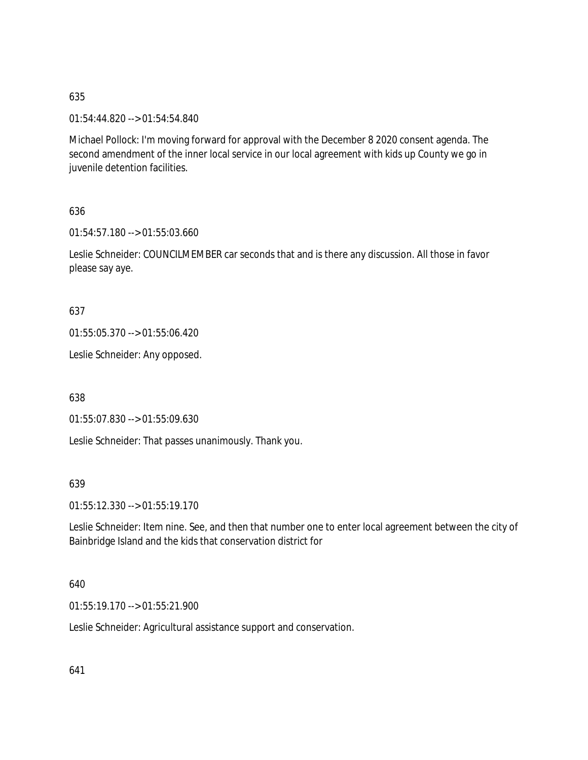01:54:44.820 --> 01:54:54.840

Michael Pollock: I'm moving forward for approval with the December 8 2020 consent agenda. The second amendment of the inner local service in our local agreement with kids up County we go in juvenile detention facilities.

636

01:54:57.180 --> 01:55:03.660

Leslie Schneider: COUNCILMEMBER car seconds that and is there any discussion. All those in favor please say aye.

637

01:55:05.370 --> 01:55:06.420

Leslie Schneider: Any opposed.

638

01:55:07.830 --> 01:55:09.630

Leslie Schneider: That passes unanimously. Thank you.

639

01:55:12.330 --> 01:55:19.170

Leslie Schneider: Item nine. See, and then that number one to enter local agreement between the city of Bainbridge Island and the kids that conservation district for

640

01:55:19.170 --> 01:55:21.900

Leslie Schneider: Agricultural assistance support and conservation.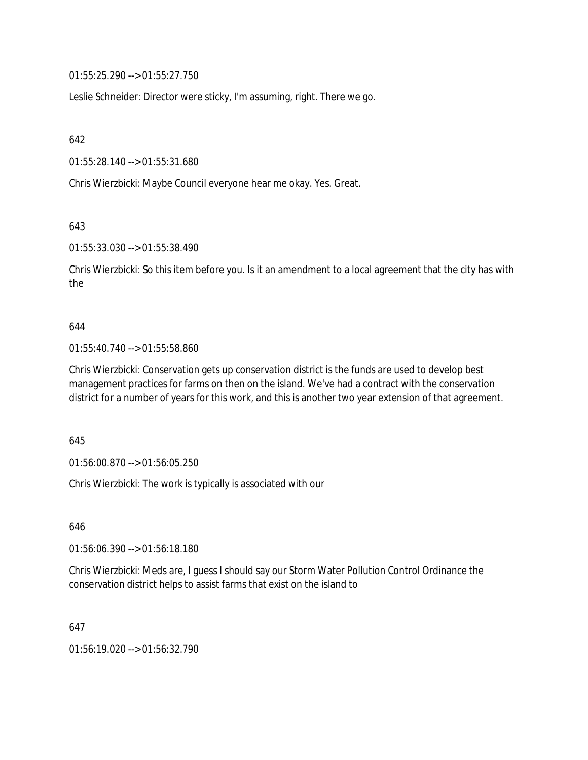01:55:25.290 --> 01:55:27.750

Leslie Schneider: Director were sticky, I'm assuming, right. There we go.

642

01:55:28.140 --> 01:55:31.680

Chris Wierzbicki: Maybe Council everyone hear me okay. Yes. Great.

643

01:55:33.030 --> 01:55:38.490

Chris Wierzbicki: So this item before you. Is it an amendment to a local agreement that the city has with the

#### 644

01:55:40.740 --> 01:55:58.860

Chris Wierzbicki: Conservation gets up conservation district is the funds are used to develop best management practices for farms on then on the island. We've had a contract with the conservation district for a number of years for this work, and this is another two year extension of that agreement.

645

01:56:00.870 --> 01:56:05.250

Chris Wierzbicki: The work is typically is associated with our

646

01:56:06.390 --> 01:56:18.180

Chris Wierzbicki: Meds are, I guess I should say our Storm Water Pollution Control Ordinance the conservation district helps to assist farms that exist on the island to

647

01:56:19.020 --> 01:56:32.790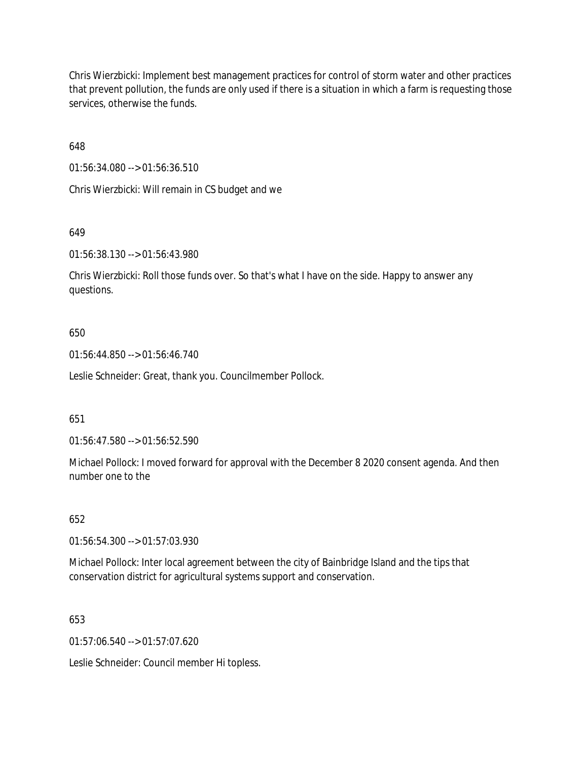Chris Wierzbicki: Implement best management practices for control of storm water and other practices that prevent pollution, the funds are only used if there is a situation in which a farm is requesting those services, otherwise the funds.

648

01:56:34.080 --> 01:56:36.510

Chris Wierzbicki: Will remain in CS budget and we

# 649

01:56:38.130 --> 01:56:43.980

Chris Wierzbicki: Roll those funds over. So that's what I have on the side. Happy to answer any questions.

# 650

01:56:44.850 --> 01:56:46.740

Leslie Schneider: Great, thank you. Councilmember Pollock.

# 651

01:56:47.580 --> 01:56:52.590

Michael Pollock: I moved forward for approval with the December 8 2020 consent agenda. And then number one to the

# 652

01:56:54.300 --> 01:57:03.930

Michael Pollock: Inter local agreement between the city of Bainbridge Island and the tips that conservation district for agricultural systems support and conservation.

# 653

 $01:57:06.540 \rightarrow 01:57:07.620$ 

Leslie Schneider: Council member Hi topless.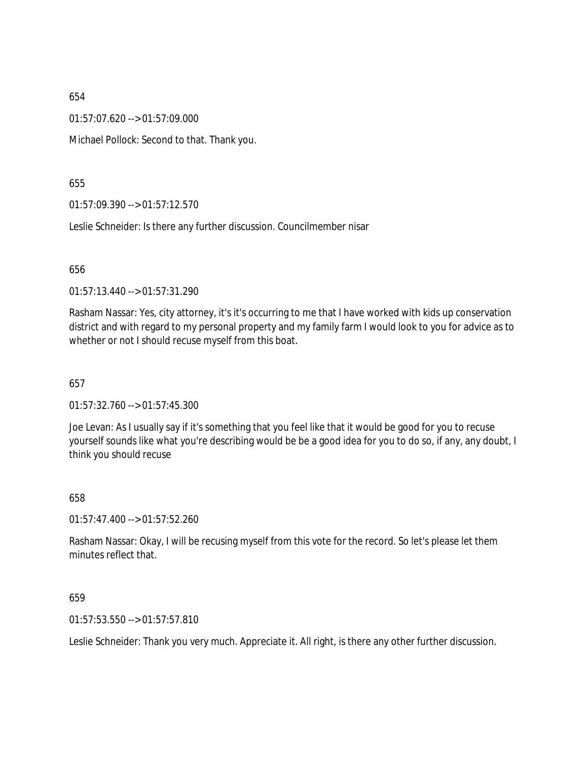01:57:07.620 --> 01:57:09.000

Michael Pollock: Second to that. Thank you.

655

01:57:09.390 --> 01:57:12.570

Leslie Schneider: Is there any further discussion. Councilmember nisar

656

01:57:13.440 --> 01:57:31.290

Rasham Nassar: Yes, city attorney, it's it's occurring to me that I have worked with kids up conservation district and with regard to my personal property and my family farm I would look to you for advice as to whether or not I should recuse myself from this boat.

657

01:57:32.760 --> 01:57:45.300

Joe Levan: As I usually say if it's something that you feel like that it would be good for you to recuse yourself sounds like what you're describing would be be a good idea for you to do so, if any, any doubt, I think you should recuse

658

01:57:47.400 --> 01:57:52.260

Rasham Nassar: Okay, I will be recusing myself from this vote for the record. So let's please let them minutes reflect that.

659

01:57:53.550 --> 01:57:57.810

Leslie Schneider: Thank you very much. Appreciate it. All right, is there any other further discussion.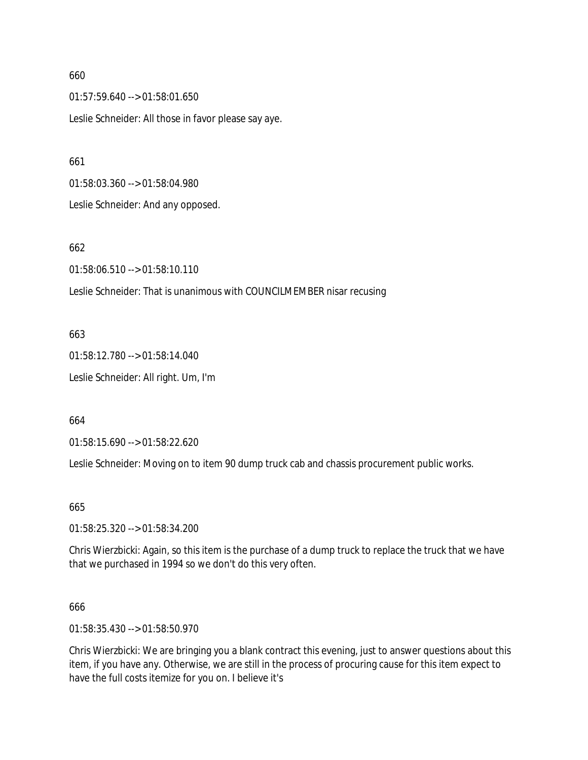01:57:59.640 --> 01:58:01.650 Leslie Schneider: All those in favor please say aye.

661

01:58:03.360 --> 01:58:04.980

Leslie Schneider: And any opposed.

# 662

01:58:06.510 --> 01:58:10.110

Leslie Schneider: That is unanimous with COUNCILMEMBER nisar recusing

# 663

01:58:12.780 --> 01:58:14.040 Leslie Schneider: All right. Um, I'm

664

01:58:15.690 --> 01:58:22.620

Leslie Schneider: Moving on to item 90 dump truck cab and chassis procurement public works.

665

01:58:25.320 --> 01:58:34.200

Chris Wierzbicki: Again, so this item is the purchase of a dump truck to replace the truck that we have that we purchased in 1994 so we don't do this very often.

# 666

01:58:35.430 --> 01:58:50.970

Chris Wierzbicki: We are bringing you a blank contract this evening, just to answer questions about this item, if you have any. Otherwise, we are still in the process of procuring cause for this item expect to have the full costs itemize for you on. I believe it's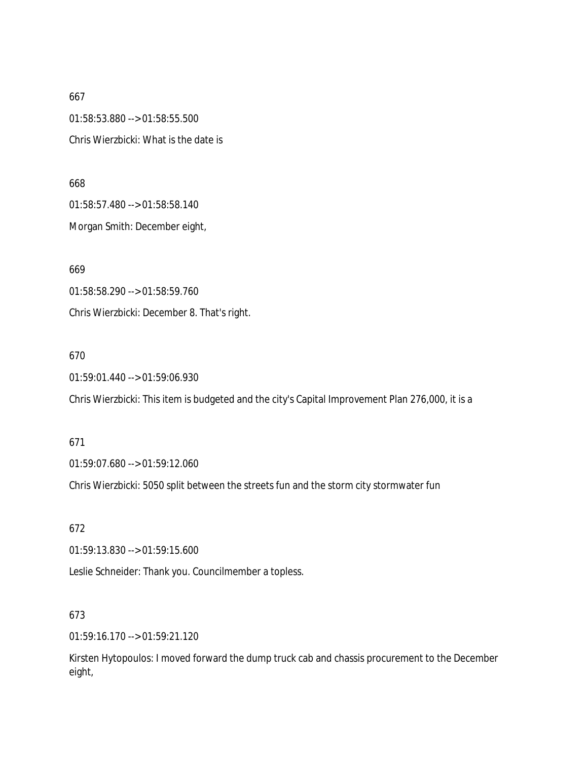667 01:58:53.880 --> 01:58:55.500 Chris Wierzbicki: What is the date is

668 01:58:57.480 --> 01:58:58.140

Morgan Smith: December eight,

669

01:58:58.290 --> 01:58:59.760 Chris Wierzbicki: December 8. That's right.

# 670

01:59:01.440 --> 01:59:06.930

Chris Wierzbicki: This item is budgeted and the city's Capital Improvement Plan 276,000, it is a

# 671

01:59:07.680 --> 01:59:12.060

Chris Wierzbicki: 5050 split between the streets fun and the storm city stormwater fun

672

01:59:13.830 --> 01:59:15.600

Leslie Schneider: Thank you. Councilmember a topless.

# 673

01:59:16.170 --> 01:59:21.120

Kirsten Hytopoulos: I moved forward the dump truck cab and chassis procurement to the December eight,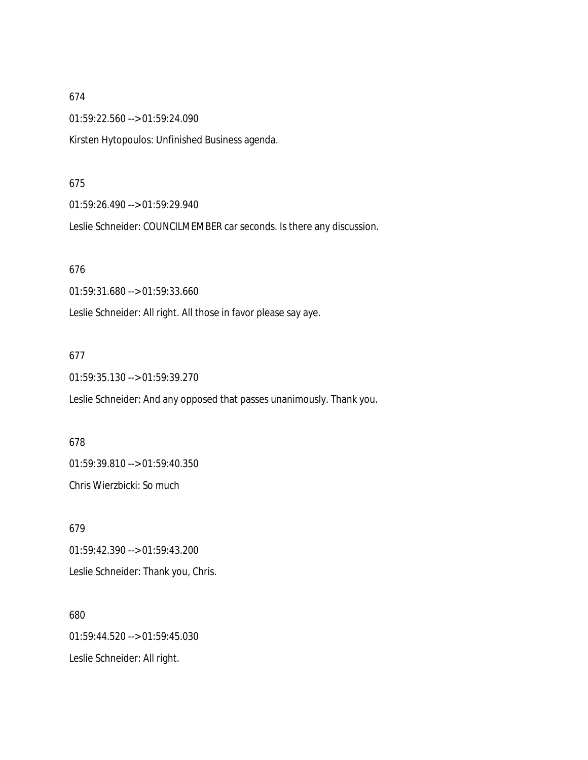01:59:22.560 --> 01:59:24.090

Kirsten Hytopoulos: Unfinished Business agenda.

#### 675

01:59:26.490 --> 01:59:29.940

Leslie Schneider: COUNCILMEMBER car seconds. Is there any discussion.

#### 676

01:59:31.680 --> 01:59:33.660

Leslie Schneider: All right. All those in favor please say aye.

# 677

01:59:35.130 --> 01:59:39.270

Leslie Schneider: And any opposed that passes unanimously. Thank you.

678 01:59:39.810 --> 01:59:40.350 Chris Wierzbicki: So much

679 01:59:42.390 --> 01:59:43.200 Leslie Schneider: Thank you, Chris.

680 01:59:44.520 --> 01:59:45.030 Leslie Schneider: All right.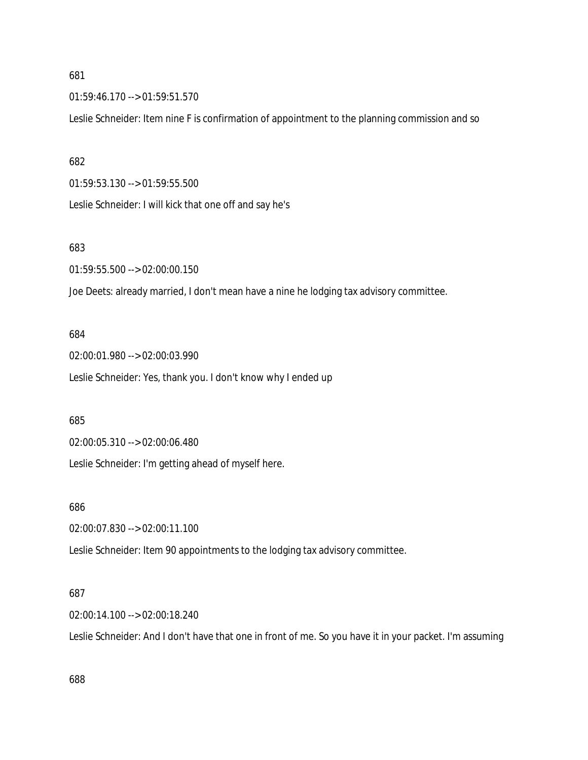01:59:46.170 --> 01:59:51.570

Leslie Schneider: Item nine F is confirmation of appointment to the planning commission and so

#### 682

01:59:53.130 --> 01:59:55.500

Leslie Schneider: I will kick that one off and say he's

# 683

01:59:55.500 --> 02:00:00.150

Joe Deets: already married, I don't mean have a nine he lodging tax advisory committee.

#### 684

02:00:01.980 --> 02:00:03.990 Leslie Schneider: Yes, thank you. I don't know why I ended up

#### 685

02:00:05.310 --> 02:00:06.480

Leslie Schneider: I'm getting ahead of myself here.

#### 686

02:00:07.830 --> 02:00:11.100

Leslie Schneider: Item 90 appointments to the lodging tax advisory committee.

#### 687

02:00:14.100 --> 02:00:18.240

Leslie Schneider: And I don't have that one in front of me. So you have it in your packet. I'm assuming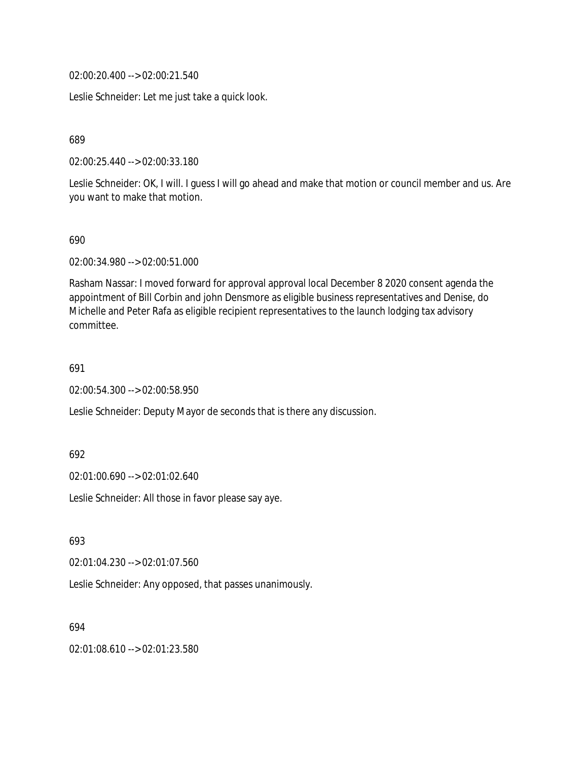02:00:20.400 --> 02:00:21.540

Leslie Schneider: Let me just take a quick look.

689

02:00:25.440 --> 02:00:33.180

Leslie Schneider: OK, I will. I guess I will go ahead and make that motion or council member and us. Are you want to make that motion.

690

02:00:34.980 --> 02:00:51.000

Rasham Nassar: I moved forward for approval approval local December 8 2020 consent agenda the appointment of Bill Corbin and john Densmore as eligible business representatives and Denise, do Michelle and Peter Rafa as eligible recipient representatives to the launch lodging tax advisory committee.

691

02:00:54.300 --> 02:00:58.950

Leslie Schneider: Deputy Mayor de seconds that is there any discussion.

692

02:01:00.690 --> 02:01:02.640

Leslie Schneider: All those in favor please say aye.

693

02:01:04.230 --> 02:01:07.560

Leslie Schneider: Any opposed, that passes unanimously.

694

02:01:08.610 --> 02:01:23.580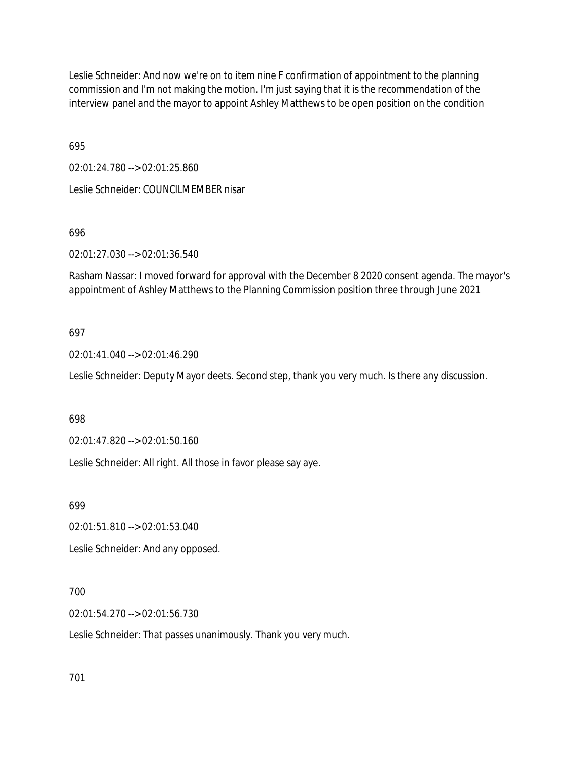Leslie Schneider: And now we're on to item nine F confirmation of appointment to the planning commission and I'm not making the motion. I'm just saying that it is the recommendation of the interview panel and the mayor to appoint Ashley Matthews to be open position on the condition

695

02:01:24.780 --> 02:01:25.860 Leslie Schneider: COUNCILMEMBER nisar

696

02:01:27.030 --> 02:01:36.540

Rasham Nassar: I moved forward for approval with the December 8 2020 consent agenda. The mayor's appointment of Ashley Matthews to the Planning Commission position three through June 2021

## 697

02:01:41.040 --> 02:01:46.290

Leslie Schneider: Deputy Mayor deets. Second step, thank you very much. Is there any discussion.

698

02:01:47.820 --> 02:01:50.160

Leslie Schneider: All right. All those in favor please say aye.

699

02:01:51.810 --> 02:01:53.040

Leslie Schneider: And any opposed.

700

02:01:54.270 --> 02:01:56.730

Leslie Schneider: That passes unanimously. Thank you very much.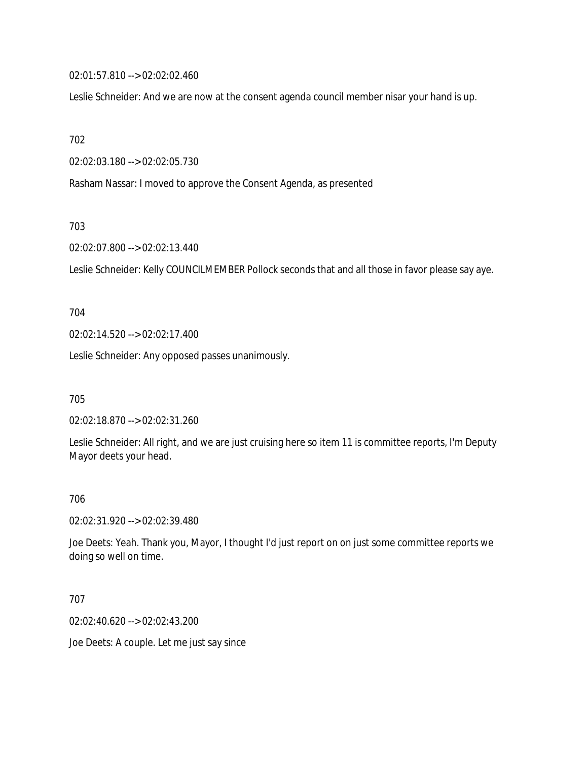02:01:57.810 --> 02:02:02.460

Leslie Schneider: And we are now at the consent agenda council member nisar your hand is up.

702

02:02:03.180 --> 02:02:05.730

Rasham Nassar: I moved to approve the Consent Agenda, as presented

703

02:02:07.800 --> 02:02:13.440

Leslie Schneider: Kelly COUNCILMEMBER Pollock seconds that and all those in favor please say aye.

704

02:02:14.520 --> 02:02:17.400

Leslie Schneider: Any opposed passes unanimously.

705

02:02:18.870 --> 02:02:31.260

Leslie Schneider: All right, and we are just cruising here so item 11 is committee reports, I'm Deputy Mayor deets your head.

#### 706

02:02:31.920 --> 02:02:39.480

Joe Deets: Yeah. Thank you, Mayor, I thought I'd just report on on just some committee reports we doing so well on time.

707

02:02:40.620 --> 02:02:43.200

Joe Deets: A couple. Let me just say since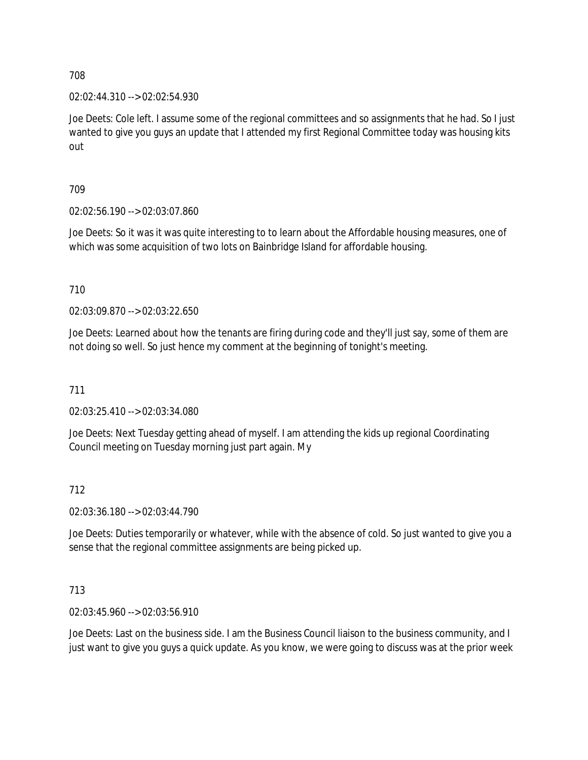708

02:02:44.310 --> 02:02:54.930

Joe Deets: Cole left. I assume some of the regional committees and so assignments that he had. So I just wanted to give you guys an update that I attended my first Regional Committee today was housing kits out

709

02:02:56.190 --> 02:03:07.860

Joe Deets: So it was it was quite interesting to to learn about the Affordable housing measures, one of which was some acquisition of two lots on Bainbridge Island for affordable housing.

710

02:03:09.870 --> 02:03:22.650

Joe Deets: Learned about how the tenants are firing during code and they'll just say, some of them are not doing so well. So just hence my comment at the beginning of tonight's meeting.

711

02:03:25.410 --> 02:03:34.080

Joe Deets: Next Tuesday getting ahead of myself. I am attending the kids up regional Coordinating Council meeting on Tuesday morning just part again. My

## 712

02:03:36.180 --> 02:03:44.790

Joe Deets: Duties temporarily or whatever, while with the absence of cold. So just wanted to give you a sense that the regional committee assignments are being picked up.

## 713

02:03:45.960 --> 02:03:56.910

Joe Deets: Last on the business side. I am the Business Council liaison to the business community, and I just want to give you guys a quick update. As you know, we were going to discuss was at the prior week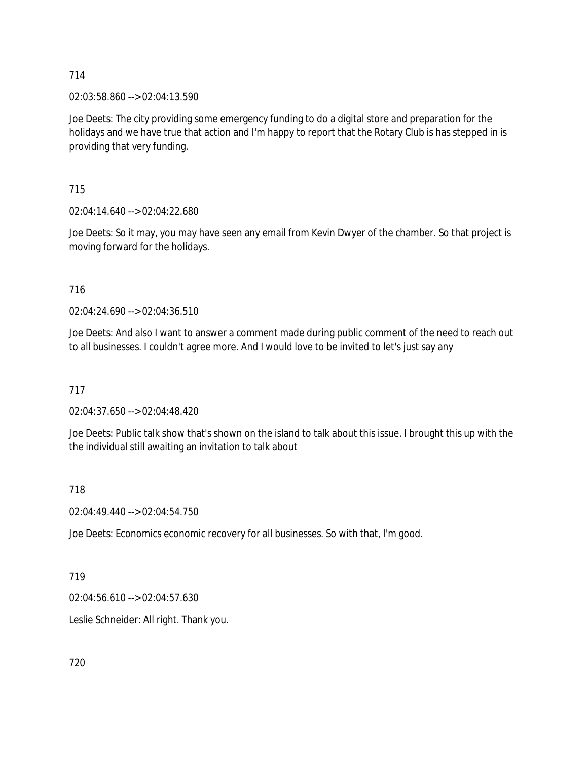714

02:03:58.860 --> 02:04:13.590

Joe Deets: The city providing some emergency funding to do a digital store and preparation for the holidays and we have true that action and I'm happy to report that the Rotary Club is has stepped in is providing that very funding.

715

02:04:14.640 --> 02:04:22.680

Joe Deets: So it may, you may have seen any email from Kevin Dwyer of the chamber. So that project is moving forward for the holidays.

716

02:04:24.690 --> 02:04:36.510

Joe Deets: And also I want to answer a comment made during public comment of the need to reach out to all businesses. I couldn't agree more. And I would love to be invited to let's just say any

717

02:04:37.650 --> 02:04:48.420

Joe Deets: Public talk show that's shown on the island to talk about this issue. I brought this up with the the individual still awaiting an invitation to talk about

718

02:04:49.440 --> 02:04:54.750

Joe Deets: Economics economic recovery for all businesses. So with that, I'm good.

719

02:04:56.610 --> 02:04:57.630

Leslie Schneider: All right. Thank you.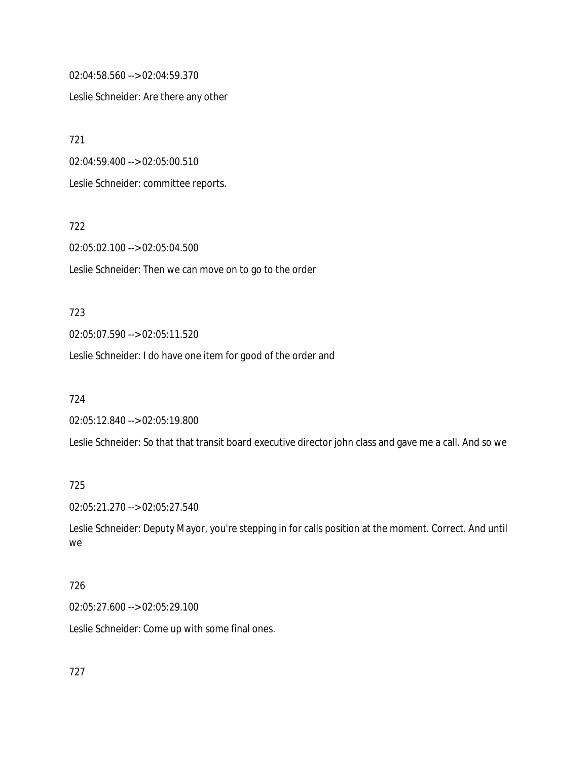02:04:58.560 --> 02:04:59.370

Leslie Schneider: Are there any other

721

02:04:59.400 --> 02:05:00.510

Leslie Schneider: committee reports.

722

02:05:02.100 --> 02:05:04.500

Leslie Schneider: Then we can move on to go to the order

#### 723

02:05:07.590 --> 02:05:11.520

Leslie Schneider: I do have one item for good of the order and

724

02:05:12.840 --> 02:05:19.800

Leslie Schneider: So that that transit board executive director john class and gave me a call. And so we

## 725

02:05:21.270 --> 02:05:27.540

Leslie Schneider: Deputy Mayor, you're stepping in for calls position at the moment. Correct. And until we

## 726

02:05:27.600 --> 02:05:29.100

Leslie Schneider: Come up with some final ones.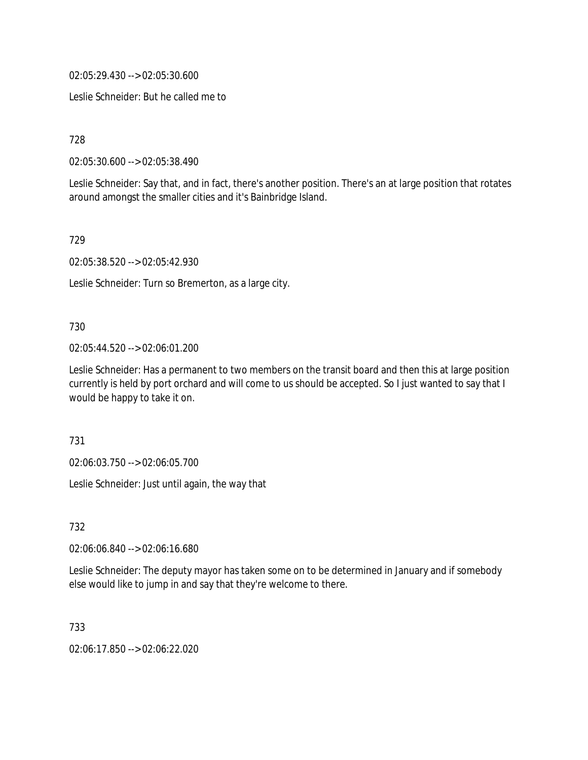02:05:29.430 --> 02:05:30.600

Leslie Schneider: But he called me to

728

02:05:30.600 --> 02:05:38.490

Leslie Schneider: Say that, and in fact, there's another position. There's an at large position that rotates around amongst the smaller cities and it's Bainbridge Island.

729

02:05:38.520 --> 02:05:42.930

Leslie Schneider: Turn so Bremerton, as a large city.

### 730

02:05:44.520 --> 02:06:01.200

Leslie Schneider: Has a permanent to two members on the transit board and then this at large position currently is held by port orchard and will come to us should be accepted. So I just wanted to say that I would be happy to take it on.

731

02:06:03.750 --> 02:06:05.700

Leslie Schneider: Just until again, the way that

732

02:06:06.840 --> 02:06:16.680

Leslie Schneider: The deputy mayor has taken some on to be determined in January and if somebody else would like to jump in and say that they're welcome to there.

733

02:06:17.850 --> 02:06:22.020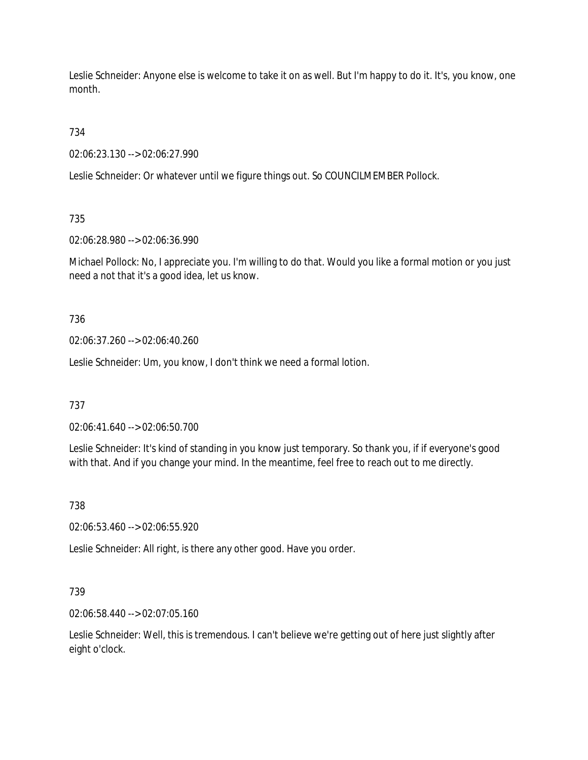Leslie Schneider: Anyone else is welcome to take it on as well. But I'm happy to do it. It's, you know, one month.

734

02:06:23.130 --> 02:06:27.990

Leslie Schneider: Or whatever until we figure things out. So COUNCILMEMBER Pollock.

735

02:06:28.980 --> 02:06:36.990

Michael Pollock: No, I appreciate you. I'm willing to do that. Would you like a formal motion or you just need a not that it's a good idea, let us know.

736

02:06:37.260 --> 02:06:40.260

Leslie Schneider: Um, you know, I don't think we need a formal lotion.

737

02:06:41.640 --> 02:06:50.700

Leslie Schneider: It's kind of standing in you know just temporary. So thank you, if if everyone's good with that. And if you change your mind. In the meantime, feel free to reach out to me directly.

738

02:06:53.460 --> 02:06:55.920

Leslie Schneider: All right, is there any other good. Have you order.

739

02:06:58.440 --> 02:07:05.160

Leslie Schneider: Well, this is tremendous. I can't believe we're getting out of here just slightly after eight o'clock.